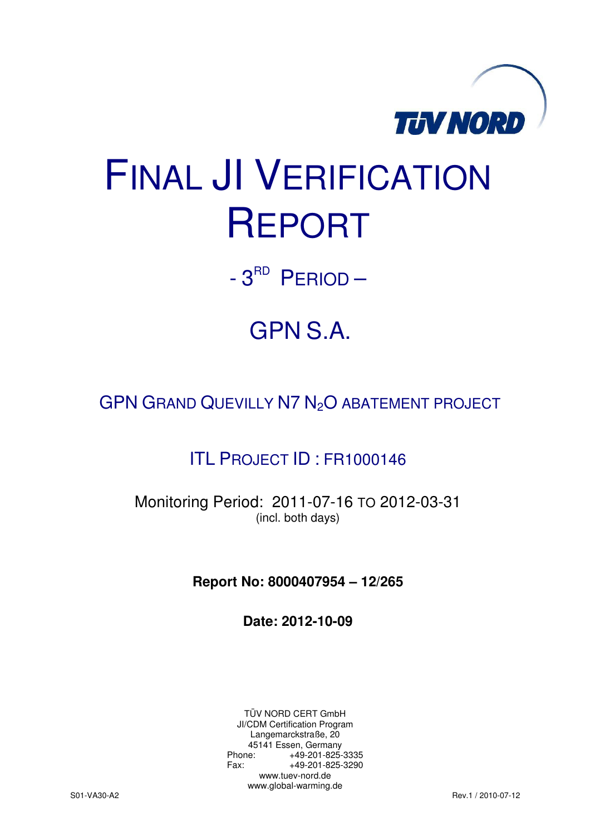

# FINAL JI VERIFICATION REPORT

 $-3^{RD}$  PERIOD  $-$ 

## GPN S.A.

GPN GRAND QUEVILLY N7 N<sub>2</sub>O ABATEMENT PROJECT

### ITL PROJECT ID : FR1000146

Monitoring Period: 2011-07-16 TO 2012-03-31 (incl. both days)

**Report No: 8000407954 – 12/265** 

**Date: 2012-10-09** 

TÜV NORD CERT GmbH JI/CDM Certification Program Langemarckstraße, 20 45141 Essen, Germany<br>+49-201-825-49 +49-201-825-3335 Fax: +49-201-825-3290 www.tuev-nord.de www.global-warming.de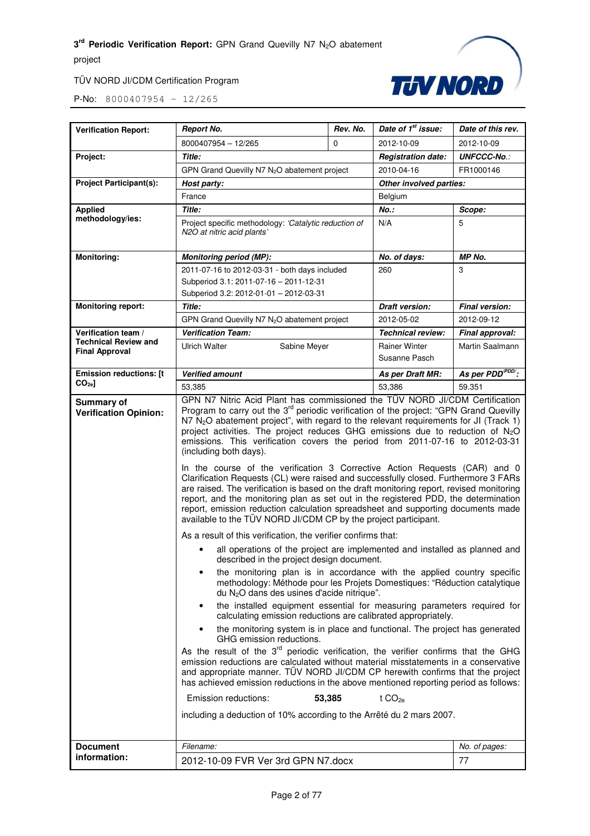project

#### TÜV NORD JI/CDM Certification Program



| <b>Verification Report:</b>                              | <b>Report No.</b>                                                                                                                                                                                                                                                                                                                                                                                                                                                                                                                                                                                                                                                                                                                                                                                                                                                                                                                                                                                                                                                                                                                                                                                                                                                                                                                                                                                                                                                                                                                                                                                                                                                                                                                                                                                                                                                                                                                                                                                                                                                                                                                                                              | Rev. No. | Date of 1 <sup>st</sup> issue:        | Date of this rev.           |
|----------------------------------------------------------|--------------------------------------------------------------------------------------------------------------------------------------------------------------------------------------------------------------------------------------------------------------------------------------------------------------------------------------------------------------------------------------------------------------------------------------------------------------------------------------------------------------------------------------------------------------------------------------------------------------------------------------------------------------------------------------------------------------------------------------------------------------------------------------------------------------------------------------------------------------------------------------------------------------------------------------------------------------------------------------------------------------------------------------------------------------------------------------------------------------------------------------------------------------------------------------------------------------------------------------------------------------------------------------------------------------------------------------------------------------------------------------------------------------------------------------------------------------------------------------------------------------------------------------------------------------------------------------------------------------------------------------------------------------------------------------------------------------------------------------------------------------------------------------------------------------------------------------------------------------------------------------------------------------------------------------------------------------------------------------------------------------------------------------------------------------------------------------------------------------------------------------------------------------------------------|----------|---------------------------------------|-----------------------------|
|                                                          | 8000407954 - 12/265                                                                                                                                                                                                                                                                                                                                                                                                                                                                                                                                                                                                                                                                                                                                                                                                                                                                                                                                                                                                                                                                                                                                                                                                                                                                                                                                                                                                                                                                                                                                                                                                                                                                                                                                                                                                                                                                                                                                                                                                                                                                                                                                                            | $\Omega$ | 2012-10-09                            | 2012-10-09                  |
| Project:                                                 | Title:                                                                                                                                                                                                                                                                                                                                                                                                                                                                                                                                                                                                                                                                                                                                                                                                                                                                                                                                                                                                                                                                                                                                                                                                                                                                                                                                                                                                                                                                                                                                                                                                                                                                                                                                                                                                                                                                                                                                                                                                                                                                                                                                                                         |          | <b>Registration date:</b>             | <b>UNFCCC-No.:</b>          |
|                                                          | GPN Grand Quevilly N7 N <sub>2</sub> O abatement project                                                                                                                                                                                                                                                                                                                                                                                                                                                                                                                                                                                                                                                                                                                                                                                                                                                                                                                                                                                                                                                                                                                                                                                                                                                                                                                                                                                                                                                                                                                                                                                                                                                                                                                                                                                                                                                                                                                                                                                                                                                                                                                       |          | 2010-04-16                            | FR1000146                   |
| <b>Project Participant(s):</b>                           | Host party:                                                                                                                                                                                                                                                                                                                                                                                                                                                                                                                                                                                                                                                                                                                                                                                                                                                                                                                                                                                                                                                                                                                                                                                                                                                                                                                                                                                                                                                                                                                                                                                                                                                                                                                                                                                                                                                                                                                                                                                                                                                                                                                                                                    |          | Other involved parties:               |                             |
|                                                          | France                                                                                                                                                                                                                                                                                                                                                                                                                                                                                                                                                                                                                                                                                                                                                                                                                                                                                                                                                                                                                                                                                                                                                                                                                                                                                                                                                                                                                                                                                                                                                                                                                                                                                                                                                                                                                                                                                                                                                                                                                                                                                                                                                                         |          | Belgium                               |                             |
| <b>Applied</b>                                           | <b>Title:</b>                                                                                                                                                                                                                                                                                                                                                                                                                                                                                                                                                                                                                                                                                                                                                                                                                                                                                                                                                                                                                                                                                                                                                                                                                                                                                                                                                                                                                                                                                                                                                                                                                                                                                                                                                                                                                                                                                                                                                                                                                                                                                                                                                                  |          | $No.$ :                               | Scope:                      |
| methodology/ies:                                         | Project specific methodology: 'Catalytic reduction of<br>N2O at nitric acid plants'                                                                                                                                                                                                                                                                                                                                                                                                                                                                                                                                                                                                                                                                                                                                                                                                                                                                                                                                                                                                                                                                                                                                                                                                                                                                                                                                                                                                                                                                                                                                                                                                                                                                                                                                                                                                                                                                                                                                                                                                                                                                                            |          | N/A                                   | 5                           |
| <b>Monitoring:</b>                                       | <b>Monitoring period (MP):</b>                                                                                                                                                                                                                                                                                                                                                                                                                                                                                                                                                                                                                                                                                                                                                                                                                                                                                                                                                                                                                                                                                                                                                                                                                                                                                                                                                                                                                                                                                                                                                                                                                                                                                                                                                                                                                                                                                                                                                                                                                                                                                                                                                 |          | No. of days:                          | MP No.                      |
|                                                          | 2011-07-16 to 2012-03-31 - both days included<br>Subperiod 3.1: 2011-07-16 - 2011-12-31<br>Subperiod 3.2: 2012-01-01 - 2012-03-31                                                                                                                                                                                                                                                                                                                                                                                                                                                                                                                                                                                                                                                                                                                                                                                                                                                                                                                                                                                                                                                                                                                                                                                                                                                                                                                                                                                                                                                                                                                                                                                                                                                                                                                                                                                                                                                                                                                                                                                                                                              |          | 260                                   | 3                           |
| <b>Monitoring report:</b>                                | Title:                                                                                                                                                                                                                                                                                                                                                                                                                                                                                                                                                                                                                                                                                                                                                                                                                                                                                                                                                                                                                                                                                                                                                                                                                                                                                                                                                                                                                                                                                                                                                                                                                                                                                                                                                                                                                                                                                                                                                                                                                                                                                                                                                                         |          | <b>Draft version:</b>                 | Final version:              |
|                                                          | GPN Grand Quevilly N7 N <sub>2</sub> O abatement project                                                                                                                                                                                                                                                                                                                                                                                                                                                                                                                                                                                                                                                                                                                                                                                                                                                                                                                                                                                                                                                                                                                                                                                                                                                                                                                                                                                                                                                                                                                                                                                                                                                                                                                                                                                                                                                                                                                                                                                                                                                                                                                       |          | 2012-05-02                            | 2012-09-12                  |
| Verification team /                                      | <b>Verification Team:</b>                                                                                                                                                                                                                                                                                                                                                                                                                                                                                                                                                                                                                                                                                                                                                                                                                                                                                                                                                                                                                                                                                                                                                                                                                                                                                                                                                                                                                                                                                                                                                                                                                                                                                                                                                                                                                                                                                                                                                                                                                                                                                                                                                      |          | <b>Technical review:</b>              | Final approval:             |
| <b>Technical Review and</b><br><b>Final Approval</b>     | <b>Ulrich Walter</b><br>Sabine Meyer                                                                                                                                                                                                                                                                                                                                                                                                                                                                                                                                                                                                                                                                                                                                                                                                                                                                                                                                                                                                                                                                                                                                                                                                                                                                                                                                                                                                                                                                                                                                                                                                                                                                                                                                                                                                                                                                                                                                                                                                                                                                                                                                           |          | <b>Rainer Winter</b><br>Susanne Pasch | Martin Saalmann             |
| <b>Emission reductions: [t</b>                           | <b>Verified amount</b>                                                                                                                                                                                                                                                                                                                                                                                                                                                                                                                                                                                                                                                                                                                                                                                                                                                                                                                                                                                                                                                                                                                                                                                                                                                                                                                                                                                                                                                                                                                                                                                                                                                                                                                                                                                                                                                                                                                                                                                                                                                                                                                                                         |          | As per Draft MR:                      | As per PDD <sup>PDD</sup> : |
| $CO2e$ ]                                                 | 53,385                                                                                                                                                                                                                                                                                                                                                                                                                                                                                                                                                                                                                                                                                                                                                                                                                                                                                                                                                                                                                                                                                                                                                                                                                                                                                                                                                                                                                                                                                                                                                                                                                                                                                                                                                                                                                                                                                                                                                                                                                                                                                                                                                                         |          | 53,386                                | 59.351                      |
| <b>Verification Opinion:</b>                             | GPN N7 Nitric Acid Plant has commissioned the TÜV NORD JI/CDM Certification<br>Program to carry out the 3 <sup>rd</sup> periodic verification of the project: "GPN Grand Quevilly<br>N7 N <sub>2</sub> O abatement project", with regard to the relevant requirements for JI (Track 1)<br>project activities. The project reduces GHG emissions due to reduction of $N_2O$<br>emissions. This verification covers the period from 2011-07-16 to 2012-03-31<br>(including both days).<br>In the course of the verification 3 Corrective Action Requests (CAR) and 0<br>Clarification Requests (CL) were raised and successfully closed. Furthermore 3 FARs<br>are raised. The verification is based on the draft monitoring report, revised monitoring<br>report, and the monitoring plan as set out in the registered PDD, the determination<br>report, emission reduction calculation spreadsheet and supporting documents made<br>available to the TÜV NORD JI/CDM CP by the project participant.<br>As a result of this verification, the verifier confirms that:<br>all operations of the project are implemented and installed as planned and<br>described in the project design document.<br>the monitoring plan is in accordance with the applied country specific<br>methodology: Méthode pour les Projets Domestiques: "Réduction catalytique<br>du N <sub>2</sub> O dans des usines d'acide nitrique".<br>the installed equipment essential for measuring parameters required for<br>٠<br>calculating emission reductions are calibrated appropriately.<br>the monitoring system is in place and functional. The project has generated<br>GHG emission reductions.<br>As the result of the 3 <sup>rd</sup> periodic verification, the verifier confirms that the GHG<br>emission reductions are calculated without material misstatements in a conservative<br>and appropriate manner. TUV NORD JI/CDM CP herewith confirms that the project<br>has achieved emission reductions in the above mentioned reporting period as follows:<br>Emission reductions:<br>53,385<br>t CO <sub>2e</sub><br>including a deduction of 10% according to the Arrêté du 2 mars 2007. |          |                                       |                             |
| <b>Document</b>                                          | Filename:                                                                                                                                                                                                                                                                                                                                                                                                                                                                                                                                                                                                                                                                                                                                                                                                                                                                                                                                                                                                                                                                                                                                                                                                                                                                                                                                                                                                                                                                                                                                                                                                                                                                                                                                                                                                                                                                                                                                                                                                                                                                                                                                                                      |          |                                       | No. of pages:               |
| information:<br>77<br>2012-10-09 FVR Ver 3rd GPN N7.docx |                                                                                                                                                                                                                                                                                                                                                                                                                                                                                                                                                                                                                                                                                                                                                                                                                                                                                                                                                                                                                                                                                                                                                                                                                                                                                                                                                                                                                                                                                                                                                                                                                                                                                                                                                                                                                                                                                                                                                                                                                                                                                                                                                                                |          |                                       |                             |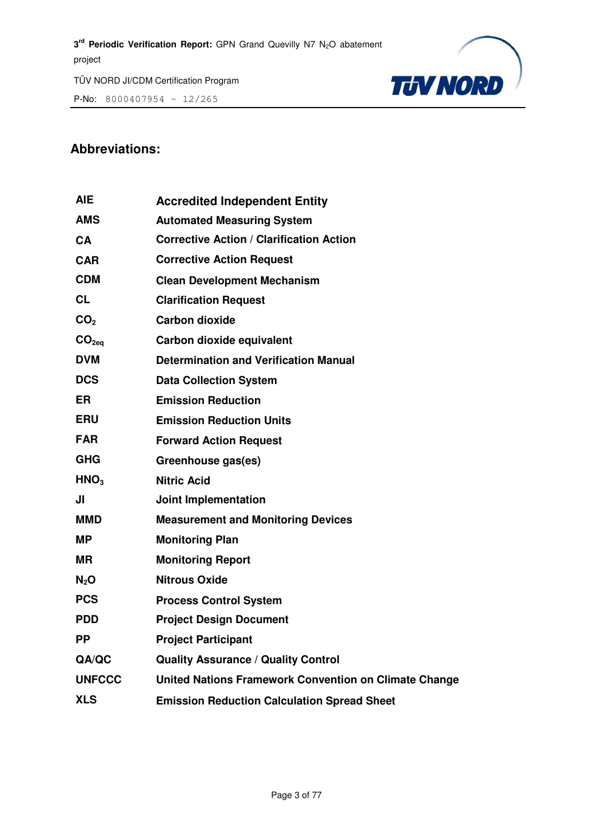P-No: 8000407954 – 12/265



#### **Abbreviations:**

| <b>AIE</b>        | <b>Accredited Independent Entity</b>                  |
|-------------------|-------------------------------------------------------|
| <b>AMS</b>        | <b>Automated Measuring System</b>                     |
| CA                | <b>Corrective Action / Clarification Action</b>       |
| <b>CAR</b>        | <b>Corrective Action Request</b>                      |
| <b>CDM</b>        | <b>Clean Development Mechanism</b>                    |
| <b>CL</b>         | <b>Clarification Request</b>                          |
| CO <sub>2</sub>   | <b>Carbon dioxide</b>                                 |
| CO <sub>2eq</sub> | Carbon dioxide equivalent                             |
| <b>DVM</b>        | <b>Determination and Verification Manual</b>          |
| <b>DCS</b>        | <b>Data Collection System</b>                         |
| ER                | <b>Emission Reduction</b>                             |
| <b>ERU</b>        | <b>Emission Reduction Units</b>                       |
| <b>FAR</b>        | <b>Forward Action Request</b>                         |
| <b>GHG</b>        | Greenhouse gas(es)                                    |
| HNO <sub>3</sub>  | <b>Nitric Acid</b>                                    |
| JI                | <b>Joint Implementation</b>                           |
| MMD               | <b>Measurement and Monitoring Devices</b>             |
| MP.               | <b>Monitoring Plan</b>                                |
| MR.               | <b>Monitoring Report</b>                              |
| N <sub>2</sub> O  | <b>Nitrous Oxide</b>                                  |
| <b>PCS</b>        | <b>Process Control System</b>                         |
| <b>PDD</b>        | <b>Project Design Document</b>                        |
| <b>PP</b>         | <b>Project Participant</b>                            |
| QA/QC             | <b>Quality Assurance / Quality Control</b>            |
| <b>UNFCCC</b>     | United Nations Framework Convention on Climate Change |
| <b>XLS</b>        | <b>Emission Reduction Calculation Spread Sheet</b>    |
|                   |                                                       |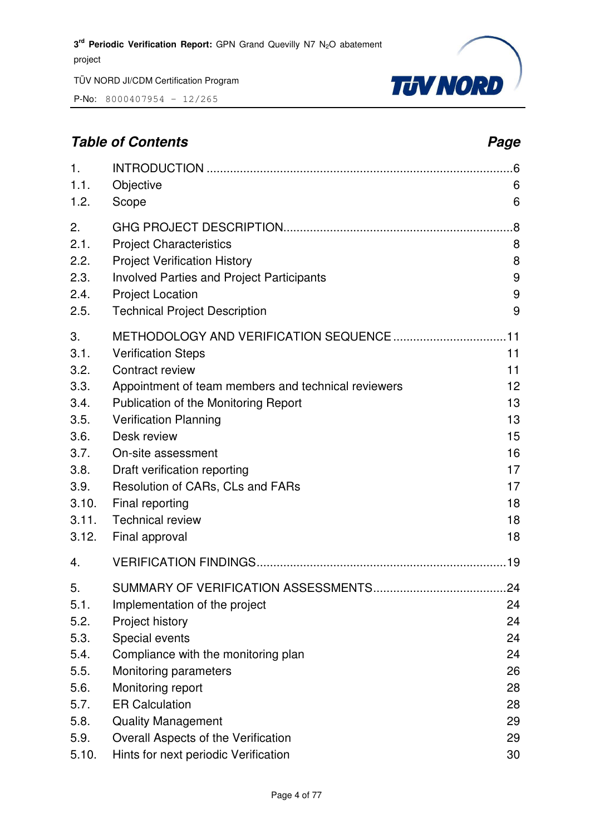P-No: 8000407954 – 12/265



#### **Table of Contents** *Page* **Page 2014**

| 1.                                                                                                    |                                                                                                                                                                                                                                                                                                                                                      | .6                                                                   |
|-------------------------------------------------------------------------------------------------------|------------------------------------------------------------------------------------------------------------------------------------------------------------------------------------------------------------------------------------------------------------------------------------------------------------------------------------------------------|----------------------------------------------------------------------|
| 1.1.                                                                                                  | Objective                                                                                                                                                                                                                                                                                                                                            | 6                                                                    |
| 1.2.                                                                                                  | Scope                                                                                                                                                                                                                                                                                                                                                | 6                                                                    |
| 2.                                                                                                    |                                                                                                                                                                                                                                                                                                                                                      | .8                                                                   |
| 2.1.                                                                                                  | <b>Project Characteristics</b>                                                                                                                                                                                                                                                                                                                       | 8                                                                    |
| 2.2.                                                                                                  | <b>Project Verification History</b>                                                                                                                                                                                                                                                                                                                  | 8                                                                    |
| 2.3.                                                                                                  | <b>Involved Parties and Project Participants</b>                                                                                                                                                                                                                                                                                                     | 9                                                                    |
| 2.4.                                                                                                  | <b>Project Location</b>                                                                                                                                                                                                                                                                                                                              | 9                                                                    |
| 2.5.                                                                                                  | <b>Technical Project Description</b>                                                                                                                                                                                                                                                                                                                 | 9                                                                    |
| 3.<br>3.1.<br>3.2.<br>3.3.<br>3.4.<br>3.5.<br>3.6.<br>3.7.<br>3.8.<br>3.9.<br>3.10.<br>3.11.<br>3.12. | <b>Verification Steps</b><br>Contract review<br>Appointment of team members and technical reviewers<br>Publication of the Monitoring Report<br><b>Verification Planning</b><br>Desk review<br>On-site assessment<br>Draft verification reporting<br>Resolution of CARs, CLs and FARs<br>Final reporting<br><b>Technical review</b><br>Final approval | 11<br>11<br>12<br>13<br>13<br>15<br>16<br>17<br>17<br>18<br>18<br>18 |
| 4.                                                                                                    |                                                                                                                                                                                                                                                                                                                                                      |                                                                      |
| 5.<br>5.1.<br>5.2.<br>5.3.<br>5.4.<br>5.5.<br>5.6.<br>5.7.<br>5.8.                                    | Implementation of the project<br>Project history<br>Special events<br>Compliance with the monitoring plan<br>Monitoring parameters<br>Monitoring report<br><b>ER Calculation</b><br><b>Quality Management</b>                                                                                                                                        | 24<br>24<br>24<br>24<br>26<br>28<br>28<br>29                         |
| 5.9.                                                                                                  | Overall Aspects of the Verification                                                                                                                                                                                                                                                                                                                  | 29                                                                   |
| 5.10.                                                                                                 | Hints for next periodic Verification                                                                                                                                                                                                                                                                                                                 | 30                                                                   |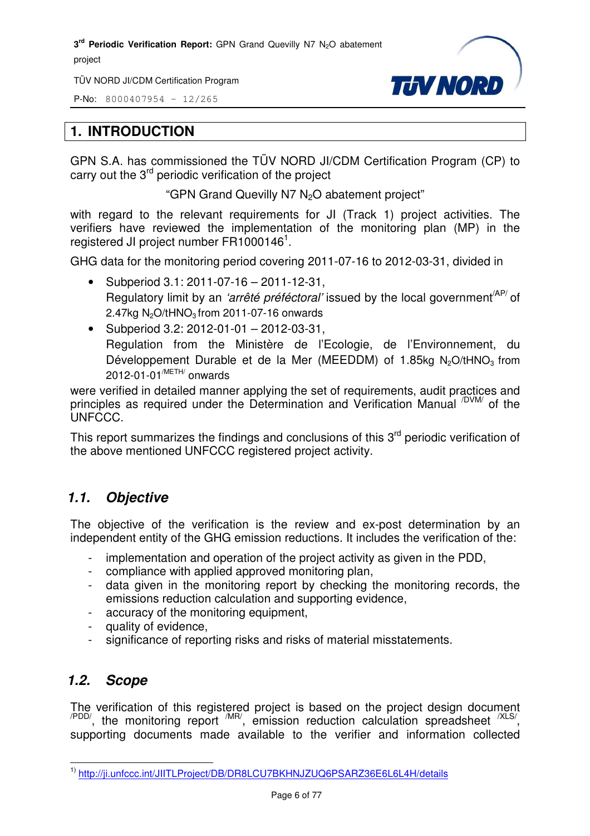TÜV NORD JI/CDM Certification Program

P-No: 8000407954 – 12/265



#### **1. INTRODUCTION**

GPN S.A. has commissioned the TÜV NORD JI/CDM Certification Program (CP) to carry out the 3<sup>rd</sup> periodic verification of the project

"GPN Grand Quevilly N7 N<sub>2</sub>O abatement project"

with regard to the relevant requirements for JI (Track 1) project activities. The verifiers have reviewed the implementation of the monitoring plan (MP) in the registered JI project number  $FR1000146^1$ .

GHG data for the monitoring period covering 2011-07-16 to 2012-03-31, divided in

- Subperiod 3.1: 2011-07-16 2011-12-31, Regulatory limit by an 'arrêté préféctoral' issued by the local government<sup>/AP/</sup> of 2.47kg  $N_2O/tHNO_3$  from 2011-07-16 onwards
- Subperiod 3.2: 2012-01-01 2012-03-31, Regulation from the Ministère de l'Ecologie, de l'Environnement, du Développement Durable et de la Mer (MEEDDM) of 1.85kg N<sub>2</sub>O/tHNO<sub>3</sub> from 2012-01-01/METH/ onwards

were verified in detailed manner applying the set of requirements, audit practices and principles as required under the Determination and Verification Manual <sup>/DVM/</sup> of the UNFCCC.

This report summarizes the findings and conclusions of this  $3<sup>rd</sup>$  periodic verification of the above mentioned UNFCCC registered project activity.

#### *1.1. Objective*

The objective of the verification is the review and ex-post determination by an independent entity of the GHG emission reductions. It includes the verification of the:

- implementation and operation of the project activity as given in the PDD,
- compliance with applied approved monitoring plan,
- data given in the monitoring report by checking the monitoring records, the emissions reduction calculation and supporting evidence,
- accuracy of the monitoring equipment,
- quality of evidence,
- significance of reporting risks and risks of material misstatements.

#### *1.2. Scope*

The verification of this registered project is based on the project design document  $\mu_{\text{PDD}}$ , the monitoring report  $\mu_{\text{IR}}$ , emission reduction calculation spreadsheet  $\mu_{\text{SND}}$ supporting documents made available to the verifier and information collected

l <sup>1)</sup> http://ji.unfccc.int/JIITLProject/DB/DR8LCU7BKHNJZUQ6PSARZ36E6L6L4H/details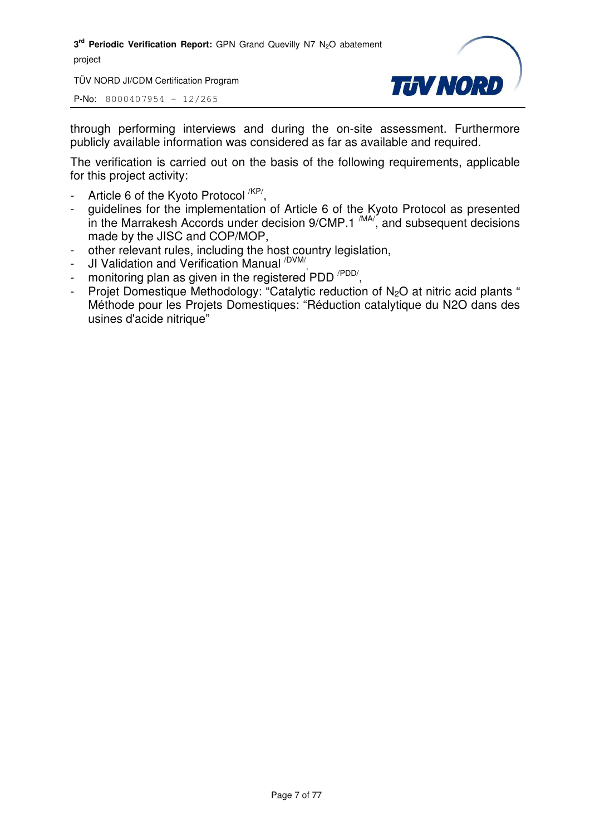TÜV NORD JI/CDM Certification Program

P-No: 8000407954 – 12/265



through performing interviews and during the on-site assessment. Furthermore publicly available information was considered as far as available and required.

The verification is carried out on the basis of the following requirements, applicable for this project activity:

- Article 6 of the Kyoto Protocol <sup>/KP/</sup>,
- guidelines for the implementation of Article 6 of the Kyoto Protocol as presented in the Marrakesh Accords under decision  $9/CMP.1 \frac{MAV}{M}$ , and subsequent decisions made by the JISC and COP/MOP,
- other relevant rules, including the host country legislation,
- JI Validation and Verification Manual <sup>/DVM/</sup>
- Universition and verification manual<br>- monitoring plan as given in the registered PDD <sup>/PDD/</sup>,
- Projet Domestique Methodology: "Catalytic reduction of N<sub>2</sub>O at nitric acid plants " Méthode pour les Projets Domestiques: "Réduction catalytique du N2O dans des usines d'acide nitrique"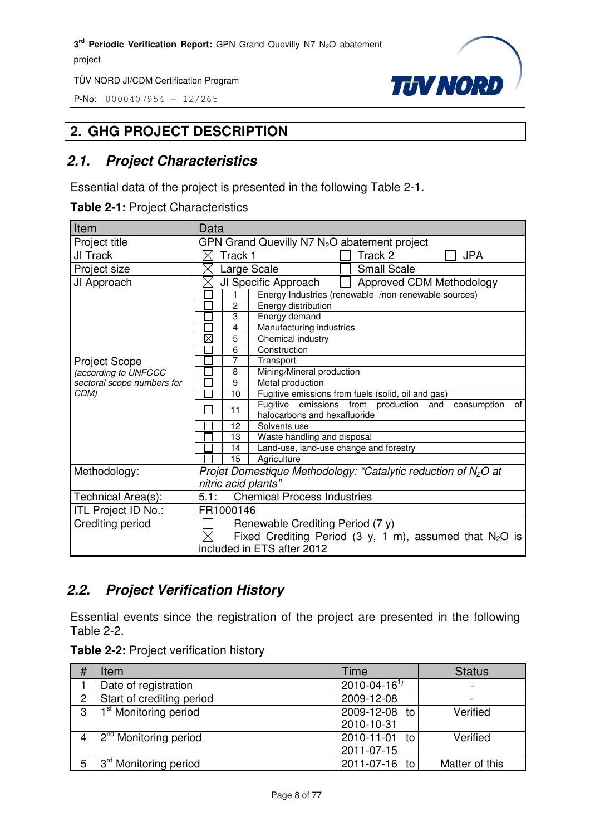P-No: 8000407954 – 12/265



#### **2. GHG PROJECT DESCRIPTION**

#### *2.1. Project Characteristics*

Essential data of the project is presented in the following Table 2-1.

**Table 2-1:** Project Characteristics

| Item                       | Data                                                                     |  |  |
|----------------------------|--------------------------------------------------------------------------|--|--|
| Project title              | GPN Grand Quevilly N7 N <sub>2</sub> O abatement project                 |  |  |
| JI Track                   | Track 2<br><b>JPA</b><br>Track 1<br>X                                    |  |  |
| Project size               | $\times$<br><b>Small Scale</b><br>Large Scale                            |  |  |
| JI Approach                | JI Specific Approach<br>Approved CDM Methodology<br>$\times$             |  |  |
|                            | Energy Industries (renewable-/non-renewable sources)<br>1                |  |  |
|                            | $\overline{c}$<br>Energy distribution                                    |  |  |
|                            | 3<br>Energy demand                                                       |  |  |
|                            | Manufacturing industries<br>4                                            |  |  |
|                            | $\boxtimes$<br>5<br>Chemical industry                                    |  |  |
|                            | Construction<br>6                                                        |  |  |
| <b>Project Scope</b>       | 7<br>Transport                                                           |  |  |
| (according to UNFCCC       | Mining/Mineral production<br>8                                           |  |  |
| sectoral scope numbers for | 9<br>Metal production                                                    |  |  |
| CDM)                       | 10<br>Fugitive emissions from fuels (solid, oil and gas)                 |  |  |
|                            | Fugitive emissions from production and<br>consumption<br>οf<br>11        |  |  |
|                            | halocarbons and hexafluoride                                             |  |  |
|                            | 12<br>Solvents use                                                       |  |  |
|                            | Waste handling and disposal<br>13                                        |  |  |
|                            | Land-use, land-use change and forestry<br>14                             |  |  |
|                            | 15<br>Agriculture                                                        |  |  |
| Methodology:               | Projet Domestique Methodology: "Catalytic reduction of $N_2O$ at         |  |  |
|                            | nitric acid plants"                                                      |  |  |
| Technical Area(s):         | 5.1:<br><b>Chemical Process Industries</b>                               |  |  |
| ITL Project ID No.:        | FR1000146                                                                |  |  |
| Crediting period           | Renewable Crediting Period (7 y)                                         |  |  |
|                            | $\boxtimes$<br>Fixed Crediting Period (3 y, 1 m), assumed that $N_2O$ is |  |  |
|                            | included in ETS after 2012                                               |  |  |

#### *2.2. Project Verification History*

Essential events since the registration of the project are presented in the following Table 2-2.

| Table 2-2: Project verification history |  |  |
|-----------------------------------------|--|--|
|-----------------------------------------|--|--|

|                | Item                              | Time                 | <b>Status</b>  |
|----------------|-----------------------------------|----------------------|----------------|
|                | Date of registration              | $2010 - 04 - 16^{1}$ |                |
| $\overline{2}$ | Start of crediting period         | 2009-12-08           |                |
| 3              | 1 <sup>st</sup> Monitoring period | 2009-12-08 to        | Verified       |
|                |                                   | 2010-10-31           |                |
|                | 2 <sup>nd</sup> Monitoring period | 2010-11-01 to        | Verified       |
|                |                                   | 2011-07-15           |                |
| 5              | 3 <sup>rd</sup> Monitoring period | 2011-07-16 to        | Matter of this |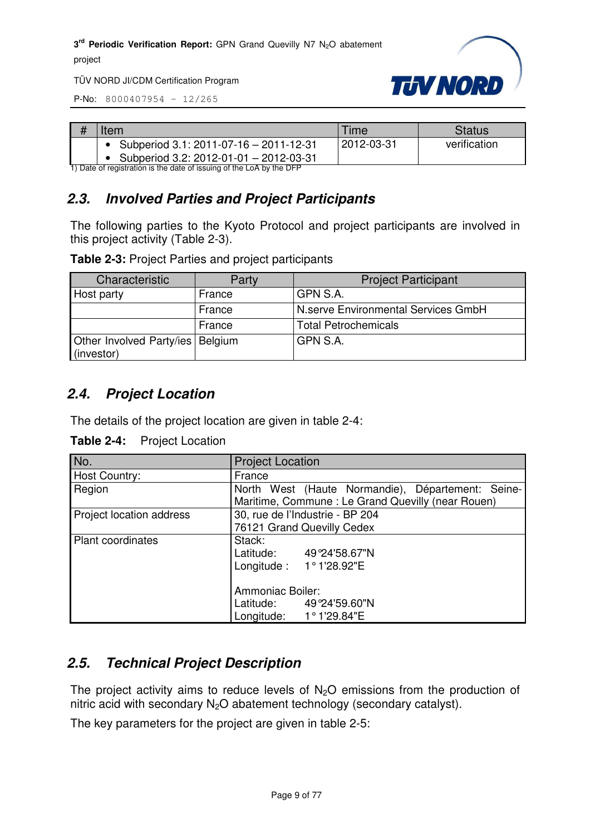

TÜV NORD JI/CDM Certification Program

P-No: 8000407954 – 12/265

| # | Item                                                                                                           | ⊺ime       | Status       |
|---|----------------------------------------------------------------------------------------------------------------|------------|--------------|
|   | Subperiod 3.1: 2011-07-16 - 2011-12-31                                                                         | 2012-03-31 | verification |
|   | Subperiod 3.2: 2012-01-01 - 2012-03-31<br>1) Data at registration is the date of issuing of the LeA by the DED |            |              |

1) Date of registration is the date of issuing of the LoA by the DFP

#### *2.3. Involved Parties and Project Participants*

The following parties to the Kyoto Protocol and project participants are involved in this project activity (Table 2-3).

**Table 2-3:** Project Parties and project participants

| Characteristic                                   | Party  | <b>Project Participant</b>          |
|--------------------------------------------------|--------|-------------------------------------|
| Host party                                       | France | GPN S.A.                            |
|                                                  | France | N.serve Environmental Services GmbH |
|                                                  | France | <b>Total Petrochemicals</b>         |
| Other Involved Party/ies   Belgium<br>(investor) |        | GPN S.A.                            |

#### *2.4. Project Location*

The details of the project location are given in table 2-4:

| $\overline{\text{No}}$ . | <b>Project Location</b>                           |  |  |
|--------------------------|---------------------------------------------------|--|--|
| Host Country:            | France                                            |  |  |
| Region                   | North West (Haute Normandie), Département: Seine- |  |  |
|                          | Maritime, Commune: Le Grand Quevilly (near Rouen) |  |  |
| Project location address | 30, rue de l'Industrie - BP 204                   |  |  |
|                          | 76121 Grand Quevilly Cedex                        |  |  |
| <b>Plant coordinates</b> | Stack:                                            |  |  |
|                          | Latitude: 49°24'58.67"N                           |  |  |
|                          | Longitude: 1°1'28.92"E                            |  |  |
|                          |                                                   |  |  |
|                          | Ammoniac Boiler:                                  |  |  |
|                          | Latitude: 49°24'59.60"N                           |  |  |
|                          | Longitude: $1^{\circ}1'29.84''E$                  |  |  |

#### *2.5. Technical Project Description*

The project activity aims to reduce levels of  $N<sub>2</sub>O$  emissions from the production of nitric acid with secondary  $N_2O$  abatement technology (secondary catalyst).

The key parameters for the project are given in table 2-5: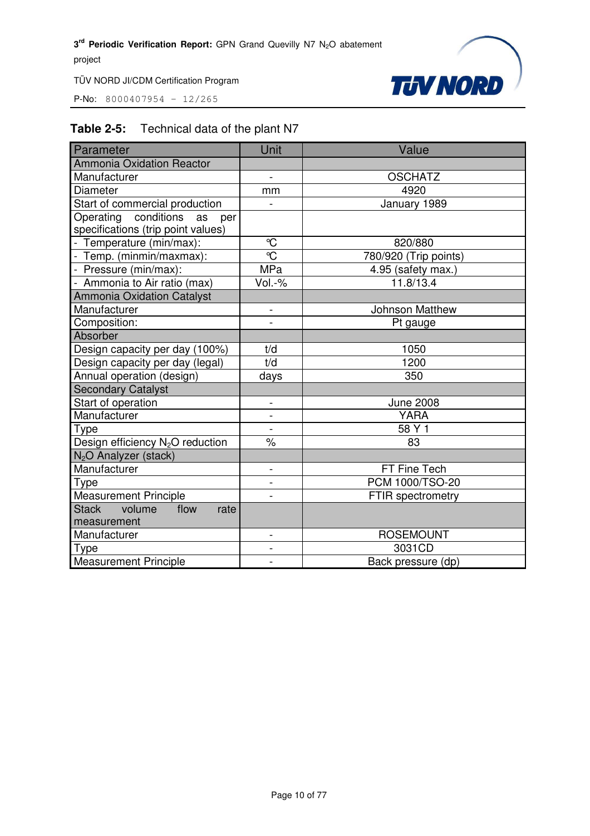P-No: 8000407954 – 12/265



#### **Table 2-5:** Technical data of the plant N7

| Parameter                                    | Unit                     | Value                    |
|----------------------------------------------|--------------------------|--------------------------|
| <b>Ammonia Oxidation Reactor</b>             |                          |                          |
| Manufacturer                                 | $\overline{a}$           | <b>OSCHATZ</b>           |
| Diameter                                     | mm                       | 4920                     |
| Start of commercial production               | $\overline{a}$           | January 1989             |
| Operating conditions as<br>per               |                          |                          |
| specifications (trip point values)           |                          |                          |
| - Temperature (min/max):                     | $\mathcal{C}$            | 820/880                  |
| - Temp. (minmin/maxmax):                     | $\overline{\mathbb{C}}$  | 780/920 (Trip points)    |
| - Pressure (min/max):                        | <b>MPa</b>               | 4.95 (safety max.)       |
| - Ammonia to Air ratio (max)                 | Vol.-%                   | 11.8/13.4                |
| <b>Ammonia Oxidation Catalyst</b>            |                          |                          |
| Manufacturer                                 |                          | Johnson Matthew          |
| Composition:                                 |                          | Pt gauge                 |
| Absorber                                     |                          |                          |
| Design capacity per day (100%)               | t/d                      | 1050                     |
| Design capacity per day (legal)              | t/d                      | 1200                     |
| Annual operation (design)                    | days                     | 350                      |
| <b>Secondary Catalyst</b>                    |                          |                          |
| Start of operation                           |                          | <b>June 2008</b>         |
| Manufacturer                                 | $\overline{a}$           | <b>YARA</b>              |
| Type                                         | $\frac{1}{2}$            | 58 Y 1                   |
| Design efficiency N <sub>2</sub> O reduction | $\%$                     | 83                       |
| N <sub>2</sub> O Analyzer (stack)            |                          |                          |
| Manufacturer                                 | $\overline{\phantom{0}}$ | FT Fine Tech             |
| <b>Type</b>                                  | $\overline{a}$           | <b>PCM 1000/TSO-20</b>   |
| <b>Measurement Principle</b>                 |                          | <b>FTIR spectrometry</b> |
| <b>Stack</b><br>volume<br>flow<br>rate       |                          |                          |
| measurement                                  |                          |                          |
| Manufacturer                                 | $\overline{a}$           | <b>ROSEMOUNT</b>         |
| Type                                         | -                        | 3031CD                   |
| <b>Measurement Principle</b>                 |                          | Back pressure (dp)       |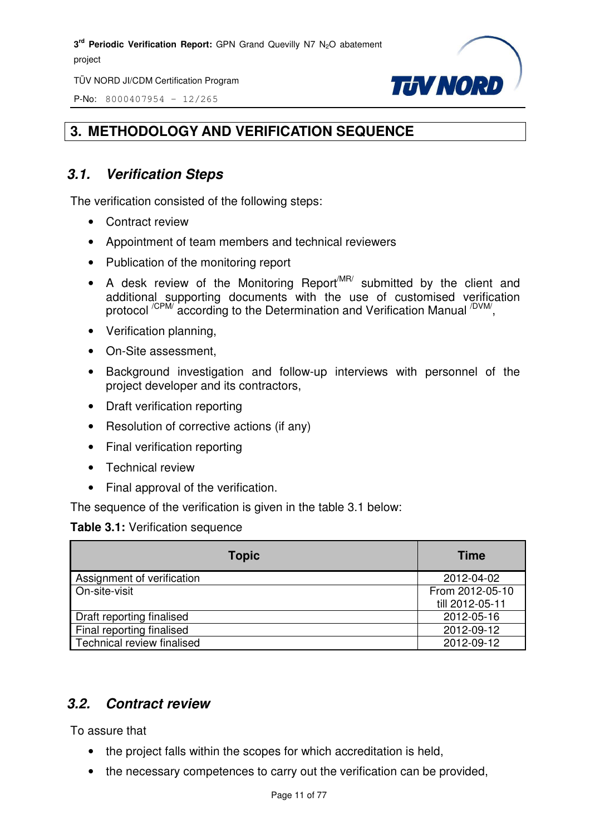TÜV NORD JI/CDM Certification Program

P-No: 8000407954 – 12/265



#### **3. METHODOLOGY AND VERIFICATION SEQUENCE**

#### *3.1. Verification Steps*

The verification consisted of the following steps:

- Contract review
- Appointment of team members and technical reviewers
- Publication of the monitoring report
- A desk review of the Monitoring Report<sup>MR/</sup> submitted by the client and additional supporting documents with the use of customised verification protocol <sup>/CPM/</sup> according to the Determination and Verification Manual <sup>/DVM/</sup>,
- Verification planning,
- On-Site assessment,
- Background investigation and follow-up interviews with personnel of the project developer and its contractors,
- Draft verification reporting
- Resolution of corrective actions (if any)
- Final verification reporting
- Technical review
- Final approval of the verification.

The sequence of the verification is given in the table 3.1 below:

#### **Table 3.1:** Verification sequence

| <b>Topic</b>               | <b>Time</b>     |
|----------------------------|-----------------|
| Assignment of verification | 2012-04-02      |
| On-site-visit              | From 2012-05-10 |
|                            | till 2012-05-11 |
| Draft reporting finalised  | 2012-05-16      |
| Final reporting finalised  | 2012-09-12      |
| Technical review finalised | 2012-09-12      |

#### *3.2. Contract review*

To assure that

- the project falls within the scopes for which accreditation is held,
- the necessary competences to carry out the verification can be provided,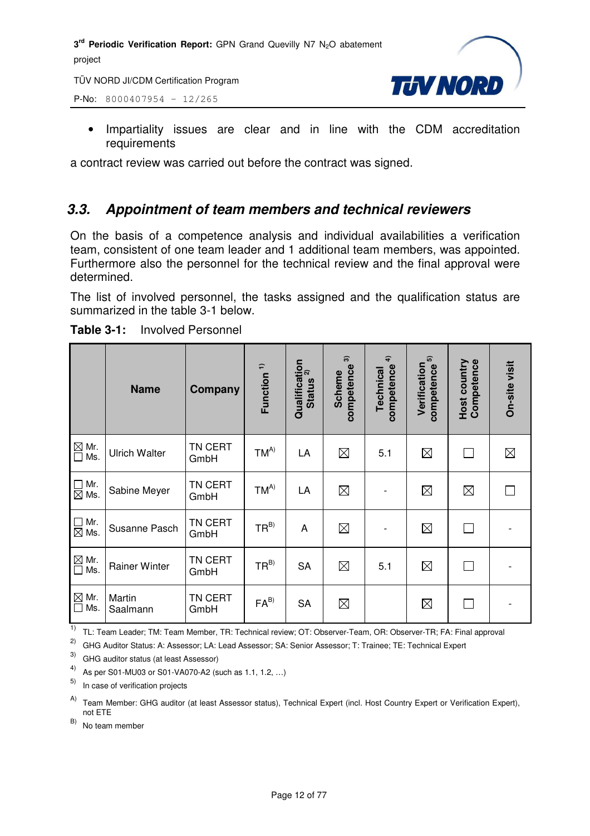TÜV NORD JI/CDM Certification Program

P-No: 8000407954 – 12/265



• Impartiality issues are clear and in line with the CDM accreditation requirements

a contract review was carried out before the contract was signed.

#### *3.3. Appointment of team members and technical reviewers*

On the basis of a competence analysis and individual availabilities a verification team, consistent of one team leader and 1 additional team members, was appointed. Furthermore also the personnel for the technical review and the final approval were determined.

The list of involved personnel, the tasks assigned and the qualification status are summarized in the table 3-1 below.

|                                                        | <b>Name</b>          | Company         | Function <sup>1)</sup> | Qualification<br>Cuntius <sup>2)</sup><br><b>Status</b> | $\widehat{\mathcal{D}}$<br>competence<br><b>Scheme</b> | $\hat{+}$<br>competence<br>Technical | 5<br>Verification<br>competence | Host country<br>Competence | On-site visit |
|--------------------------------------------------------|----------------------|-----------------|------------------------|---------------------------------------------------------|--------------------------------------------------------|--------------------------------------|---------------------------------|----------------------------|---------------|
| $\overline{\bigcirc}$ Mr.<br>$\overline{\bigcirc}$ Ms. | <b>Ulrich Walter</b> | TN CERT<br>GmbH | $TM^{A)}$              | LA                                                      | $\boxtimes$                                            | 5.1                                  | $\boxtimes$                     | П                          | $\boxtimes$   |
| $\Box$ Mr.<br>$\boxtimes$ Ms.                          | Sabine Meyer         | TN CERT<br>GmbH | $TM^{A)}$              | LA                                                      | $\boxtimes$                                            |                                      | $\boxtimes$                     | $\boxtimes$                |               |
| $\Box$ Mr.<br>$\boxtimes$ Ms.                          | Susanne Pasch        | TN CERT<br>GmbH | $TR^{B)}$              | A                                                       | $\boxtimes$                                            |                                      | $\boxtimes$                     | П                          |               |
| $\overline{\bigcirc}$ Mr.<br>$\Box$ Ms.                | <b>Rainer Winter</b> | TN CERT<br>GmbH | $TR^{B)}$              | <b>SA</b>                                               | $\boxtimes$                                            | 5.1                                  | $\boxtimes$                     | П                          |               |
| $\boxtimes$ Mr.<br>$\Box$<br>Ms.                       | Martin<br>Saalmann   | TN CERT<br>GmbH | $FA^{B)}$              | <b>SA</b>                                               | $\boxtimes$                                            |                                      | $\boxtimes$                     | П                          |               |

**Table 3-1:** Involved Personnel

<sup>1)</sup> TL: Team Leader; TM: Team Member, TR: Technical review; OT: Observer-Team, OR: Observer-TR; FA: Final approval

2) GHG Auditor Status: A: Assessor; LA: Lead Assessor; SA: Senior Assessor; T: Trainee; TE: Technical Expert

3) GHG auditor status (at least Assessor)

4) As per S01-MU03 or S01-VA070-A2 (such as 1.1, 1.2, …)

In case of verification projects

A) Team Member: GHG auditor (at least Assessor status), Technical Expert (incl. Host Country Expert or Verification Expert), not ETE

 $(B)$  No team member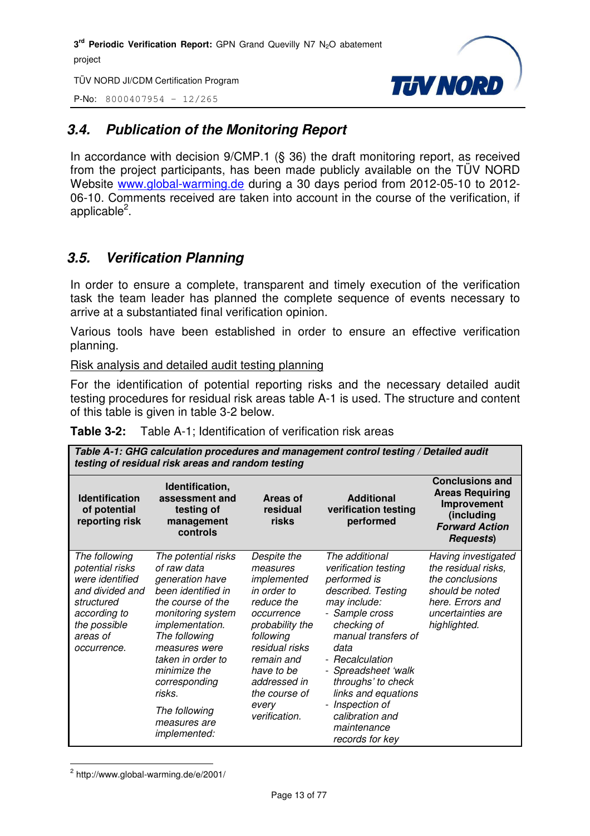TÜV NORD JI/CDM Certification Program

P-No: 8000407954 – 12/265



#### *3.4. Publication of the Monitoring Report*

In accordance with decision 9/CMP.1 (§ 36) the draft monitoring report, as received from the project participants, has been made publicly available on the TÜV NORD Website www.global-warming.de during a 30 days period from 2012-05-10 to 2012- 06-10. Comments received are taken into account in the course of the verification, if applicable<sup>2</sup>.

#### *3.5. Verification Planning*

In order to ensure a complete, transparent and timely execution of the verification task the team leader has planned the complete sequence of events necessary to arrive at a substantiated final verification opinion.

Various tools have been established in order to ensure an effective verification planning.

Risk analysis and detailed audit testing planning

For the identification of potential reporting risks and the necessary detailed audit testing procedures for residual risk areas table A-1 is used. The structure and content of this table is given in table 3-2 below.

| Table A-1: GHG calculation procedures and management control testing / Detailed audit<br>testing of residual risk areas and random testing      |                                                                                                                                                                                                                                                                                                    |                                                                                                                                                                                                                            |                                                                                                                                                                                                                                                                                                                             |                                                                                                                                           |  |
|-------------------------------------------------------------------------------------------------------------------------------------------------|----------------------------------------------------------------------------------------------------------------------------------------------------------------------------------------------------------------------------------------------------------------------------------------------------|----------------------------------------------------------------------------------------------------------------------------------------------------------------------------------------------------------------------------|-----------------------------------------------------------------------------------------------------------------------------------------------------------------------------------------------------------------------------------------------------------------------------------------------------------------------------|-------------------------------------------------------------------------------------------------------------------------------------------|--|
| <b>Identification</b><br>of potential<br>reporting risk                                                                                         | Identification,<br>assessment and<br>testing of<br>management<br>controls                                                                                                                                                                                                                          | Areas of<br>residual<br>risks                                                                                                                                                                                              | <b>Additional</b><br>verification testing<br>performed                                                                                                                                                                                                                                                                      | <b>Conclusions and</b><br><b>Areas Requiring</b><br>Improvement<br>(including<br><b>Forward Action</b><br><b>Requests</b> )               |  |
| The following<br>potential risks<br>were identified<br>and divided and<br>structured<br>according to<br>the possible<br>areas of<br>occurrence. | The potential risks<br>of raw data<br>generation have<br>been identified in<br>the course of the<br>monitoring system<br>implementation.<br>The following<br>measures were<br>taken in order to<br>minimize the<br>corresponding<br>risks.<br>The following<br>measures are<br><i>implemented:</i> | Despite the<br>measures<br>implemented<br>in order to<br>reduce the<br>occurrence<br>probability the<br>following<br>residual risks<br>remain and<br>have to be<br>addressed in<br>the course of<br>every<br>verification. | The additional<br>verification testing<br>performed is<br>described. Testing<br>may include:<br>- Sample cross<br>checking of<br>manual transfers of<br>data<br>- Recalculation<br>- Spreadsheet 'walk<br>throughs' to check<br>links and equations<br>- Inspection of<br>calibration and<br>maintenance<br>records for key | Having investigated<br>the residual risks,<br>the conclusions<br>should be noted<br>here. Errors and<br>uncertainties are<br>highlighted. |  |

**Table 3-2:** Table A-1; Identification of verification risk areas

 $2$  http://www.global-warming.de/e/2001/

l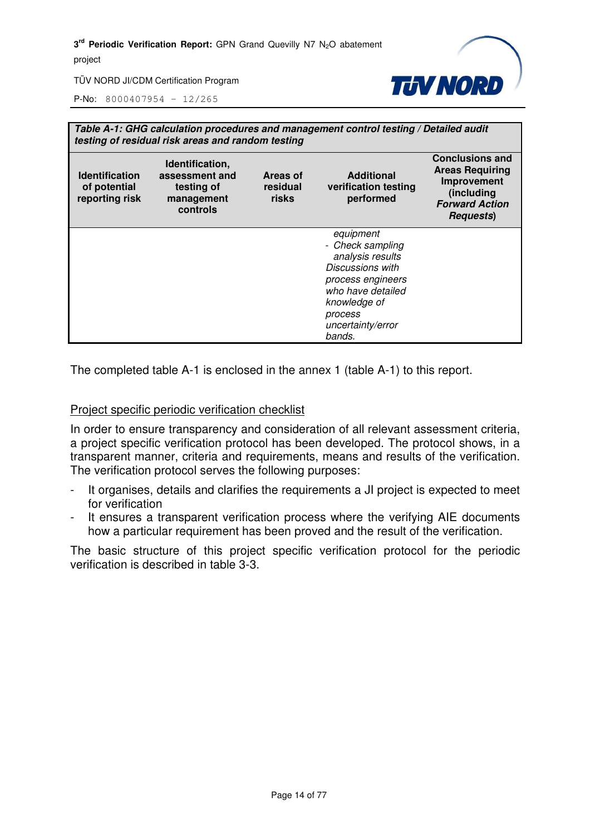

P-No: 8000407954 – 12/265

| Table A-1: GHG calculation procedures and management control testing / Detailed audit<br>testing of residual risk areas and random testing |                                                                           |                               |                                                                                                                                                                           |                                                                                                                             |  |
|--------------------------------------------------------------------------------------------------------------------------------------------|---------------------------------------------------------------------------|-------------------------------|---------------------------------------------------------------------------------------------------------------------------------------------------------------------------|-----------------------------------------------------------------------------------------------------------------------------|--|
| <b>Identification</b><br>of potential<br>reporting risk                                                                                    | Identification,<br>assessment and<br>testing of<br>management<br>controls | Areas of<br>residual<br>risks | <b>Additional</b><br>verification testing<br>performed                                                                                                                    | <b>Conclusions and</b><br><b>Areas Requiring</b><br>Improvement<br>(including<br><b>Forward Action</b><br><b>Requests</b> ) |  |
|                                                                                                                                            |                                                                           |                               | equipment<br>- Check sampling<br>analysis results<br>Discussions with<br>process engineers<br>who have detailed<br>knowledge of<br>process<br>uncertainty/error<br>bands. |                                                                                                                             |  |

The completed table A-1 is enclosed in the annex 1 (table A-1) to this report.

#### Project specific periodic verification checklist

In order to ensure transparency and consideration of all relevant assessment criteria, a project specific verification protocol has been developed. The protocol shows, in a transparent manner, criteria and requirements, means and results of the verification. The verification protocol serves the following purposes:

- It organises, details and clarifies the requirements a JI project is expected to meet for verification
- It ensures a transparent verification process where the verifying AIE documents how a particular requirement has been proved and the result of the verification.

The basic structure of this project specific verification protocol for the periodic verification is described in table 3-3.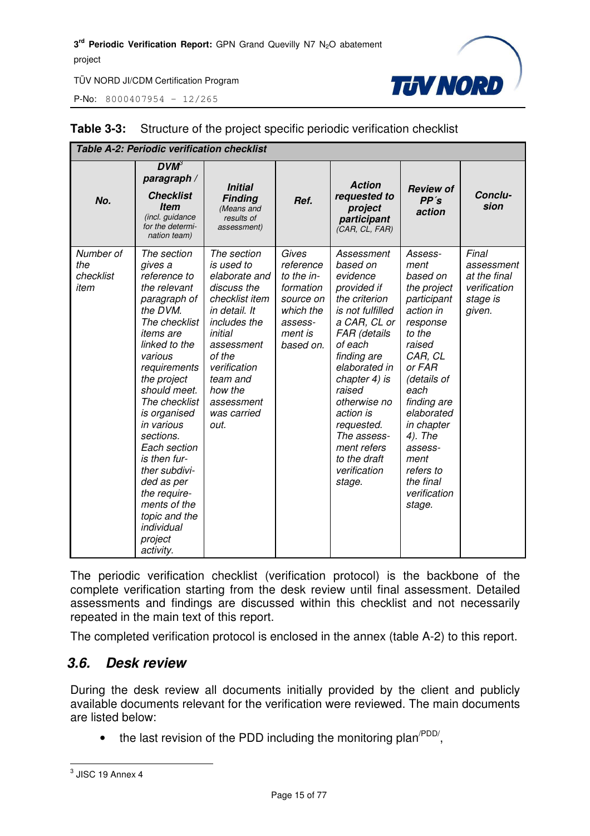P-No: 8000407954 – 12/265



| <b>Table A-2: Periodic verification checklist</b> |                                                                                                                                                                                                                                                                                                                                                                                                                      |                                                                                                                                                                                                                             |                                                                                                            |                                                                                                                                                                                                                                                                                                                 |                                                                                                                                                                                                                                                                                 |                                                                           |  |
|---------------------------------------------------|----------------------------------------------------------------------------------------------------------------------------------------------------------------------------------------------------------------------------------------------------------------------------------------------------------------------------------------------------------------------------------------------------------------------|-----------------------------------------------------------------------------------------------------------------------------------------------------------------------------------------------------------------------------|------------------------------------------------------------------------------------------------------------|-----------------------------------------------------------------------------------------------------------------------------------------------------------------------------------------------------------------------------------------------------------------------------------------------------------------|---------------------------------------------------------------------------------------------------------------------------------------------------------------------------------------------------------------------------------------------------------------------------------|---------------------------------------------------------------------------|--|
| No.                                               | $DVM^3$<br>paragraph /<br><b>Checklist</b><br><b>Item</b><br>(incl. guidance<br>for the determi-<br>nation team)                                                                                                                                                                                                                                                                                                     | <b>Initial</b><br><b>Finding</b><br>(Means and<br>results of<br>assessment)                                                                                                                                                 | Ref.                                                                                                       | <b>Action</b><br>requested to<br>project<br>participant<br>(CAR, CL, FAR)                                                                                                                                                                                                                                       | <b>Review of</b><br>PP's<br>action                                                                                                                                                                                                                                              | Conclu-<br>sion                                                           |  |
| Number of<br>the<br>checklist<br>item             | The section<br>gives a<br>reference to<br>the relevant<br>paragraph of<br>the DVM.<br>The checklist<br><i>items are</i><br>linked to the<br>various<br>requirements<br>the project<br>should meet.<br>The checklist<br>is organised<br>in various<br>sections.<br>Each section<br>is then fur-<br>ther subdivi-<br>ded as per<br>the require-<br>ments of the<br>topic and the<br>individual<br>project<br>activity. | The section<br>is used to<br>elaborate and<br>discuss the<br>checklist item<br>in detail. It<br>includes the<br>initial<br>assessment<br>of the<br>verification<br>team and<br>how the<br>assessment<br>was carried<br>out. | Gives<br>reference<br>to the in-<br>formation<br>source on<br>which the<br>assess-<br>ment is<br>based on. | Assessment<br>based on<br>evidence<br>provided if<br>the criterion<br>is not fulfilled<br>a CAR, CL or<br>FAR (details<br>of each<br>finding are<br>elaborated in<br>chapter 4) is<br>raised<br>otherwise no<br>action is<br>requested.<br>The assess-<br>ment refers<br>to the draft<br>verification<br>stage. | Assess-<br>ment<br>based on<br>the project<br>participant<br>action in<br>response<br>to the<br>raised<br>CAR, CL<br>or FAR<br>(details of<br>each<br>finding are<br>elaborated<br>in chapter<br>4). The<br>assess-<br>ment<br>refers to<br>the final<br>verification<br>stage. | Final<br>assessment<br>at the final<br>verification<br>stage is<br>given. |  |

#### **Table 3-3:** Structure of the project specific periodic verification checklist

The periodic verification checklist (verification protocol) is the backbone of the complete verification starting from the desk review until final assessment. Detailed assessments and findings are discussed within this checklist and not necessarily repeated in the main text of this report.

The completed verification protocol is enclosed in the annex (table A-2) to this report.

#### *3.6. Desk review*

During the desk review all documents initially provided by the client and publicly available documents relevant for the verification were reviewed. The main documents are listed below:

• the last revision of the PDD including the monitoring plan<sup> $PDD/$ </sup>,

 3 JISC 19 Annex 4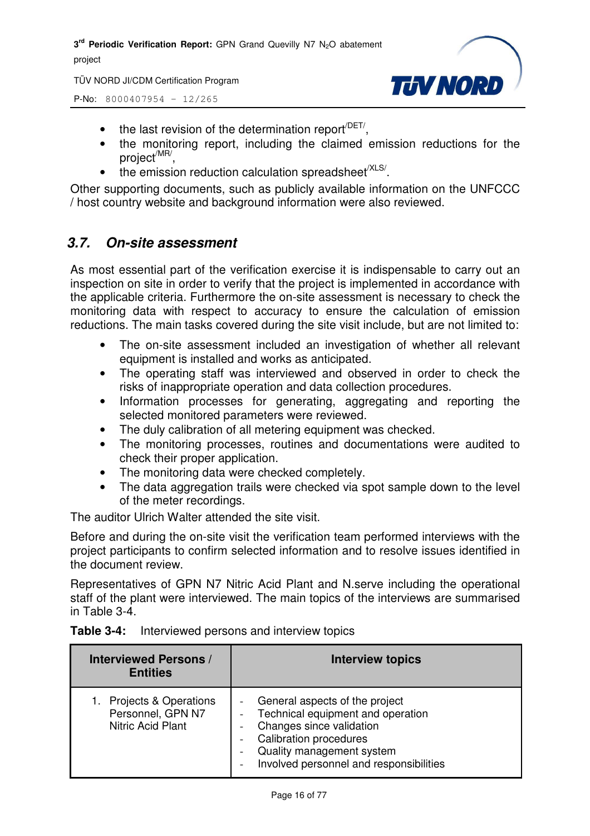TÜV NORD JI/CDM Certification Program



P-No: 8000407954 – 12/265

- $\bullet$  the last revision of the determination report<sup> $/$ DET/</sup>,
- the monitoring report, including the claimed emission reductions for the project<sup>/MR/</sup>,
- $\bullet$  the emission reduction calculation spreadsheet<sup>/XLS/</sup>.

Other supporting documents, such as publicly available information on the UNFCCC / host country website and background information were also reviewed.

#### *3.7. On-site assessment*

As most essential part of the verification exercise it is indispensable to carry out an inspection on site in order to verify that the project is implemented in accordance with the applicable criteria. Furthermore the on-site assessment is necessary to check the monitoring data with respect to accuracy to ensure the calculation of emission reductions. The main tasks covered during the site visit include, but are not limited to:

- The on-site assessment included an investigation of whether all relevant equipment is installed and works as anticipated.
- The operating staff was interviewed and observed in order to check the risks of inappropriate operation and data collection procedures.
- Information processes for generating, aggregating and reporting the selected monitored parameters were reviewed.
- The duly calibration of all metering equipment was checked.
- The monitoring processes, routines and documentations were audited to check their proper application.
- The monitoring data were checked completely.
- The data aggregation trails were checked via spot sample down to the level of the meter recordings.

The auditor Ulrich Walter attended the site visit.

Before and during the on-site visit the verification team performed interviews with the project participants to confirm selected information and to resolve issues identified in the document review.

Representatives of GPN N7 Nitric Acid Plant and N.serve including the operational staff of the plant were interviewed. The main topics of the interviews are summarised in Table 3-4.

| <b>Interviewed Persons /</b><br><b>Entities</b>                       | <b>Interview topics</b>                                                                                                                                                                                  |
|-----------------------------------------------------------------------|----------------------------------------------------------------------------------------------------------------------------------------------------------------------------------------------------------|
| Projects & Operations<br>1.<br>Personnel, GPN N7<br>Nitric Acid Plant | General aspects of the project<br>Technical equipment and operation<br>Changes since validation<br><b>Calibration procedures</b><br>Quality management system<br>Involved personnel and responsibilities |

#### **Table 3-4:** Interviewed persons and interview topics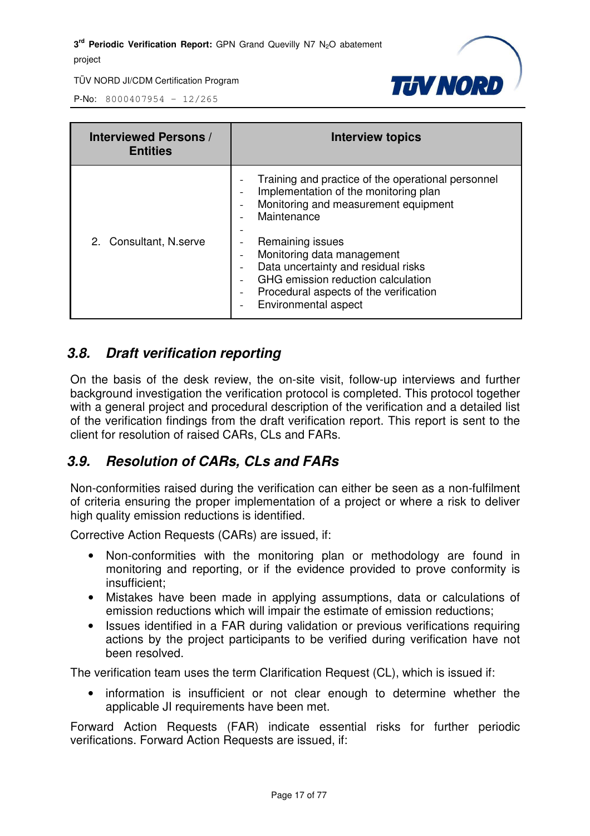

P-No: 8000407954 – 12/265

| <b>Interviewed Persons /</b><br><b>Entities</b> | <b>Interview topics</b>                                                                                                                                                                                                                                                                                                                                                                                                                 |
|-------------------------------------------------|-----------------------------------------------------------------------------------------------------------------------------------------------------------------------------------------------------------------------------------------------------------------------------------------------------------------------------------------------------------------------------------------------------------------------------------------|
| 2. Consultant, N.serve                          | Training and practice of the operational personnel<br>Implementation of the monitoring plan<br>$\overline{\phantom{a}}$<br>Monitoring and measurement equipment<br>$\overline{\phantom{0}}$<br>Maintenance<br>Remaining issues<br>Monitoring data management<br>Data uncertainty and residual risks<br>GHG emission reduction calculation<br>Procedural aspects of the verification<br>$\overline{\phantom{a}}$<br>Environmental aspect |

#### *3.8. Draft verification reporting*

On the basis of the desk review, the on-site visit, follow-up interviews and further background investigation the verification protocol is completed. This protocol together with a general project and procedural description of the verification and a detailed list of the verification findings from the draft verification report. This report is sent to the client for resolution of raised CARs, CLs and FARs.

#### *3.9. Resolution of CARs, CLs and FARs*

Non-conformities raised during the verification can either be seen as a non-fulfilment of criteria ensuring the proper implementation of a project or where a risk to deliver high quality emission reductions is identified.

Corrective Action Requests (CARs) are issued, if:

- Non-conformities with the monitoring plan or methodology are found in monitoring and reporting, or if the evidence provided to prove conformity is insufficient;
- Mistakes have been made in applying assumptions, data or calculations of emission reductions which will impair the estimate of emission reductions;
- Issues identified in a FAR during validation or previous verifications requiring actions by the project participants to be verified during verification have not been resolved.

The verification team uses the term Clarification Request (CL), which is issued if:

• information is insufficient or not clear enough to determine whether the applicable JI requirements have been met.

Forward Action Requests (FAR) indicate essential risks for further periodic verifications. Forward Action Requests are issued, if: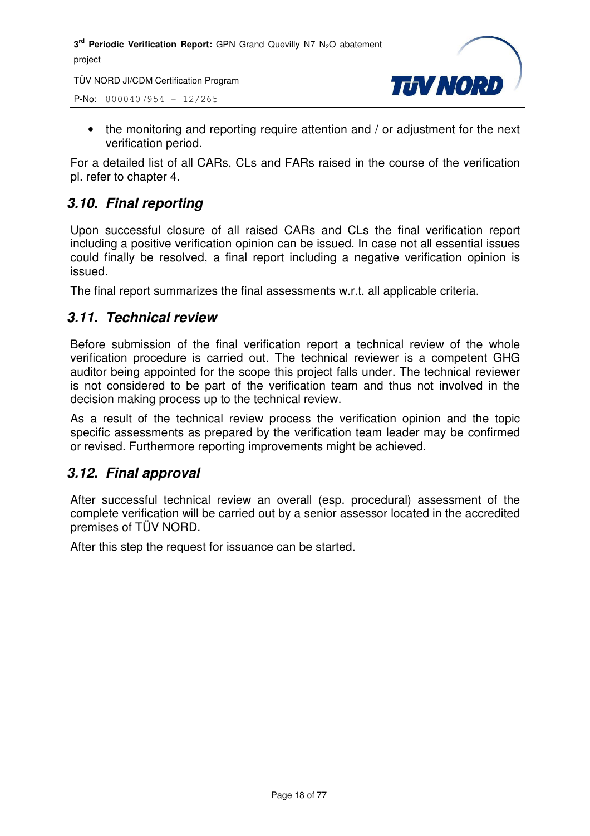TÜV NORD JI/CDM Certification Program

P-No: 8000407954 – 12/265



• the monitoring and reporting require attention and / or adjustment for the next verification period.

For a detailed list of all CARs, CLs and FARs raised in the course of the verification pl. refer to chapter 4.

#### *3.10. Final reporting*

Upon successful closure of all raised CARs and CLs the final verification report including a positive verification opinion can be issued. In case not all essential issues could finally be resolved, a final report including a negative verification opinion is issued.

The final report summarizes the final assessments w.r.t. all applicable criteria.

#### *3.11. Technical review*

Before submission of the final verification report a technical review of the whole verification procedure is carried out. The technical reviewer is a competent GHG auditor being appointed for the scope this project falls under. The technical reviewer is not considered to be part of the verification team and thus not involved in the decision making process up to the technical review.

As a result of the technical review process the verification opinion and the topic specific assessments as prepared by the verification team leader may be confirmed or revised. Furthermore reporting improvements might be achieved.

#### *3.12. Final approval*

After successful technical review an overall (esp. procedural) assessment of the complete verification will be carried out by a senior assessor located in the accredited premises of TÜV NORD.

After this step the request for issuance can be started.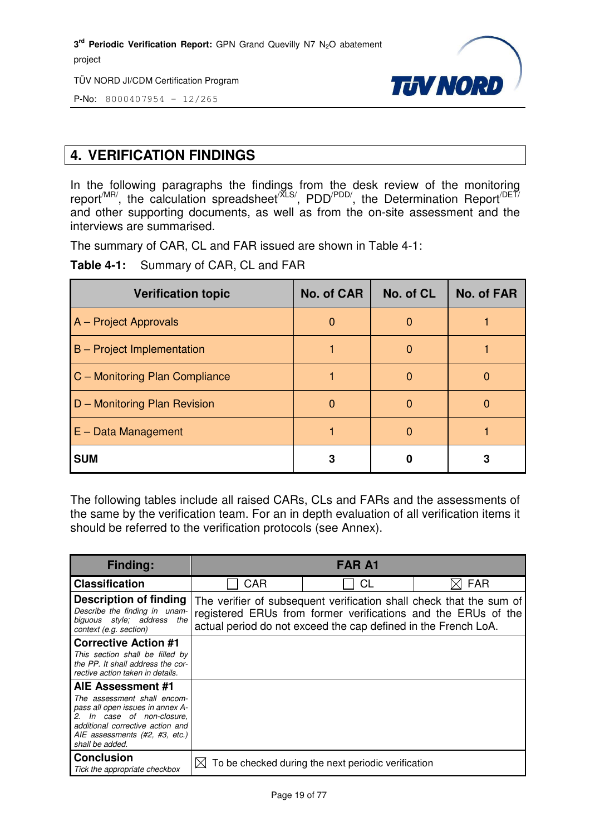TÜV NORD JI/CDM Certification Program



P-No: 8000407954 – 12/265

#### **4. VERIFICATION FINDINGS**

In the following paragraphs the findings from the desk review of the monitoring report<sup>/MR/</sup>, the calculation spreadsheet<sup>/XLS/</sup>, PDD<sup>/PDD/</sup>, the Determination Report<sup>/DET/</sup> and other supporting documents, as well as from the on-site assessment and the interviews are summarised.

The summary of CAR, CL and FAR issued are shown in Table 4-1:

**Table 4-1:** Summary of CAR, CL and FAR

| <b>Verification topic</b>      | <b>No. of CAR</b> | No. of CL | <b>No. of FAR</b> |
|--------------------------------|-------------------|-----------|-------------------|
| A - Project Approvals          | $\Omega$          |           |                   |
| B - Project Implementation     |                   | O         |                   |
| C - Monitoring Plan Compliance |                   |           |                   |
| D - Monitoring Plan Revision   | O                 |           |                   |
| $E - Data Management$          |                   |           |                   |
| <b>SUM</b>                     |                   |           |                   |

The following tables include all raised CARs, CLs and FARs and the assessments of the same by the verification team. For an in depth evaluation of all verification items it should be referred to the verification protocols (see Annex).

| <b>Finding:</b>                                                                                                                                                                                                    |            | <b>FAR A1</b>                                                  |                                                                                                                                      |
|--------------------------------------------------------------------------------------------------------------------------------------------------------------------------------------------------------------------|------------|----------------------------------------------------------------|--------------------------------------------------------------------------------------------------------------------------------------|
| <b>Classification</b>                                                                                                                                                                                              | <b>CAR</b> | CL                                                             | <b>FAR</b>                                                                                                                           |
| <b>Description of finding</b><br>Describe the finding in unam-<br>biguous style; address the<br>context (e.g. section)                                                                                             |            | actual period do not exceed the cap defined in the French LoA. | The verifier of subsequent verification shall check that the sum of<br>registered ERUs from former verifications and the ERUs of the |
| <b>Corrective Action #1</b><br>This section shall be filled by<br>the PP. It shall address the cor-<br>rective action taken in details.                                                                            |            |                                                                |                                                                                                                                      |
| <b>AIE Assessment #1</b><br>The assessment shall encom-<br>pass all open issues in annex A-<br>2. In case of non-closure,<br>additional corrective action and<br>AIE assessments (#2, #3, etc.)<br>shall be added. |            |                                                                |                                                                                                                                      |
| <b>Conclusion</b><br>Tick the appropriate checkbox                                                                                                                                                                 | ⊠          | To be checked during the next periodic verification            |                                                                                                                                      |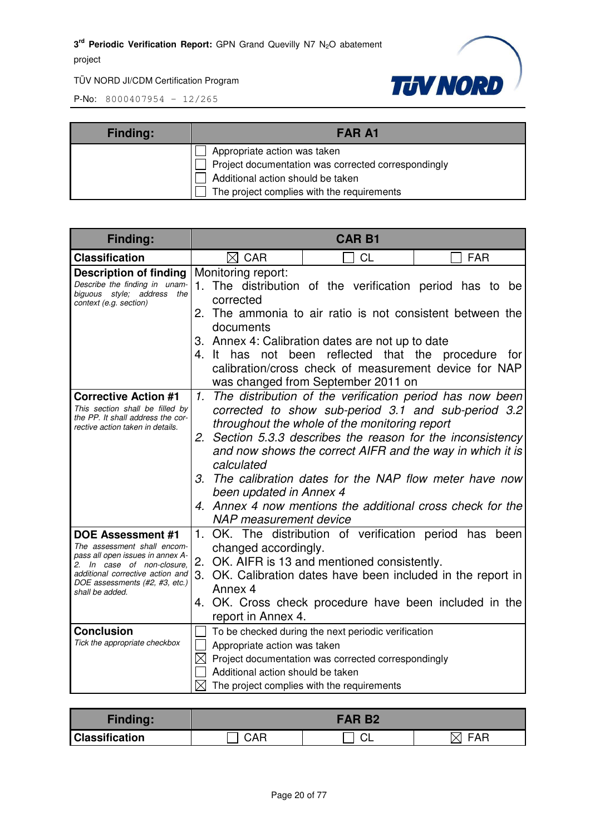

| <b>Finding:</b> | <b>FAR A1</b>                                       |  |  |
|-----------------|-----------------------------------------------------|--|--|
|                 | Appropriate action was taken                        |  |  |
|                 | Project documentation was corrected correspondingly |  |  |
|                 | Additional action should be taken                   |  |  |
|                 | The project complies with the requirements          |  |  |

| Finding:                                                                                                                                                                                                    | <b>CAR B1</b>                                                                      |                                                                                                                                                                                                                                                                                                               |                                                                                                                                                                             |  |  |
|-------------------------------------------------------------------------------------------------------------------------------------------------------------------------------------------------------------|------------------------------------------------------------------------------------|---------------------------------------------------------------------------------------------------------------------------------------------------------------------------------------------------------------------------------------------------------------------------------------------------------------|-----------------------------------------------------------------------------------------------------------------------------------------------------------------------------|--|--|
| <b>Classification</b>                                                                                                                                                                                       | $\boxtimes$ CAR                                                                    | <b>CL</b>                                                                                                                                                                                                                                                                                                     | <b>FAR</b>                                                                                                                                                                  |  |  |
| <b>Description of finding</b><br>Describe the finding in unam-<br>biguous style: address the<br>context (e.g. section)                                                                                      | Monitoring report:<br>corrected<br>documents<br>4. It has not                      | 1. The distribution of the verification period has to be<br>2. The ammonia to air ratio is not consistent between the<br>3. Annex 4: Calibration dates are not up to date<br>been reflected that the procedure<br>calibration/cross check of measurement device for NAP<br>was changed from September 2011 on | for                                                                                                                                                                         |  |  |
| <b>Corrective Action #1</b><br>This section shall be filled by<br>the PP. It shall address the cor-<br>rective action taken in details.                                                                     | 1.<br>2.<br>calculated<br>been updated in Annex 4<br><b>NAP</b> measurement device | throughout the whole of the monitoring report<br>Section 5.3.3 describes the reason for the inconsistency<br>and now shows the correct AIFR and the way in which it is<br>4. Annex 4 now mentions the additional cross check for the                                                                          | The distribution of the verification period has now been<br>corrected to show sub-period 3.1 and sub-period 3.2<br>3. The calibration dates for the NAP flow meter have now |  |  |
| DOE Assessment #1<br>The assessment shall encom-<br>pass all open issues in annex A-<br>2. In case of non-closure.<br>additional corrective action and<br>DOE assessments (#2, #3, etc.)<br>shall be added. | changed accordingly.<br>Annex 4<br>report in Annex 4.                              | 1. OK. The distribution of verification period has been<br>2. OK. AIFR is 13 and mentioned consistently.<br>3. OK. Calibration dates have been included in the report in<br>4. OK. Cross check procedure have been included in the                                                                            |                                                                                                                                                                             |  |  |
| <b>Conclusion</b><br>Tick the appropriate checkbox                                                                                                                                                          | Appropriate action was taken<br>Additional action should be taken                  | To be checked during the next periodic verification<br>$\boxtimes$ Project documentation was corrected correspondingly<br>The project complies with the requirements                                                                                                                                          |                                                                                                                                                                             |  |  |

| <b>Finding:</b>       | <b>FAR B2</b> |  |     |  |
|-----------------------|---------------|--|-----|--|
| <b>Classification</b> | CAR           |  | FAF |  |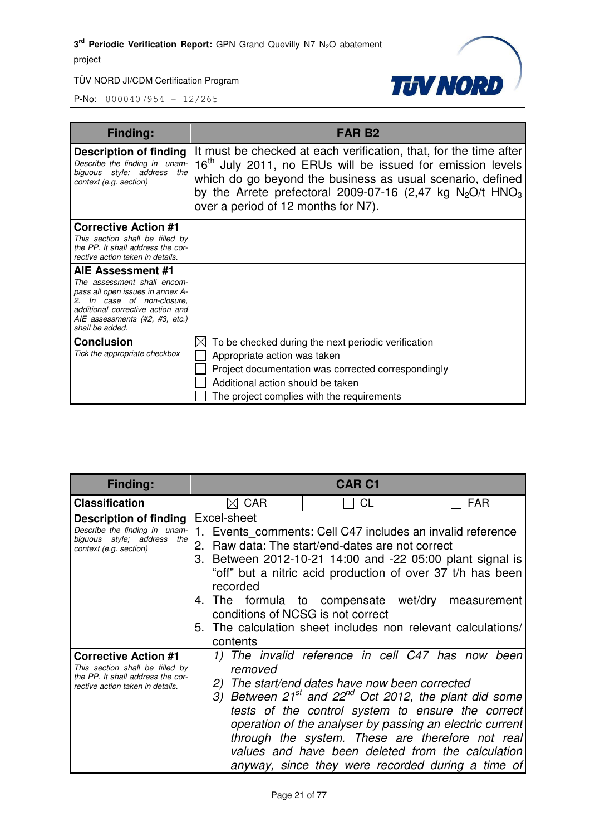

| Finding:                                                                                                                                                                                                    | FAR B2                                                                                                                                                                                                                                                                                                                      |
|-------------------------------------------------------------------------------------------------------------------------------------------------------------------------------------------------------------|-----------------------------------------------------------------------------------------------------------------------------------------------------------------------------------------------------------------------------------------------------------------------------------------------------------------------------|
| <b>Description of finding</b><br>Describe the finding in unam-<br>biguous style; address the<br>context (e.g. section)                                                                                      | It must be checked at each verification, that, for the time after<br>16 <sup>th</sup> July 2011, no ERUs will be issued for emission levels<br>which do go beyond the business as usual scenario, defined<br>by the Arrete prefectoral 2009-07-16 (2,47 kg $N_2O/t$ HNO <sub>3</sub><br>over a period of 12 months for N7). |
| <b>Corrective Action #1</b><br>This section shall be filled by<br>the PP. It shall address the cor-<br>rective action taken in details.                                                                     |                                                                                                                                                                                                                                                                                                                             |
| AIE Assessment #1<br>The assessment shall encom-<br>pass all open issues in annex A-<br>2. In case of non-closure,<br>additional corrective action and<br>AIE assessments (#2, #3, etc.)<br>shall be added. |                                                                                                                                                                                                                                                                                                                             |
| <b>Conclusion</b><br>Tick the appropriate checkbox                                                                                                                                                          | To be checked during the next periodic verification<br>⋉<br>Appropriate action was taken<br>Project documentation was corrected correspondingly<br>Additional action should be taken<br>The project complies with the requirements                                                                                          |

| <b>Finding:</b>                                                                                                                         | <b>CAR C1</b>                                                            |                                                                                                                                                                                                                                                                                                                                                   |                                                                                                                                                                                                                                                                                                                                                                                                  |
|-----------------------------------------------------------------------------------------------------------------------------------------|--------------------------------------------------------------------------|---------------------------------------------------------------------------------------------------------------------------------------------------------------------------------------------------------------------------------------------------------------------------------------------------------------------------------------------------|--------------------------------------------------------------------------------------------------------------------------------------------------------------------------------------------------------------------------------------------------------------------------------------------------------------------------------------------------------------------------------------------------|
| <b>Classification</b>                                                                                                                   | $\boxtimes$ CAR                                                          | <b>CL</b>                                                                                                                                                                                                                                                                                                                                         | <b>FAR</b>                                                                                                                                                                                                                                                                                                                                                                                       |
| Description of finding<br>Describe the finding in unam-<br>biguous style; address<br>the<br>context (e.g. section)                      | Excel-sheet<br>recorded<br>conditions of NCSG is not correct<br>contents | 1. Events comments: Cell C47 includes an invalid reference<br>2. Raw data: The start/end-dates are not correct<br>3. Between 2012-10-21 14:00 and -22 05:00 plant signal is<br>"off" but a nitric acid production of over 37 t/h has been<br>4. The formula to compensate wet/dry<br>5. The calculation sheet includes non relevant calculations/ | measurement                                                                                                                                                                                                                                                                                                                                                                                      |
| <b>Corrective Action #1</b><br>This section shall be filled by<br>the PP. It shall address the cor-<br>rective action taken in details. | 1)<br>removed<br>2)                                                      | The start/end dates have now been corrected                                                                                                                                                                                                                                                                                                       | The invalid reference in cell C47 has now been<br>3) Between $21^{st}$ and $22^{nd}$ Oct 2012, the plant did some<br>tests of the control system to ensure the correct<br>operation of the analyser by passing an electric current<br>through the system. These are therefore not real<br>values and have been deleted from the calculation<br>anyway, since they were recorded during a time of |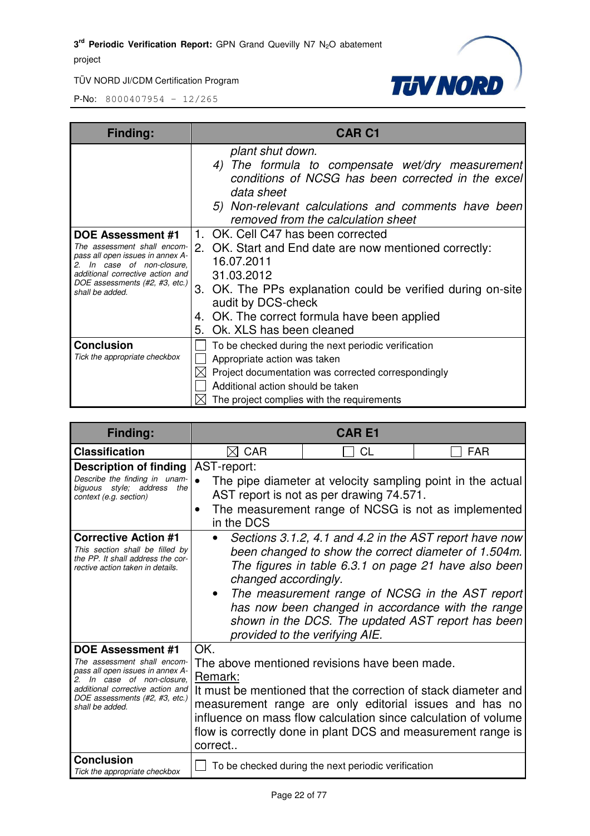



| <b>Finding:</b>                                                                                                                                                                                          | <b>CAR C1</b>                                                                                                                                                                                                                                                                                   |
|----------------------------------------------------------------------------------------------------------------------------------------------------------------------------------------------------------|-------------------------------------------------------------------------------------------------------------------------------------------------------------------------------------------------------------------------------------------------------------------------------------------------|
|                                                                                                                                                                                                          | plant shut down.<br>4) The formula to compensate wet/dry measurement<br>conditions of NCSG has been corrected in the excel<br>data sheet<br>5) Non-relevant calculations and comments have been<br>removed from the calculation sheet                                                           |
| DOE Assessment #1<br>The assessment shall encom-<br>pass all open issues in annex A-<br>In case of non-closure,<br>additional corrective action and<br>DOE assessments (#2, #3, etc.)<br>shall be added. | 1. OK. Cell C47 has been corrected<br>2. OK. Start and End date are now mentioned correctly:<br>16.07.2011<br>31.03.2012<br>3. OK. The PPs explanation could be verified during on-site<br>audit by DCS-check<br>4. OK. The correct formula have been applied<br>Ok. XLS has been cleaned<br>5. |
| <b>Conclusion</b><br>Tick the appropriate checkbox                                                                                                                                                       | To be checked during the next periodic verification<br>Appropriate action was taken<br>Project documentation was corrected correspondingly<br>Additional action should be taken<br>The project complies with the requirements                                                                   |

| <b>Finding:</b>                                                                                                                                                                                                                         | <b>CARE1</b>              |                                                                                                                                                                                                                                                                                                             |                                                                                                                                                           |
|-----------------------------------------------------------------------------------------------------------------------------------------------------------------------------------------------------------------------------------------|---------------------------|-------------------------------------------------------------------------------------------------------------------------------------------------------------------------------------------------------------------------------------------------------------------------------------------------------------|-----------------------------------------------------------------------------------------------------------------------------------------------------------|
| <b>Classification</b>                                                                                                                                                                                                                   | $\boxtimes$ CAR           | CL                                                                                                                                                                                                                                                                                                          | <b>FAR</b>                                                                                                                                                |
| <b>Description of finding</b><br>Describe the finding in unam-<br>biguous style; address<br>the<br>context (e.g. section)                                                                                                               | AST-report:               | The pipe diameter at velocity sampling point in the actual<br>AST report is not as per drawing 74.571.                                                                                                                                                                                                      |                                                                                                                                                           |
|                                                                                                                                                                                                                                         | ٠<br>in the DCS           | The measurement range of NCSG is not as implemented                                                                                                                                                                                                                                                         |                                                                                                                                                           |
| <b>Corrective Action #1</b><br>This section shall be filled by<br>the PP. It shall address the cor-<br>rective action taken in details.                                                                                                 | changed accordingly.      | Sections 3.1.2, 4.1 and 4.2 in the AST report have now<br>been changed to show the correct diameter of 1.504m.<br>The figures in table 6.3.1 on page 21 have also been<br>provided to the verifying AIE.                                                                                                    | The measurement range of NCSG in the AST report<br>has now been changed in accordance with the range<br>shown in the DCS. The updated AST report has been |
| DOE Assessment #1<br>The assessment shall encom-<br>pass all open issues in annex A-<br>In case of non-closure.<br>$\mathcal{P}_{\mathcal{P}}$<br>additional corrective action and<br>DOE assessments (#2, #3, etc.)<br>shall be added. | OK.<br>Remark:<br>correct | The above mentioned revisions have been made.<br>It must be mentioned that the correction of stack diameter and<br>measurement range are only editorial issues and has no<br>influence on mass flow calculation since calculation of volume<br>flow is correctly done in plant DCS and measurement range is |                                                                                                                                                           |
| <b>Conclusion</b><br>Tick the appropriate checkbox                                                                                                                                                                                      |                           | To be checked during the next periodic verification                                                                                                                                                                                                                                                         |                                                                                                                                                           |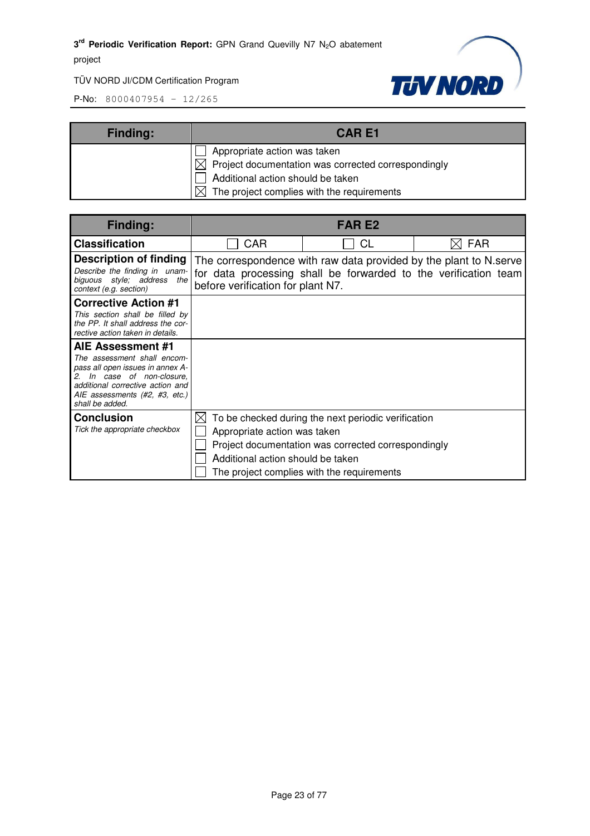

| <b>Finding:</b> | <b>CARE1</b>                                                    |  |
|-----------------|-----------------------------------------------------------------|--|
|                 | Appropriate action was taken                                    |  |
|                 | $\boxtimes$ Project documentation was corrected correspondingly |  |
|                 | Additional action should be taken                               |  |
|                 | $\boxtimes$ The project complies with the requirements          |  |

| <b>Finding:</b>                                                                                                                                                                                                                         |                                                                          | <b>FAR E2</b>                                                                                                                                            |                                                                                                                                      |
|-----------------------------------------------------------------------------------------------------------------------------------------------------------------------------------------------------------------------------------------|--------------------------------------------------------------------------|----------------------------------------------------------------------------------------------------------------------------------------------------------|--------------------------------------------------------------------------------------------------------------------------------------|
| <b>Classification</b>                                                                                                                                                                                                                   | CAR                                                                      | CL                                                                                                                                                       | <b>FAR</b>                                                                                                                           |
| Description of finding<br>Describe the finding in unam-<br>biguous style; address the<br>context (e.g. section)                                                                                                                         | before verification for plant N7.                                        |                                                                                                                                                          | The correspondence with raw data provided by the plant to N.serve<br>for data processing shall be forwarded to the verification team |
| <b>Corrective Action #1</b><br>This section shall be filled by<br>the PP. It shall address the cor-<br>rective action taken in details.                                                                                                 |                                                                          |                                                                                                                                                          |                                                                                                                                      |
| AIE Assessment #1<br>The assessment shall encom-<br>pass all open issues in annex A-<br>In case of non-closure,<br>$\mathcal{P}_{\mathcal{P}}$<br>additional corrective action and<br>AIE assessments (#2, #3, etc.)<br>shall be added. |                                                                          |                                                                                                                                                          |                                                                                                                                      |
| <b>Conclusion</b><br>Tick the appropriate checkbox                                                                                                                                                                                      | IХI<br>Appropriate action was taken<br>Additional action should be taken | To be checked during the next periodic verification<br>Project documentation was corrected correspondingly<br>The project complies with the requirements |                                                                                                                                      |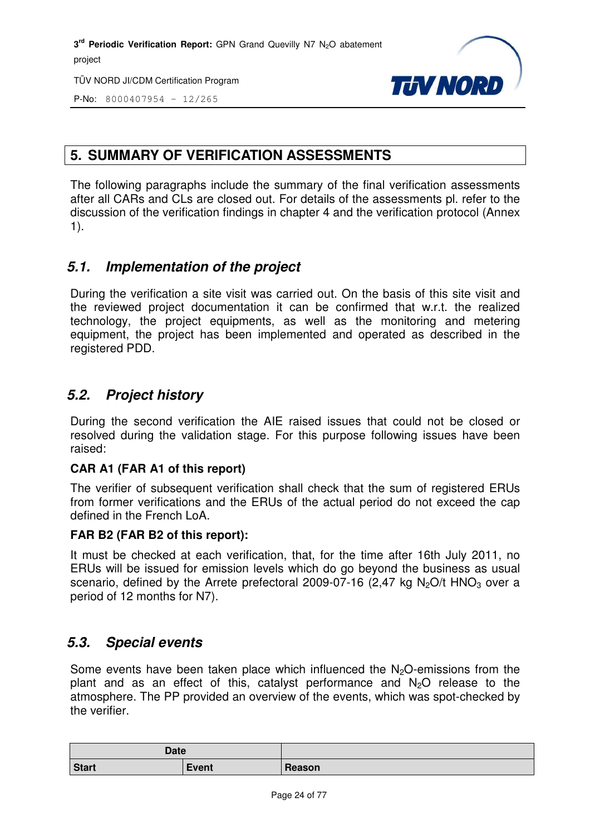TÜV NORD JI/CDM Certification Program



P-No: 8000407954 – 12/265

#### **5. SUMMARY OF VERIFICATION ASSESSMENTS**

The following paragraphs include the summary of the final verification assessments after all CARs and CLs are closed out. For details of the assessments pl. refer to the discussion of the verification findings in chapter 4 and the verification protocol (Annex 1).

#### *5.1. Implementation of the project*

During the verification a site visit was carried out. On the basis of this site visit and the reviewed project documentation it can be confirmed that w.r.t. the realized technology, the project equipments, as well as the monitoring and metering equipment, the project has been implemented and operated as described in the registered PDD.

#### *5.2. Project history*

During the second verification the AIE raised issues that could not be closed or resolved during the validation stage. For this purpose following issues have been raised:

#### **CAR A1 (FAR A1 of this report)**

The verifier of subsequent verification shall check that the sum of registered ERUs from former verifications and the ERUs of the actual period do not exceed the cap defined in the French LoA.

#### **FAR B2 (FAR B2 of this report):**

It must be checked at each verification, that, for the time after 16th July 2011, no ERUs will be issued for emission levels which do go beyond the business as usual scenario, defined by the Arrete prefectoral 2009-07-16 (2.47 kg N<sub>2</sub>O/t HNO<sub>3</sub> over a period of 12 months for N7).

#### *5.3. Special events*

Some events have been taken place which influenced the  $N<sub>2</sub>O$ -emissions from the plant and as an effect of this, catalyst performance and  $N_2O$  release to the atmosphere. The PP provided an overview of the events, which was spot-checked by the verifier.

| <b>Date</b>  |              |        |
|--------------|--------------|--------|
| <b>Start</b> | <b>Event</b> | Reason |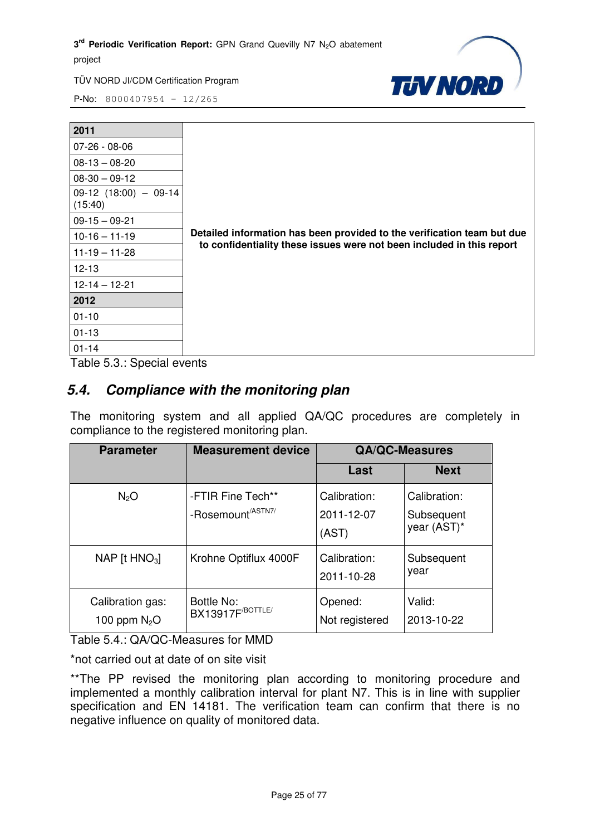

P-No: 8000407954 – 12/265

| 2011                                                                     |                                                                         |
|--------------------------------------------------------------------------|-------------------------------------------------------------------------|
| 07-26 - 08-06                                                            |                                                                         |
| $08-13-08-20$                                                            |                                                                         |
| $08-30 - 09-12$                                                          |                                                                         |
| $09-12$ (18:00) - 09-14<br>(15:40)                                       |                                                                         |
| $09-15-09-21$                                                            |                                                                         |
| $10-16 - 11-19$                                                          | Detailed information has been provided to the verification team but due |
| $11-19 - 11-28$                                                          | to confidentiality these issues were not been included in this report   |
| $12 - 13$                                                                |                                                                         |
| $12 - 14 - 12 - 21$                                                      |                                                                         |
| 2012                                                                     |                                                                         |
| $01 - 10$                                                                |                                                                         |
| $01 - 13$                                                                |                                                                         |
| $01 - 14$<br>$T - L = F \cdot Q \cdot Q_{\text{in}} + L = L \cdot L + L$ |                                                                         |

Table 5.3.: Special events

#### *5.4. Compliance with the monitoring plan*

The monitoring system and all applied QA/QC procedures are completely in compliance to the registered monitoring plan.

| <b>Parameter</b>                   | <b>QA/QC-Measures</b><br><b>Measurement device</b> |                                     |                                           |
|------------------------------------|----------------------------------------------------|-------------------------------------|-------------------------------------------|
|                                    |                                                    | Last                                | <b>Next</b>                               |
| $N_2O$                             | -FTIR Fine Tech**<br>-Rosemount <sup>/ASTN7/</sup> | Calibration:<br>2011-12-07<br>(AST) | Calibration:<br>Subsequent<br>year (AST)* |
| NAP [t $HNO3$ ]                    | Krohne Optiflux 4000F                              | Calibration:<br>2011-10-28          | Subsequent<br>year                        |
| Calibration gas:<br>100 ppm $N_2O$ | Bottle No:<br><b>BX13917F</b> <sup>BOTTLE/</sup>   | Opened:<br>Not registered           | Valid:<br>2013-10-22                      |

Table 5.4.: QA/QC-Measures for MMD

\*not carried out at date of on site visit

\*\*The PP revised the monitoring plan according to monitoring procedure and implemented a monthly calibration interval for plant N7. This is in line with supplier specification and EN 14181. The verification team can confirm that there is no negative influence on quality of monitored data.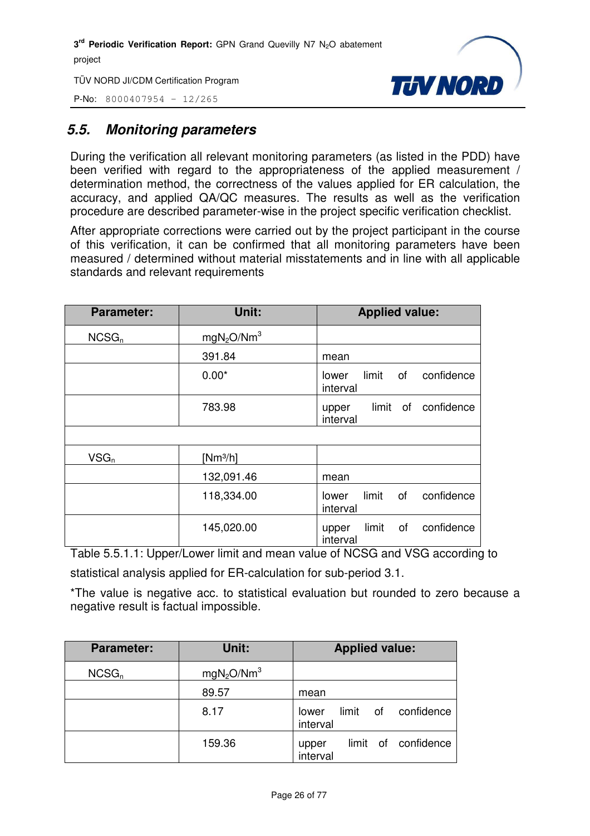P-No: 8000407954 – 12/265



#### *5.5. Monitoring parameters*

During the verification all relevant monitoring parameters (as listed in the PDD) have been verified with regard to the appropriateness of the applied measurement / determination method, the correctness of the values applied for ER calculation, the accuracy, and applied QA/QC measures. The results as well as the verification procedure are described parameter-wise in the project specific verification checklist.

After appropriate corrections were carried out by the project participant in the course of this verification, it can be confirmed that all monitoring parameters have been measured / determined without material misstatements and in line with all applicable standards and relevant requirements

| <b>Parameter:</b> | Unit:                              | <b>Applied value:</b>                          |
|-------------------|------------------------------------|------------------------------------------------|
| NCSG <sub>n</sub> | mgN <sub>2</sub> O/Nm <sup>3</sup> |                                                |
|                   | 391.84                             | mean                                           |
|                   | $0.00*$                            | limit<br>confidence<br>of<br>lower<br>interval |
|                   | 783.98                             | limit of confidence<br>upper<br>interval       |
|                   |                                    |                                                |
| $VSG_n$           | $[Nm^3/h]$                         |                                                |
|                   | 132,091.46                         | mean                                           |
|                   | 118,334.00                         | limit<br>confidence<br>of<br>lower<br>interval |
|                   | 145,020.00                         | limit<br>confidence<br>of<br>upper<br>interval |

Table 5.5.1.1: Upper/Lower limit and mean value of NCSG and VSG according to

statistical analysis applied for ER-calculation for sub-period 3.1.

\*The value is negative acc. to statistical evaluation but rounded to zero because a negative result is factual impossible.

| <b>Parameter:</b> | Unit:                              | <b>Applied value:</b>                    |
|-------------------|------------------------------------|------------------------------------------|
| NCSG <sub>n</sub> | mgN <sub>2</sub> O/Nm <sup>3</sup> |                                          |
|                   | 89.57                              | mean                                     |
|                   | 8.17                               | limit of confidence<br>lower<br>interval |
|                   | 159.36                             | limit of confidence<br>upper<br>interval |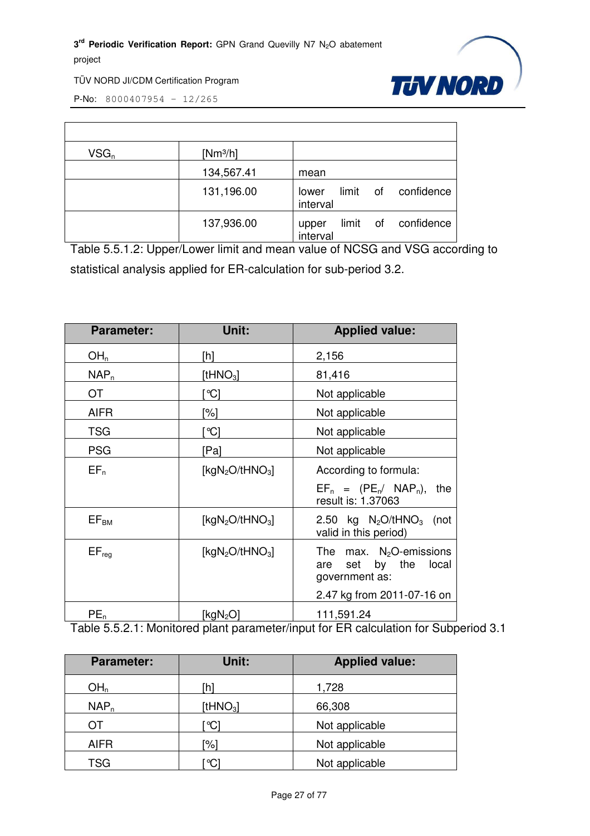

P-No: 8000407954 – 12/265

| $VSG_n$ | $[Nm^3/h]$ |                                             |
|---------|------------|---------------------------------------------|
|         | 134,567.41 | mean                                        |
|         | 131,196.00 | limit of<br>confidence<br>lower<br>interval |
|         | 137,936.00 | limit of confidence<br>upper<br>interval    |

Table 5.5.1.2: Upper/Lower limit and mean value of NCSG and VSG according to statistical analysis applied for ER-calculation for sub-period 3.2.

| <b>Parameter:</b> | Unit:                                   | <b>Applied value:</b>                                                                                    |
|-------------------|-----------------------------------------|----------------------------------------------------------------------------------------------------------|
| OH <sub>n</sub>   | [h]                                     | 2,156                                                                                                    |
| NAP <sub>n</sub>  | [t $HNO3$ ]                             | 81,416                                                                                                   |
| <b>OT</b>         | °C]                                     | Not applicable                                                                                           |
| <b>AIFR</b>       | <sup>'%]</sup>                          | Not applicable                                                                                           |
| <b>TSG</b>        | °C]                                     | Not applicable                                                                                           |
| <b>PSG</b>        | [Pa]                                    | Not applicable                                                                                           |
| $EF_n$            | [kgN <sub>2</sub> O/tHNO <sub>3</sub> ] | According to formula:                                                                                    |
|                   |                                         | $EF_n = (PE_n / NAP_n),$<br>the<br>result is: 1.37063                                                    |
| $EF_{BM}$         | [kgN <sub>2</sub> O/tHNO <sub>3</sub> ] | 2.50 kg $N_2O/tHNO_3$ (not<br>valid in this period)                                                      |
| $EF_{req}$        | [kg $N_2O$ /tHNO <sub>3</sub> ]         | The max. $N_2O$ -emissions<br>set by the<br>local<br>are<br>government as:<br>2.47 kg from 2011-07-16 on |
| $PE_n$            | [kgN <sub>2</sub> O]                    | 111,591.24                                                                                               |

Table 5.5.2.1: Monitored plant parameter/input for ER calculation for Subperiod 3.1

| <b>Parameter:</b> | Unit:       | <b>Applied value:</b> |
|-------------------|-------------|-----------------------|
| OH <sub>n</sub>   | `h1         | 1,728                 |
| $NAP_n$           | [t $HNO3$ ] | 66,308                |
| OT                | ଂଠା         | Not applicable        |
| <b>AIFR</b>       | '%]         | Not applicable        |
| <b>TSG</b>        | C           | Not applicable        |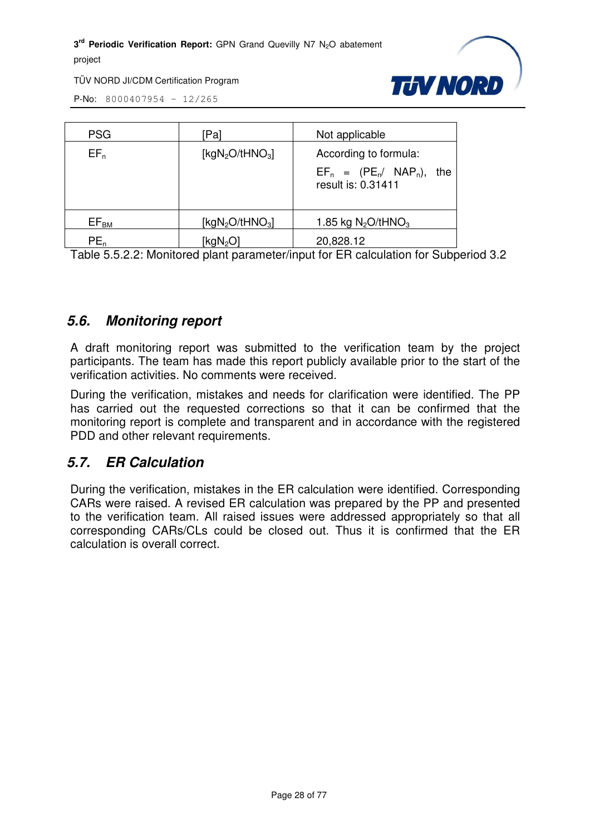TÜV NORD JI/CDM Certification Program



P-No: 8000407954 – 12/265

| <b>PSG</b>       | 'Pal                 | Not applicable                                        |
|------------------|----------------------|-------------------------------------------------------|
| $EF_n$           | [ $kgN_2O/tHNO_3$ ]  | According to formula:                                 |
|                  |                      | $EF_n = (PE_n / NAP_n),$<br>the<br>result is: 0.31411 |
| EF <sub>BM</sub> | [ $kgN_2O/tHNO_3$ ]  | 1.85 kg $N_2O$ /tHNO <sub>3</sub>                     |
| $PE_n$           | [kgN <sub>2</sub> O] | 20,828.12                                             |

Table 5.5.2.2: Monitored plant parameter/input for ER calculation for Subperiod 3.2

#### *5.6. Monitoring report*

A draft monitoring report was submitted to the verification team by the project participants. The team has made this report publicly available prior to the start of the verification activities. No comments were received.

During the verification, mistakes and needs for clarification were identified. The PP has carried out the requested corrections so that it can be confirmed that the monitoring report is complete and transparent and in accordance with the registered PDD and other relevant requirements.

#### *5.7. ER Calculation*

During the verification, mistakes in the ER calculation were identified. Corresponding CARs were raised. A revised ER calculation was prepared by the PP and presented to the verification team. All raised issues were addressed appropriately so that all corresponding CARs/CLs could be closed out. Thus it is confirmed that the ER calculation is overall correct.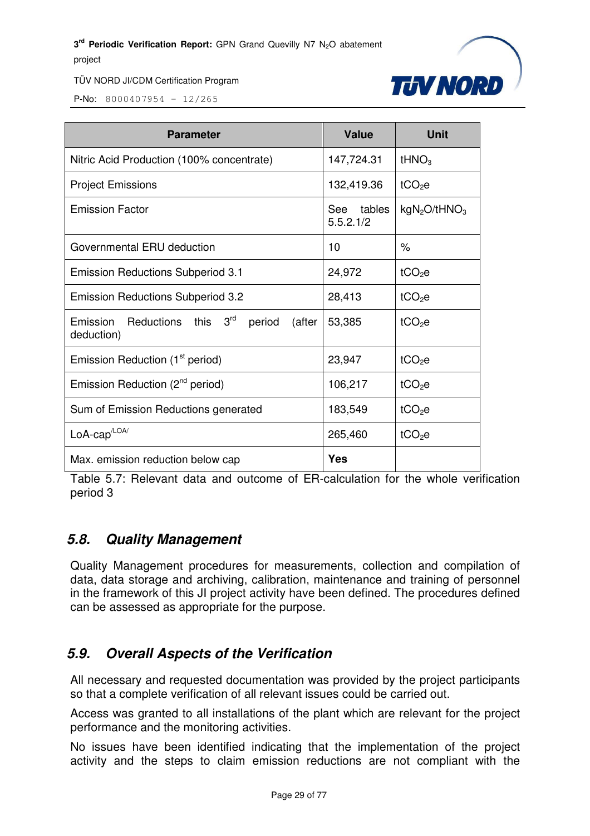

P-No: 8000407954 – 12/265

| <b>Parameter</b>                                               | <b>Value</b>            | <b>Unit</b>                          |
|----------------------------------------------------------------|-------------------------|--------------------------------------|
| Nitric Acid Production (100% concentrate)                      | 147,724.31              | tHNO <sub>3</sub>                    |
| <b>Project Emissions</b>                                       | 132,419.36              | $tCO2$ e                             |
| <b>Emission Factor</b>                                         | See tables<br>5.5.2.1/2 | kgN <sub>2</sub> O/tHNO <sub>3</sub> |
| Governmental ERU deduction                                     | 10                      | $\frac{0}{2}$                        |
| <b>Emission Reductions Subperiod 3.1</b>                       | 24,972                  | tCO <sub>2</sub> e                   |
| <b>Emission Reductions Subperiod 3.2</b>                       | 28,413                  | tCO <sub>2</sub> e                   |
| Emission Reductions this 3rd<br>period<br>(after<br>deduction) | 53,385                  | $tCO2$ e                             |
| Emission Reduction (1 <sup>st</sup> period)                    | 23,947                  | $tCO2$ e                             |
| Emission Reduction (2 <sup>nd</sup> period)                    | 106,217                 | tCO <sub>2</sub> e                   |
| Sum of Emission Reductions generated                           | 183,549                 | tCO <sub>2</sub> e                   |
| $LoA\text{-}cap^{\text{/LOA/}}$                                | 265,460                 | tCO <sub>2</sub> e                   |
| Max. emission reduction below cap                              | Yes                     |                                      |

Table 5.7: Relevant data and outcome of ER-calculation for the whole verification period 3

#### *5.8. Quality Management*

Quality Management procedures for measurements, collection and compilation of data, data storage and archiving, calibration, maintenance and training of personnel in the framework of this JI project activity have been defined. The procedures defined can be assessed as appropriate for the purpose.

#### *5.9. Overall Aspects of the Verification*

All necessary and requested documentation was provided by the project participants so that a complete verification of all relevant issues could be carried out.

Access was granted to all installations of the plant which are relevant for the project performance and the monitoring activities.

No issues have been identified indicating that the implementation of the project activity and the steps to claim emission reductions are not compliant with the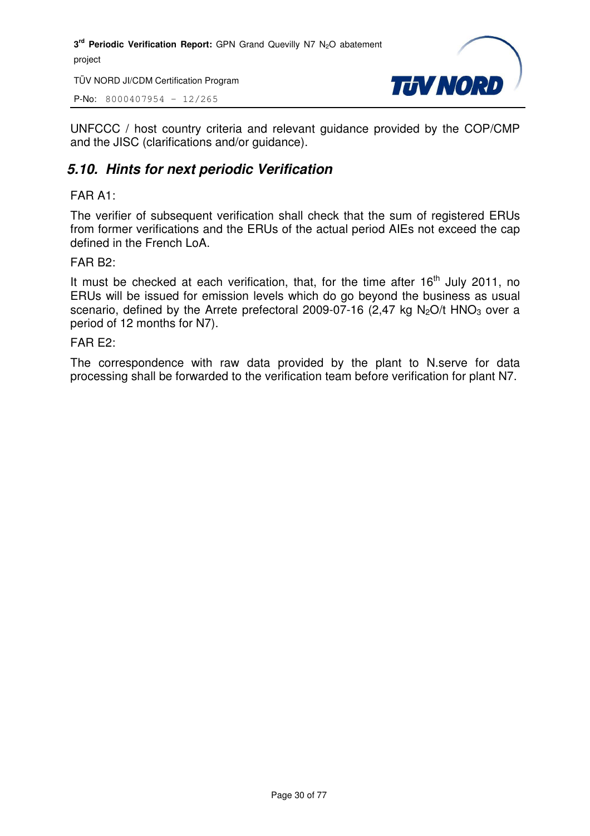TÜV NORD JI/CDM Certification Program

P-No: 8000407954 – 12/265



UNFCCC / host country criteria and relevant guidance provided by the COP/CMP and the JISC (clarifications and/or guidance).

#### *5.10. Hints for next periodic Verification*

#### FAR A1:

The verifier of subsequent verification shall check that the sum of registered ERUs from former verifications and the ERUs of the actual period AIEs not exceed the cap defined in the French LoA.

#### FAR B2:

It must be checked at each verification, that, for the time after  $16<sup>th</sup>$  July 2011, no ERUs will be issued for emission levels which do go beyond the business as usual scenario, defined by the Arrete prefectoral 2009-07-16 (2,47 kg N<sub>2</sub>O/t HNO<sub>3</sub> over a period of 12 months for N7).

#### FAR E2:

The correspondence with raw data provided by the plant to N.serve for data processing shall be forwarded to the verification team before verification for plant N7.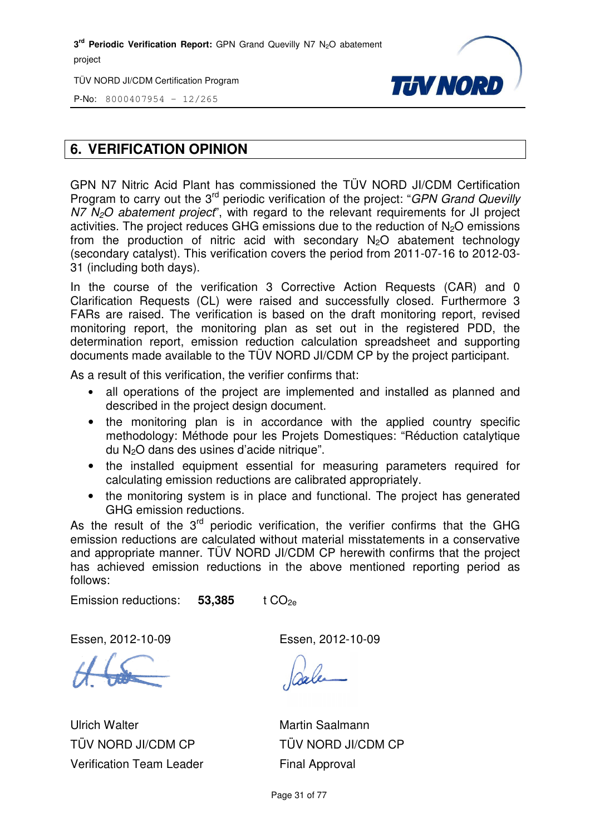TÜV NORD JI/CDM Certification Program



P-No: 8000407954 – 12/265

#### **6. VERIFICATION OPINION**

GPN N7 Nitric Acid Plant has commissioned the TÜV NORD JI/CDM Certification Program to carry out the 3<sup>rd</sup> periodic verification of the project: "GPN Grand Quevilly  $N$ 7  $N$ <sub>2</sub>O abatement project", with regard to the relevant requirements for JI project activities. The project reduces GHG emissions due to the reduction of N <sup>2</sup>O emissions from the production of nitric acid with secondary  $N_2O$  abatement technology (secondary catalyst). This verification covers the period from 2011-07 07-16 to 2012-03- 31 (including both days).

In the course of the verification 3 Corrective Action Requests (CAR) and 0 Clarification Requests (CL) were raised and successfully closed. Furthermore 3 FARs are raised. The verification is based on the draft monitoring report, revised monitoring report, the monitoring plan as set out in the registered PDD, the determination report, emission reduction calculation spreadsheet and supporting documents made available to the TÜV NORD JI/CDM CP by the project participant. . The verification is based on the draft monitoring report, revised<br>t, the monitoring plan as set out in the registered PDD, the<br>port, emission reduction calculation spreadsheet and supporting

As a result of this verification, the verifier confirms that:

- all operations of the project are implemented and installed as planned and described in the project design document.
- the monitoring plan is in accordance with the applied country specific methodology: Méthode pour les Projets Domestiques: "Réduction catalytique du N<sub>2</sub>O dans des usines d'acide nitrique". scribed in the project design document.<br>
a monitoring plan is in accordance<br>
ethodology: Méthode pour les Projets D<br>
N<sub>2</sub>O dans des usines d'acide nitrique".
- the installed equipment essential for measuring parameters required for calculating emission reductions are calibrated appropriately.
- the monitoring system is in place and functional. The project has generated GHG emission reductions.

As the result of the  $3<sup>rd</sup>$  periodic verification, the verifier confirms that the GHG emission reductions are calculated without material misstatements in a conservative and appropriate manner. TÜV NORD JI/CDM CP herewith confirms that the project has achieved emission reductions in the above mentioned reporting period as follows: cion calculation<br>
NORD JI/CDM (<br>
ier confirms that:<br>
re implemented<br>
document.<br>
cordance with<br>
s Projets Domes<br>
a nitrique".<br>
ntial for measur<br>
are calibrated ap<br>
ace and functions<br>
rification, the ve<br>
thout material mi<br>
J

Emission reductions: **53,385 ,385** t CO2e

Essen, 2012-10-09

Ulrich Walter TÜV NORD JI/CDM CP Verification Team Leader Essen, 2012-10-09

Martin Saalmann TÜV NORD JI/CDM CP Final Approval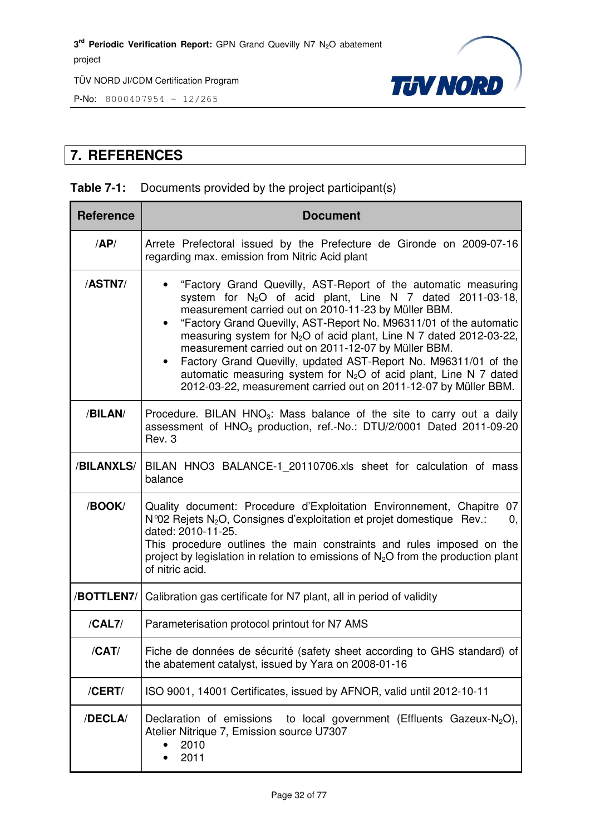

P-No: 8000407954 – 12/265

#### **7. REFERENCES**

#### **Table 7-1:** Documents provided by the project participant(s)

| <b>Reference</b> | <b>Document</b>                                                                                                                                                                                                                                                                                                                                                                                                                                                                                                                                                                                                      |
|------------------|----------------------------------------------------------------------------------------------------------------------------------------------------------------------------------------------------------------------------------------------------------------------------------------------------------------------------------------------------------------------------------------------------------------------------------------------------------------------------------------------------------------------------------------------------------------------------------------------------------------------|
| AP/              | Arrete Prefectoral issued by the Prefecture de Gironde on 2009-07-16<br>regarding max. emission from Nitric Acid plant                                                                                                                                                                                                                                                                                                                                                                                                                                                                                               |
| /ASTN7/          | "Factory Grand Quevilly, AST-Report of the automatic measuring<br>system for $N_2O$ of acid plant, Line N 7 dated 2011-03-18,<br>measurement carried out on 2010-11-23 by Müller BBM.<br>"Factory Grand Quevilly, AST-Report No. M96311/01 of the automatic<br>measuring system for N <sub>2</sub> O of acid plant, Line N 7 dated 2012-03-22,<br>measurement carried out on 2011-12-07 by Müller BBM.<br>Factory Grand Quevilly, updated AST-Report No. M96311/01 of the<br>automatic measuring system for $N_2O$ of acid plant, Line N 7 dated<br>2012-03-22, measurement carried out on 2011-12-07 by Müller BBM. |
| /BILAN/          | Procedure. BILAN HNO <sub>3</sub> : Mass balance of the site to carry out a daily<br>assessment of $HNO3$ production, ref.-No.: DTU/2/0001 Dated 2011-09-20<br>Rev. 3                                                                                                                                                                                                                                                                                                                                                                                                                                                |
| /BILANXLS/       | BILAN HNO3 BALANCE-1 20110706.xls sheet for calculation of mass<br>balance                                                                                                                                                                                                                                                                                                                                                                                                                                                                                                                                           |
| /BOOK/           | Quality document: Procedure d'Exploitation Environnement, Chapitre<br>07<br>N°02 Rejets N <sub>2</sub> O, Consignes d'exploitation et projet domestique Rev.:<br>0,<br>dated: 2010-11-25.<br>This procedure outlines the main constraints and rules imposed on the<br>project by legislation in relation to emissions of $N_2O$ from the production plant<br>of nitric acid.                                                                                                                                                                                                                                         |
| /BOTTLEN7/       | Calibration gas certificate for N7 plant, all in period of validity                                                                                                                                                                                                                                                                                                                                                                                                                                                                                                                                                  |
| /CAL7/           | Parameterisation protocol printout for N7 AMS                                                                                                                                                                                                                                                                                                                                                                                                                                                                                                                                                                        |
| /CAT/            | Fiche de données de sécurité (safety sheet according to GHS standard) of<br>the abatement catalyst, issued by Yara on 2008-01-16                                                                                                                                                                                                                                                                                                                                                                                                                                                                                     |
| /CERT/           | ISO 9001, 14001 Certificates, issued by AFNOR, valid until 2012-10-11                                                                                                                                                                                                                                                                                                                                                                                                                                                                                                                                                |
| /DECLA/          | Declaration of emissions<br>to local government (Effluents Gazeux-N <sub>2</sub> O),<br>Atelier Nitrique 7, Emission source U7307<br>2010<br>2011                                                                                                                                                                                                                                                                                                                                                                                                                                                                    |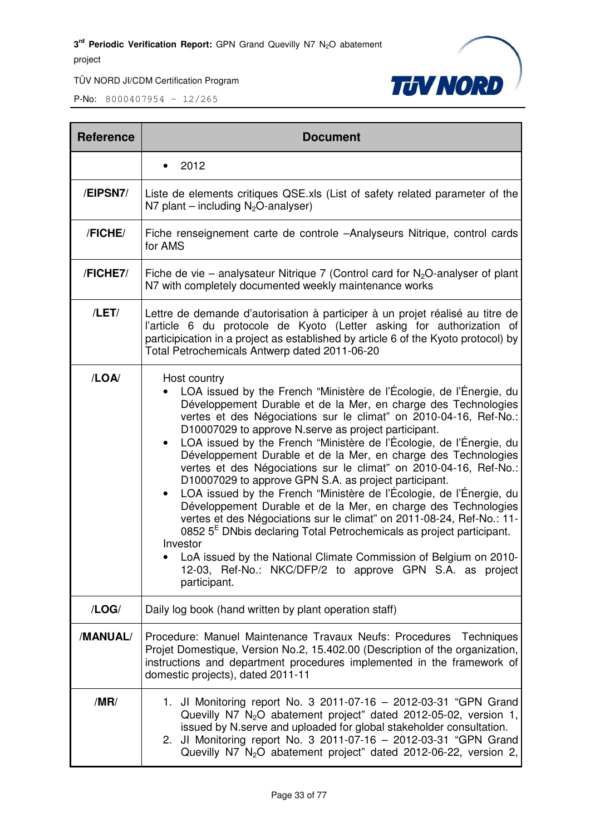

| <b>Reference</b> | <b>Document</b>                                                                                                                                                                                                                                                                                                                                                                                                                                                                                                                                                                                                                                                                                                                                                                                                                                                                                                                                                                                                                           |
|------------------|-------------------------------------------------------------------------------------------------------------------------------------------------------------------------------------------------------------------------------------------------------------------------------------------------------------------------------------------------------------------------------------------------------------------------------------------------------------------------------------------------------------------------------------------------------------------------------------------------------------------------------------------------------------------------------------------------------------------------------------------------------------------------------------------------------------------------------------------------------------------------------------------------------------------------------------------------------------------------------------------------------------------------------------------|
|                  | 2012                                                                                                                                                                                                                                                                                                                                                                                                                                                                                                                                                                                                                                                                                                                                                                                                                                                                                                                                                                                                                                      |
| /EIPSN7/         | Liste de elements critiques QSE.xls (List of safety related parameter of the<br>N7 plant – including $N_2O$ -analyser)                                                                                                                                                                                                                                                                                                                                                                                                                                                                                                                                                                                                                                                                                                                                                                                                                                                                                                                    |
| /FICHE/          | Fiche renseignement carte de controle -Analyseurs Nitrique, control cards<br>for AMS                                                                                                                                                                                                                                                                                                                                                                                                                                                                                                                                                                                                                                                                                                                                                                                                                                                                                                                                                      |
| /FICHE7/         | Fiche de vie – analysateur Nitrique 7 (Control card for $N_2O$ -analyser of plant<br>N7 with completely documented weekly maintenance works                                                                                                                                                                                                                                                                                                                                                                                                                                                                                                                                                                                                                                                                                                                                                                                                                                                                                               |
| /LET/            | Lettre de demande d'autorisation à participer à un projet réalisé au titre de<br>l'article 6 du protocole de Kyoto (Letter asking for authorization of<br>participication in a project as established by article 6 of the Kyoto protocol) by<br>Total Petrochemicals Antwerp dated 2011-06-20                                                                                                                                                                                                                                                                                                                                                                                                                                                                                                                                                                                                                                                                                                                                             |
| /LOA/            | Host country<br>LOA issued by the French "Ministère de l'Écologie, de l'Énergie, du<br>Développement Durable et de la Mer, en charge des Technologies<br>vertes et des Négociations sur le climat" on 2010-04-16, Ref-No.:<br>D10007029 to approve N.serve as project participant.<br>LOA issued by the French "Ministère de l'Écologie, de l'Énergie, du<br>$\bullet$<br>Développement Durable et de la Mer, en charge des Technologies<br>vertes et des Négociations sur le climat" on 2010-04-16, Ref-No.:<br>D10007029 to approve GPN S.A. as project participant.<br>LOA issued by the French "Ministère de l'Écologie, de l'Énergie, du<br>Développement Durable et de la Mer, en charge des Technologies<br>vertes et des Négociations sur le climat" on 2011-08-24, Ref-No.: 11-<br>0852 5 <sup>E</sup> DNbis declaring Total Petrochemicals as project participant.<br>Investor<br>LoA issued by the National Climate Commission of Belgium on 2010-<br>12-03, Ref-No.: NKC/DFP/2 to approve GPN S.A. as project<br>participant. |
| /LOG/            | Daily log book (hand written by plant operation staff)                                                                                                                                                                                                                                                                                                                                                                                                                                                                                                                                                                                                                                                                                                                                                                                                                                                                                                                                                                                    |
| /MANUAL/         | Procedure: Manuel Maintenance Travaux Neufs: Procedures Techniques<br>Projet Domestique, Version No.2, 15.402.00 (Description of the organization,<br>instructions and department procedures implemented in the framework of<br>domestic projects), dated 2011-11                                                                                                                                                                                                                                                                                                                                                                                                                                                                                                                                                                                                                                                                                                                                                                         |
| /MR/             | 1. Jl Monitoring report No. 3 2011-07-16 - 2012-03-31 "GPN Grand<br>Quevilly N7 $N_2O$ abatement project" dated 2012-05-02, version 1,<br>issued by N.serve and uploaded for global stakeholder consultation.<br>2. Jl Monitoring report No. 3 2011-07-16 - 2012-03-31 "GPN Grand<br>Quevilly N7 N <sub>2</sub> O abatement project" dated 2012-06-22, version 2,                                                                                                                                                                                                                                                                                                                                                                                                                                                                                                                                                                                                                                                                         |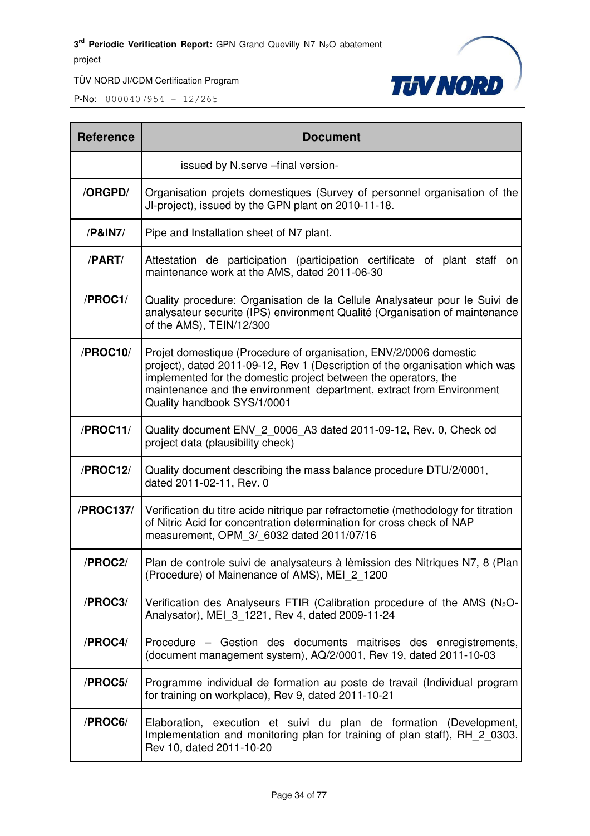

| <b>Reference</b> | <b>Document</b>                                                                                                                                                                                                                                                                                                             |
|------------------|-----------------------------------------------------------------------------------------------------------------------------------------------------------------------------------------------------------------------------------------------------------------------------------------------------------------------------|
|                  | issued by N.serve -final version-                                                                                                                                                                                                                                                                                           |
| /ORGPD/          | Organisation projets domestiques (Survey of personnel organisation of the<br>JI-project), issued by the GPN plant on 2010-11-18.                                                                                                                                                                                            |
| /P&IN7/          | Pipe and Installation sheet of N7 plant.                                                                                                                                                                                                                                                                                    |
| /PART/           | Attestation de participation (participation certificate of plant staff on<br>maintenance work at the AMS, dated 2011-06-30                                                                                                                                                                                                  |
| /PROC1/          | Quality procedure: Organisation de la Cellule Analysateur pour le Suivi de<br>analysateur securite (IPS) environment Qualité (Organisation of maintenance<br>of the AMS), TEIN/12/300                                                                                                                                       |
| /PROC10/         | Projet domestique (Procedure of organisation, ENV/2/0006 domestic<br>project), dated 2011-09-12, Rev 1 (Description of the organisation which was<br>implemented for the domestic project between the operators, the<br>maintenance and the environment department, extract from Environment<br>Quality handbook SYS/1/0001 |
| /PROC11/         | Quality document ENV_2_0006_A3 dated 2011-09-12, Rev. 0, Check od<br>project data (plausibility check)                                                                                                                                                                                                                      |
| /PROC12/         | Quality document describing the mass balance procedure DTU/2/0001,<br>dated 2011-02-11, Rev. 0                                                                                                                                                                                                                              |
| /PROC137/        | Verification du titre acide nitrique par refractometie (methodology for titration<br>of Nitric Acid for concentration determination for cross check of NAP<br>measurement, OPM 3/ 6032 dated 2011/07/16                                                                                                                     |
| /PROC2/          | Plan de controle suivi de analysateurs à lèmission des Nitriques N7, 8 (Plan<br>(Procedure) of Mainenance of AMS), MEI 2 1200                                                                                                                                                                                               |
| /PROC3/          | Verification des Analyseurs FTIR (Calibration procedure of the AMS $(N_2O - N_1)$<br>Analysator), MEI 3 1221, Rev 4, dated 2009-11-24                                                                                                                                                                                       |
| /PROC4/          | Procedure – Gestion des documents maitrises des enregistrements,<br>(document management system), AQ/2/0001, Rev 19, dated 2011-10-03                                                                                                                                                                                       |
| /PROC5/          | Programme individual de formation au poste de travail (Individual program<br>for training on workplace), Rev 9, dated 2011-10-21                                                                                                                                                                                            |
| /PROC6/          | Elaboration, execution et suivi du plan de formation (Development,<br>Implementation and monitoring plan for training of plan staff), RH_2_0303,<br>Rev 10, dated 2011-10-20                                                                                                                                                |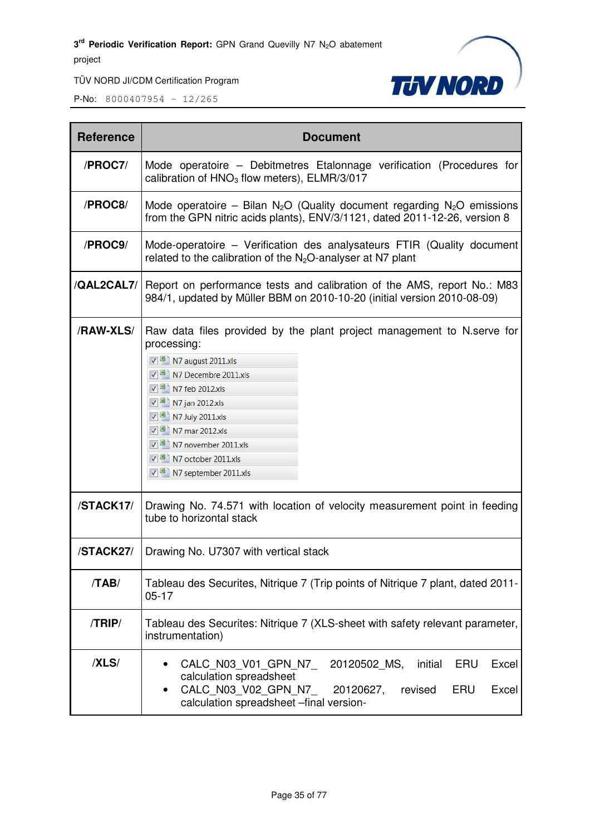

| <b>Reference</b> | <b>Document</b>                                                                                                                                                                                                                                                                                                                                         |
|------------------|---------------------------------------------------------------------------------------------------------------------------------------------------------------------------------------------------------------------------------------------------------------------------------------------------------------------------------------------------------|
| /PROC7/          | Mode operatoire – Debitmetres Etalonnage verification (Procedures for<br>calibration of $HNO3$ flow meters), ELMR/3/017                                                                                                                                                                                                                                 |
| /PROC8/          | Mode operatoire – Bilan N <sub>2</sub> O (Quality document regarding N <sub>2</sub> O emissions<br>from the GPN nitric acids plants), ENV/3/1121, dated 2011-12-26, version 8                                                                                                                                                                           |
| /PROC9/          | Mode-operatoire – Verification des analysateurs FTIR (Quality document<br>related to the calibration of the $N_2O$ -analyser at N7 plant                                                                                                                                                                                                                |
| /QAL2CAL7/       | Report on performance tests and calibration of the AMS, report No.: M83<br>984/1, updated by Müller BBM on 2010-10-20 (initial version 2010-08-09)                                                                                                                                                                                                      |
| /RAW-XLS/        | Raw data files provided by the plant project management to N.serve for<br>processing:<br>V 3 N7 august 2011.xls<br>$\nabla$ 3 N7 Decembre 2011.xls<br>$\sqrt{8}$ N7 feb 2012.xls<br>■ N7 jan 2012.xls<br>7 M7 July 2011.xls<br>$\sqrt{3}$ N7 mar 2012.xls<br>$\nabla$ 3 N7 november 2011.xls<br>$\nabla$ 3 N7 october 2011.xls<br>N7 september 2011.xls |
| /STACK17/        | Drawing No. 74.571 with location of velocity measurement point in feeding<br>tube to horizontal stack                                                                                                                                                                                                                                                   |
| /STACK27/        | Drawing No. U7307 with vertical stack                                                                                                                                                                                                                                                                                                                   |
| /TAB/            | Tableau des Securites, Nitrique 7 (Trip points of Nitrique 7 plant, dated 2011-<br>$05 - 17$                                                                                                                                                                                                                                                            |
| /TRIP/           | Tableau des Securites: Nitrique 7 (XLS-sheet with safety relevant parameter,<br>instrumentation)                                                                                                                                                                                                                                                        |
| /XLS/            | CALC N03 V01 GPN N7<br>20120502 MS,<br>initial<br>ERU<br>Excel<br>calculation spreadsheet<br>CALC N03 V02 GPN N7<br>ERU<br>Excel<br>20120627,<br>revised<br>calculation spreadsheet -final version-                                                                                                                                                     |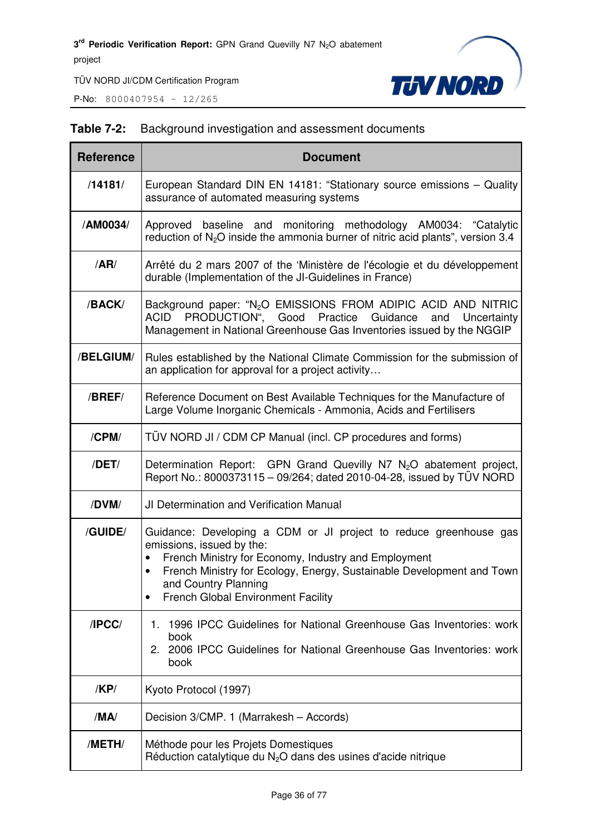**P-No:** 8000407954 - 12/265



#### **Table 7-2:** Background investigation and assessment documents

| <b>Reference</b> | <b>Document</b>                                                                                                                                                                                                                                                                                                   |
|------------------|-------------------------------------------------------------------------------------------------------------------------------------------------------------------------------------------------------------------------------------------------------------------------------------------------------------------|
| /14181/          | European Standard DIN EN 14181: "Stationary source emissions - Quality<br>assurance of automated measuring systems                                                                                                                                                                                                |
| /AM0034/         | Approved baseline and monitoring methodology AM0034: "Catalytic<br>reduction of $N_2O$ inside the ammonia burner of nitric acid plants", version 3.4                                                                                                                                                              |
| /AR/             | Arrêté du 2 mars 2007 of the 'Ministère de l'écologie et du développement<br>durable (Implementation of the JI-Guidelines in France)                                                                                                                                                                              |
| /BACK/           | Background paper: "N <sub>2</sub> O EMISSIONS FROM ADIPIC ACID AND NITRIC<br>PRODUCTION", Good Practice<br>ACID<br>Guidance<br>Uncertainty<br>and<br>Management in National Greenhouse Gas Inventories issued by the NGGIP                                                                                        |
| /BELGIUM/        | Rules established by the National Climate Commission for the submission of<br>an application for approval for a project activity                                                                                                                                                                                  |
| /BREF/           | Reference Document on Best Available Techniques for the Manufacture of<br>Large Volume Inorganic Chemicals - Ammonia, Acids and Fertilisers                                                                                                                                                                       |
| /CPM/            | TUV NORD JI / CDM CP Manual (incl. CP procedures and forms)                                                                                                                                                                                                                                                       |
| /DET/            | Determination Report: GPN Grand Quevilly N7 N <sub>2</sub> O abatement project,<br>Report No.: 8000373115 - 09/264; dated 2010-04-28, issued by TÜV NORD                                                                                                                                                          |
| /DVM/            | JI Determination and Verification Manual                                                                                                                                                                                                                                                                          |
| /GUIDE/          | Guidance: Developing a CDM or JI project to reduce greenhouse gas<br>emissions, issued by the:<br>French Ministry for Economy, Industry and Employment<br>$\bullet$<br>French Ministry for Ecology, Energy, Sustainable Development and Town<br>and Country Planning<br><b>French Global Environment Facility</b> |
| IPCC/            | 1996 IPCC Guidelines for National Greenhouse Gas Inventories: work<br>1.<br>book<br>2. 2006 IPCC Guidelines for National Greenhouse Gas Inventories: work<br>book                                                                                                                                                 |
| /KP/             | Kyoto Protocol (1997)                                                                                                                                                                                                                                                                                             |
| /MA/             | Decision 3/CMP. 1 (Marrakesh - Accords)                                                                                                                                                                                                                                                                           |
| /METH/           | Méthode pour les Projets Domestiques<br>Réduction catalytique du $N_2O$ dans des usines d'acide nitrique                                                                                                                                                                                                          |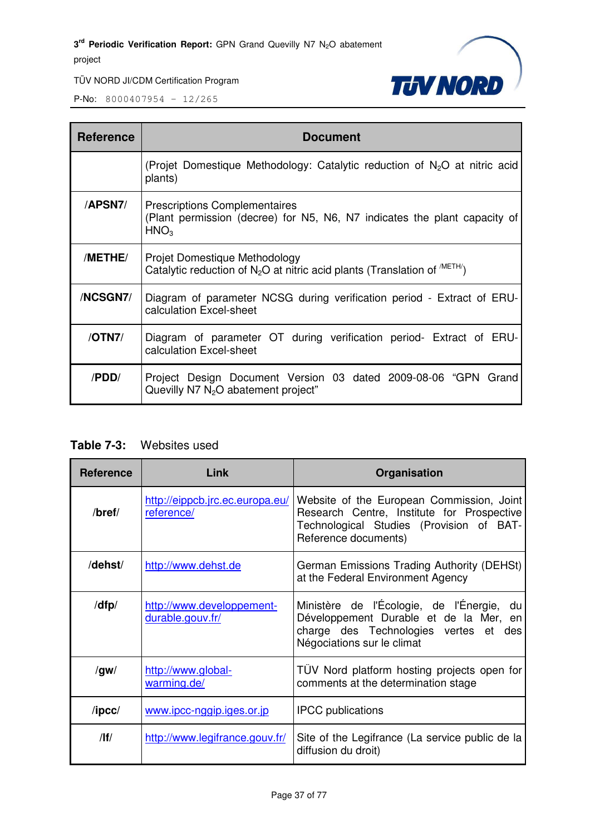

P-No: 8000407954 – 12/265

| <b>Reference</b> | <b>Document</b>                                                                                                                       |
|------------------|---------------------------------------------------------------------------------------------------------------------------------------|
|                  | (Projet Domestique Methodology: Catalytic reduction of $N_2O$ at nitric acid<br>plants)                                               |
| <b>APSN7/</b>    | <b>Prescriptions Complementaires</b><br>(Plant permission (decree) for N5, N6, N7 indicates the plant capacity of<br>HNO <sub>3</sub> |
| /METHE/          | Projet Domestique Methodology<br>Catalytic reduction of $N_2O$ at nitric acid plants (Translation of $^{M E H \wedge N}$ )            |
| /NCSGN7/         | Diagram of parameter NCSG during verification period - Extract of ERU-<br>calculation Excel-sheet                                     |
| /OTN7/           | Diagram of parameter OT during verification period- Extract of ERU-<br>calculation Excel-sheet                                        |
| /PDD/            | Project Design Document Version 03 dated 2009-08-06 "GPN Grand<br>Quevilly $N$ 7 $N_2O$ abatement project"                            |

### **Table 7-3:** Websites used

| <b>Reference</b> | Link                                          | Organisation                                                                                                                                                  |
|------------------|-----------------------------------------------|---------------------------------------------------------------------------------------------------------------------------------------------------------------|
| /bref/           | http://eippcb.jrc.ec.europa.eu/<br>reference/ | Website of the European Commission, Joint<br>Research Centre, Institute for Prospective<br>Technological Studies (Provision of BAT-<br>Reference documents)   |
| /dehst/          | http://www.dehst.de                           | German Emissions Trading Authority (DEHSt)<br>at the Federal Environment Agency                                                                               |
| /dfp/            | http://www.developpement-<br>durable.gouv.fr/ | Ministère de l'Écologie, de l'Énergie, du<br>Développement Durable et de la Mer, en<br>charge des Technologies vertes et<br>des<br>Négociations sur le climat |
| /gw/             | http://www.global-<br>warming.de/             | TÜV Nord platform hosting projects open for<br>comments at the determination stage                                                                            |
| $\sqrt{I}$       | www.ipcc-nggip.iges.or.jp                     | <b>IPCC</b> publications                                                                                                                                      |
| /                | http://www.legifrance.gouv.fr/                | Site of the Legifrance (La service public de la<br>diffusion du droit)                                                                                        |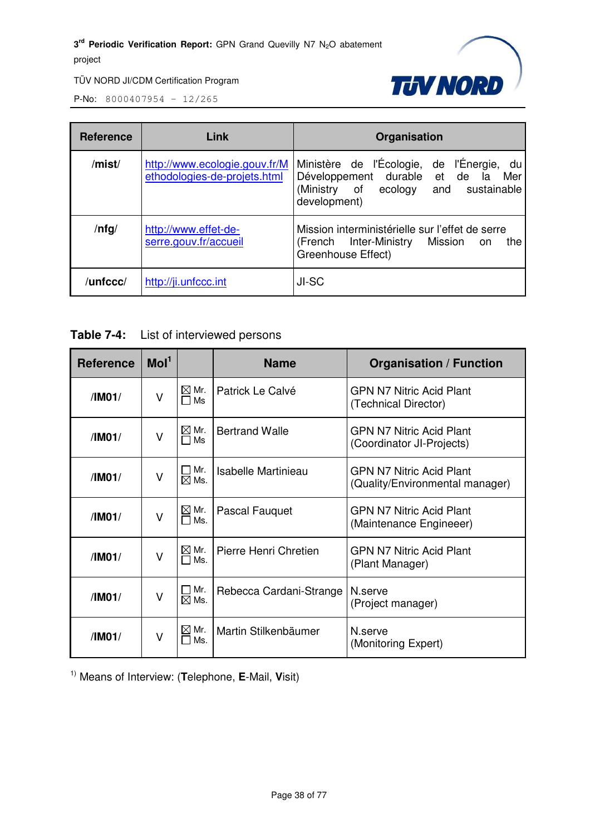

**P-No:** 8000407954 - 12/265

| <b>Reference</b> | Link                                                          | Organisation                                                                                                                                  |  |  |  |
|------------------|---------------------------------------------------------------|-----------------------------------------------------------------------------------------------------------------------------------------------|--|--|--|
| /mist/           | http://www.ecologie.gouv.fr/M<br>ethodologies-de-projets.html | Ministère de l'Écologie, de l'Énergie, du<br>Développement durable et de<br>Mer<br>la<br>(Ministry of ecology and sustainable<br>development) |  |  |  |
| $/$ nfg $/$      | http://www.effet-de-<br>serre.gouv.fr/accueil                 | Mission interministérielle sur l'effet de serre<br>(French Inter-Ministry<br>Mission<br>the<br>on<br>Greenhouse Effect)                       |  |  |  |
| /unfccc/         | http://ji.unfccc.int                                          | JI-SC                                                                                                                                         |  |  |  |

| <b>Table 7-4:</b> | List of interviewed persons |
|-------------------|-----------------------------|
|-------------------|-----------------------------|

| <b>Reference</b>                                                        | Mol <sup>1</sup> |                                          | <b>Name</b>           | <b>Organisation / Function</b>                                     |
|-------------------------------------------------------------------------|------------------|------------------------------------------|-----------------------|--------------------------------------------------------------------|
| V<br>/IM01/                                                             |                  | $\boxtimes$ Mr.<br>□ Ms                  | Patrick Le Calvé      | <b>GPN N7 Nitric Acid Plant</b><br>(Technical Director)            |
| $\vee$<br>/IM01/<br>$\blacksquare$                                      |                  | $\boxtimes$ Mr.<br>Ms                    | <b>Bertrand Walle</b> | <b>GPN N7 Nitric Acid Plant</b><br>(Coordinator JI-Projects)       |
| /IM01/                                                                  | V                | Mr.<br>$\boxtimes$ Ms.                   | Isabelle Martinieau   | <b>GPN N7 Nitric Acid Plant</b><br>(Quality/Environmental manager) |
| /IM01/                                                                  | V                | $\boxtimes$ Mr.<br>Ms.<br>$\blacksquare$ | Pascal Fauquet        | <b>GPN N7 Nitric Acid Plant</b><br>(Maintenance Engineeer)         |
| $\vee$<br>/IM01/                                                        |                  | $\boxtimes$ Mr.<br>Ms.<br>$\Box$         | Pierre Henri Chretien | <b>GPN N7 Nitric Acid Plant</b><br>(Plant Manager)                 |
| $\Box$ Mr.<br>Rebecca Cardani-Strange<br>V<br>/IM01/<br>$\boxtimes$ Ms. |                  | N.serve<br>(Project manager)             |                       |                                                                    |
| /IM01/                                                                  | v                | ⊠ Mr.<br>Ms.                             | Martin Stilkenbäumer  | N serve<br>(Monitoring Expert)                                     |

1) Means of Interview: (**T**elephone, **E**-Mail, **V**isit)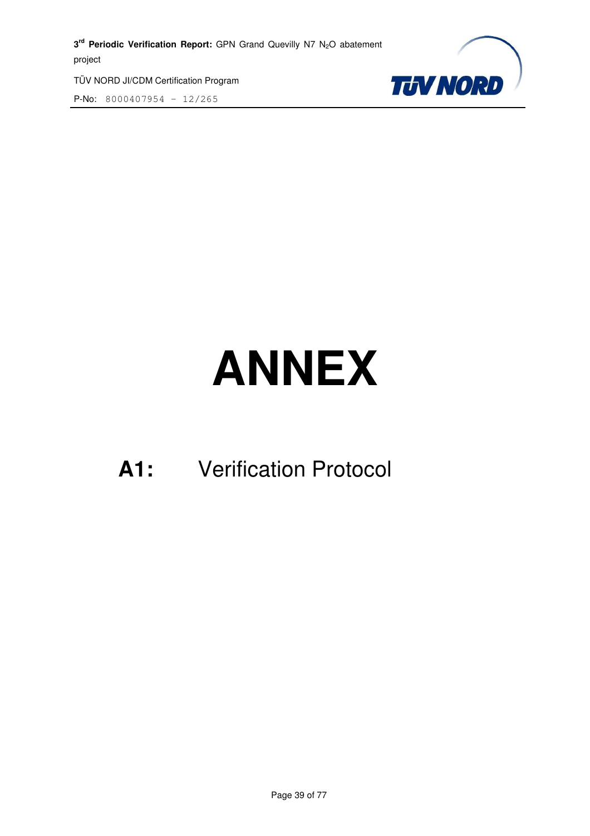3<sup>rd</sup> Periodic Verification Report: GPN Grand Quevilly N7 N<sub>2</sub>O abatement project

TÜV NORD JI/CDM Certification Program P-No: 8000407954 – 12/265



# **ANNEX**

# **A1:** Verification Protocol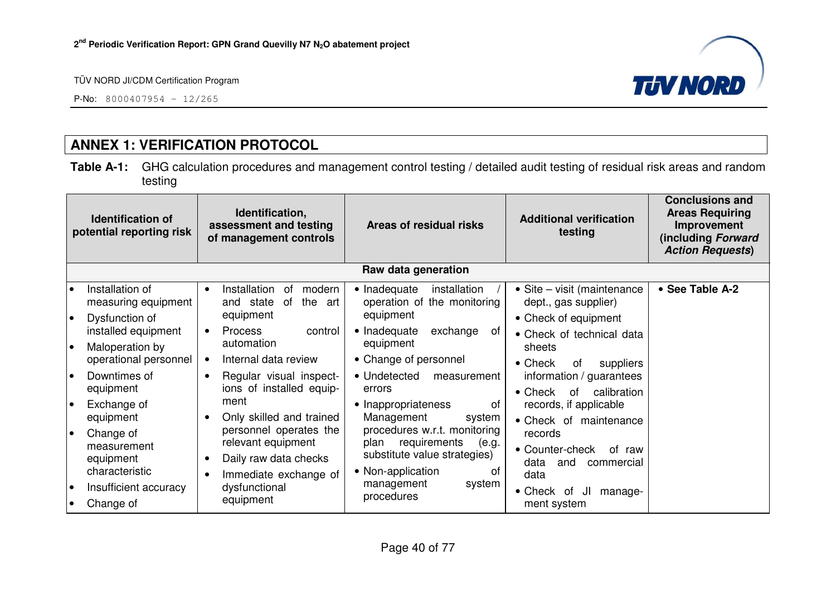P-No: 8000407954 – 12/265



# **ANNEX 1: VERIFICATION PROTOCOL**

**Table A-1:** GHG calculation procedures and management control testing / detailed audit testing of residual risk areas and random testing

|                 | <b>Identification of</b><br>potential reporting risk                              | Identification,<br>assessment and testing<br>of management controls                                         | Areas of residual risks                                                                                                  | <b>Additional verification</b><br>testing                                                         | <b>Conclusions and</b><br><b>Areas Requiring</b><br>Improvement<br>(including Forward<br><b>Action Requests)</b> |
|-----------------|-----------------------------------------------------------------------------------|-------------------------------------------------------------------------------------------------------------|--------------------------------------------------------------------------------------------------------------------------|---------------------------------------------------------------------------------------------------|------------------------------------------------------------------------------------------------------------------|
|                 |                                                                                   |                                                                                                             | Raw data generation                                                                                                      |                                                                                                   |                                                                                                                  |
| $\bullet$<br>I۰ | Installation of<br>measuring equipment                                            | Installation<br>оf<br>modern<br>$\bullet$<br>the<br>and state<br>of<br>art<br>equipment                     | • Inadequate<br>installation<br>operation of the monitoring<br>equipment                                                 | • Site – visit (maintenance<br>dept., gas supplier)                                               | • See Table A-2                                                                                                  |
| I۰              | Dysfunction of<br>installed equipment<br>Maloperation by<br>operational personnel | <b>Process</b><br>control<br>$\bullet$<br>automation<br>Internal data review                                | • Inadequate<br>exchange<br>of<br>equipment<br>• Change of personnel                                                     | • Check of equipment<br>• Check of technical data<br>sheets<br>$\bullet$ Check<br>suppliers<br>0f |                                                                                                                  |
| l o             | Downtimes of<br>equipment                                                         | Regular visual inspect-<br>$\bullet$<br>ions of installed equip-                                            | • Undetected<br>measurement<br>errors                                                                                    | information / guarantees<br>calibration<br>$\bullet$ Check<br>of                                  |                                                                                                                  |
| I۰              | Exchange of<br>equipment                                                          | ment<br>Only skilled and trained                                                                            | • Inappropriateness<br>0f<br>Management<br>system                                                                        | records, if applicable<br>• Check of maintenance                                                  |                                                                                                                  |
| le              | Change of<br>measurement<br>equipment<br>characteristic                           | personnel operates the<br>relevant equipment<br>Daily raw data checks<br>$\bullet$<br>Immediate exchange of | procedures w.r.t. monitoring<br>requirements<br>(e.g.<br>plan<br>substitute value strategies)<br>• Non-application<br>of | records<br>• Counter-check<br>of raw<br>data<br>and<br>commercial<br>data                         |                                                                                                                  |
| $\bullet$       | Insufficient accuracy<br>Change of                                                | dysfunctional<br>equipment                                                                                  | management<br>system<br>procedures                                                                                       | $\bullet$ Check<br>JI<br>manage-<br>of<br>ment system                                             |                                                                                                                  |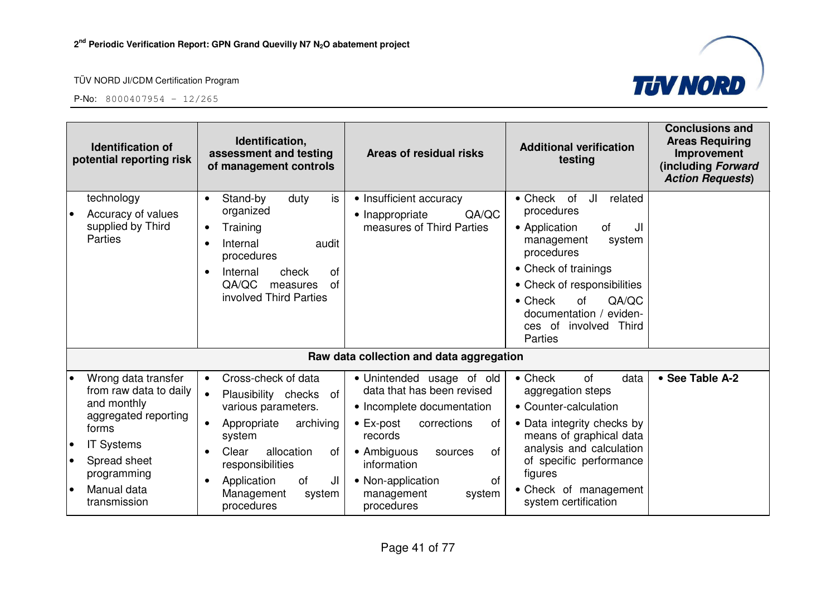



| Identification,<br><b>Identification of</b><br>assessment and testing<br>potential reporting risk<br>of management controls                                      |                                                                                                                                                                                                                                               | Areas of residual risks                                                                                                                                                                                              | <b>Additional verification</b><br>testing                                                                                                                                                                                              | <b>Conclusions and</b><br><b>Areas Requiring</b><br>Improvement<br>(including Forward<br><b>Action Requests)</b> |
|------------------------------------------------------------------------------------------------------------------------------------------------------------------|-----------------------------------------------------------------------------------------------------------------------------------------------------------------------------------------------------------------------------------------------|----------------------------------------------------------------------------------------------------------------------------------------------------------------------------------------------------------------------|----------------------------------------------------------------------------------------------------------------------------------------------------------------------------------------------------------------------------------------|------------------------------------------------------------------------------------------------------------------|
| technology<br>Accuracy of values<br>supplied by Third<br><b>Parties</b>                                                                                          | is<br>Stand-by<br>duty<br>$\bullet$<br>organized<br>Training<br>$\bullet$<br>Internal<br>audit<br>$\bullet$<br>procedures                                                                                                                     | • Insufficient accuracy<br>QA/QC<br>• Inappropriate<br>measures of Third Parties                                                                                                                                     | $\bullet$ Check<br>of<br>JI<br>related<br>procedures<br>• Application<br>οf<br>JI<br>system<br>management<br>procedures<br>• Check of trainings                                                                                        |                                                                                                                  |
|                                                                                                                                                                  | check<br><b>of</b><br>Internal<br>$\bullet$<br>QA/QC<br>of<br>measures<br>involved Third Parties                                                                                                                                              |                                                                                                                                                                                                                      | • Check of responsibilities<br>QA/QC<br>$\bullet$ Check<br><b>of</b><br>documentation / eviden-<br>ces of involved<br>Third<br><b>Parties</b>                                                                                          |                                                                                                                  |
|                                                                                                                                                                  |                                                                                                                                                                                                                                               | Raw data collection and data aggregation                                                                                                                                                                             |                                                                                                                                                                                                                                        |                                                                                                                  |
| Wrong data transfer<br>from raw data to daily<br>and monthly<br>aggregated reporting<br>forms<br><b>IT Systems</b><br>Spread sheet<br>programming<br>Manual data | Cross-check of data<br>$\bullet$<br>Plausibility checks<br>$\bullet$<br>of<br>various parameters.<br>Appropriate<br>archiving<br>$\bullet$<br>system<br>Clear<br>allocation<br>οf<br>responsibilities<br>of<br>JI<br>Application<br>$\bullet$ | • Unintended usage of old<br>data that has been revised<br>• Incomplete documentation<br>$\bullet$ Ex-post<br>corrections<br>οf<br>records<br>• Ambiguous<br>0f<br>sources<br>information<br>of<br>• Non-application | $\bullet$ Check<br><b>of</b><br>data<br>aggregation steps<br>• Counter-calculation<br>• Data integrity checks by<br>means of graphical data<br>analysis and calculation<br>of specific performance<br>figures<br>• Check of management | • See Table A-2                                                                                                  |
| transmission                                                                                                                                                     | Management<br>system<br>procedures                                                                                                                                                                                                            | management<br>system<br>procedures                                                                                                                                                                                   | system certification                                                                                                                                                                                                                   |                                                                                                                  |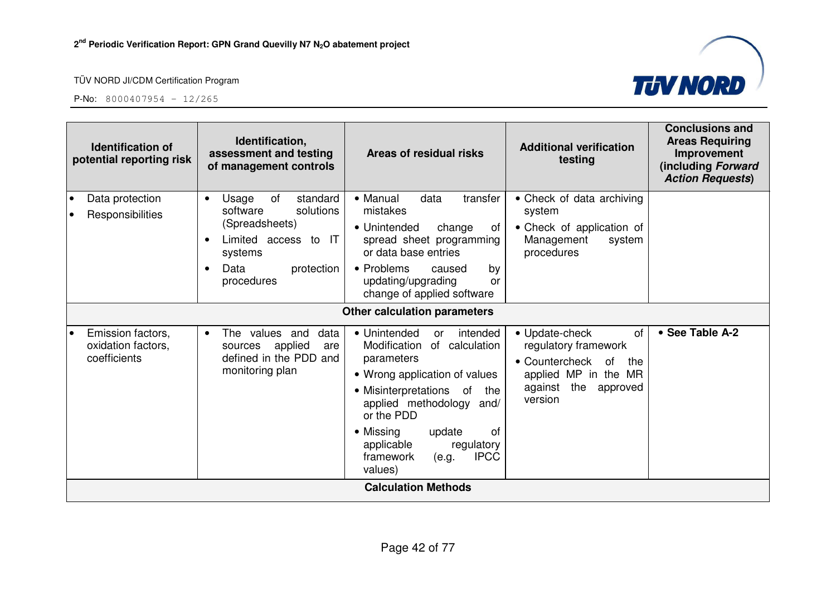

| <b>Identification of</b><br>potential reporting risk          | Identification,<br>assessment and testing<br>of management controls                                                                                   | Areas of residual risks                                                                                                                                                                                                                                                                                 | <b>Additional verification</b><br>testing                                                                                                    | <b>Conclusions and</b><br><b>Areas Requiring</b><br>Improvement<br>(including Forward<br><b>Action Requests)</b> |
|---------------------------------------------------------------|-------------------------------------------------------------------------------------------------------------------------------------------------------|---------------------------------------------------------------------------------------------------------------------------------------------------------------------------------------------------------------------------------------------------------------------------------------------------------|----------------------------------------------------------------------------------------------------------------------------------------------|------------------------------------------------------------------------------------------------------------------|
| Data protection<br>$\bullet$<br>Responsibilities<br>$\bullet$ | standard<br>of<br>Usage<br>$\bullet$<br>software<br>solutions<br>(Spreadsheets)<br>Limited access to IT<br>systems<br>Data<br>protection<br>$\bullet$ | • Manual<br>data<br>transfer<br>mistakes<br>• Unintended<br>change<br>οf<br>spread sheet programming<br>or data base entries<br>• Problems<br>caused<br>by                                                                                                                                              | • Check of data archiving<br>system<br>• Check of application of<br>Management<br>system<br>procedures                                       |                                                                                                                  |
|                                                               | procedures                                                                                                                                            | updating/upgrading<br>or<br>change of applied software<br><b>Other calculation parameters</b>                                                                                                                                                                                                           |                                                                                                                                              |                                                                                                                  |
| Emission factors,<br>I۰<br>oxidation factors,<br>coefficients | The values and<br>data<br>$\bullet$<br>applied<br>sources<br>are<br>defined in the PDD and<br>monitoring plan                                         | • Unintended<br>intended<br>or<br>Modification<br>of calculation<br>parameters<br>• Wrong application of values<br>• Misinterpretations of<br>the<br>applied methodology<br>and/<br>or the PDD<br>• Missing<br>0f<br>update<br>applicable<br>regulatory<br><b>IPCC</b><br>framework<br>(e.g.<br>values) | • Update-check<br>0f<br>regulatory framework<br>• Countercheck<br>of<br>the<br>applied MP in the MR<br>the<br>against<br>approved<br>version | • See Table A-2                                                                                                  |
|                                                               |                                                                                                                                                       | <b>Calculation Methods</b>                                                                                                                                                                                                                                                                              |                                                                                                                                              |                                                                                                                  |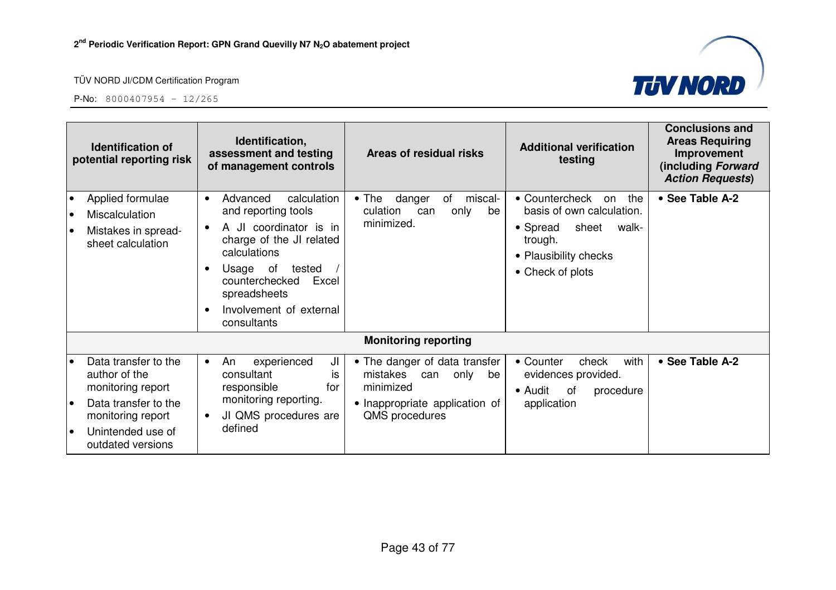

| <b>Identification of</b><br>potential reporting risk                                                                                                           | Identification,<br>assessment and testing<br>of management controls                                                                                                                                                                          | Areas of residual risks                                                                                                      | <b>Additional verification</b><br>testing                                                                                                      | <b>Conclusions and</b><br><b>Areas Requiring</b><br>Improvement<br>(including Forward<br><b>Action Requests)</b> |
|----------------------------------------------------------------------------------------------------------------------------------------------------------------|----------------------------------------------------------------------------------------------------------------------------------------------------------------------------------------------------------------------------------------------|------------------------------------------------------------------------------------------------------------------------------|------------------------------------------------------------------------------------------------------------------------------------------------|------------------------------------------------------------------------------------------------------------------|
| Applied formulae<br>Miscalculation<br>Mistakes in spread-<br>sheet calculation                                                                                 | calculation<br>Advanced<br>$\bullet$<br>and reporting tools<br>A JI coordinator is in<br>charge of the JI related<br>calculations<br>Usage of<br>tested<br>counterchecked<br>Excel<br>spreadsheets<br>Involvement of external<br>consultants | danger<br>miscal-<br>$\bullet$ The<br>of<br>culation<br>only<br>be<br>can<br>minimized.                                      | • Countercheck<br>the<br>on<br>basis of own calculation.<br>• Spread<br>sheet<br>walk-<br>trough.<br>• Plausibility checks<br>• Check of plots | • See Table A-2                                                                                                  |
|                                                                                                                                                                |                                                                                                                                                                                                                                              | <b>Monitoring reporting</b>                                                                                                  |                                                                                                                                                |                                                                                                                  |
| Data transfer to the<br>author of the<br>monitoring report<br>Data transfer to the<br>$\bullet$<br>monitoring report<br>Unintended use of<br>outdated versions | experienced<br>JI<br>An<br>$\bullet$<br>consultant<br>İS<br>responsible<br>for<br>monitoring reporting.<br>JI QMS procedures are<br>defined                                                                                                  | • The danger of data transfer<br>mistakes can<br>only<br>be<br>minimized<br>• Inappropriate application of<br>QMS procedures | with<br>• Counter<br>check<br>evidences provided.<br>• Audit<br>of<br>procedure<br>application                                                 | • See Table A-2                                                                                                  |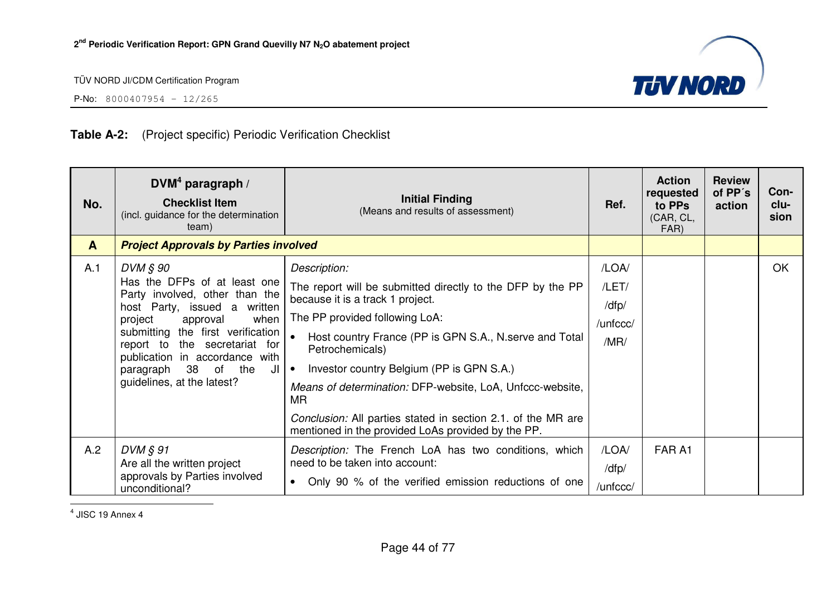

P-No: 8000407954 – 12/265

## **Table A-2:** (Project specific) Periodic Verification Checklist

| No.          | $DVM4$ paragraph /<br><b>Checklist Item</b><br>(incl. guidance for the determination<br>team)                                                                                                                                                                                                                   | <b>Initial Finding</b><br>(Means and results of assessment)                                                                                                                                                                                                                                                                                                                                                                                                                                     | Ref.                                        | <b>Action</b><br>requested<br>to PPs<br>(CAR, CL,<br>FAR) | <b>Review</b><br>of PP's<br>action | Con-<br>clu-<br>sion |
|--------------|-----------------------------------------------------------------------------------------------------------------------------------------------------------------------------------------------------------------------------------------------------------------------------------------------------------------|-------------------------------------------------------------------------------------------------------------------------------------------------------------------------------------------------------------------------------------------------------------------------------------------------------------------------------------------------------------------------------------------------------------------------------------------------------------------------------------------------|---------------------------------------------|-----------------------------------------------------------|------------------------------------|----------------------|
| $\mathbf{A}$ | <b>Project Approvals by Parties involved</b>                                                                                                                                                                                                                                                                    |                                                                                                                                                                                                                                                                                                                                                                                                                                                                                                 |                                             |                                                           |                                    |                      |
| A.1          | DVM § 90<br>Has the DFPs of at least one<br>Party involved, other than the<br>host Party, issued a written<br>when<br>project<br>approval<br>submitting the first verification<br>report to the secretariat for<br>publication in accordance with<br>38 of the<br>paragraph<br>JI<br>guidelines, at the latest? | Description:<br>The report will be submitted directly to the DFP by the PP<br>because it is a track 1 project.<br>The PP provided following LoA:<br>Host country France (PP is GPN S.A., N. serve and Total<br>$\bullet$<br>Petrochemicals)<br>Investor country Belgium (PP is GPN S.A.)<br>$\bullet$<br>Means of determination: DFP-website, LoA, Unfccc-website,<br>MR.<br>Conclusion: All parties stated in section 2.1. of the MR are<br>mentioned in the provided LoAs provided by the PP. | /LOA/<br>/LET/<br>/dfp/<br>/unfccc/<br>/MR/ |                                                           |                                    | OK                   |
| A.2          | DVM § 91<br>Are all the written project<br>approvals by Parties involved<br>unconditional?                                                                                                                                                                                                                      | Description: The French LoA has two conditions, which<br>need to be taken into account:<br>Only 90 % of the verified emission reductions of one<br>$\bullet$                                                                                                                                                                                                                                                                                                                                    | /LOA/<br>/dfp/<br>/unfccc/                  | FAR A1                                                    |                                    |                      |

 $<sup>4</sup>$  JISC 19 Annex 4</sup>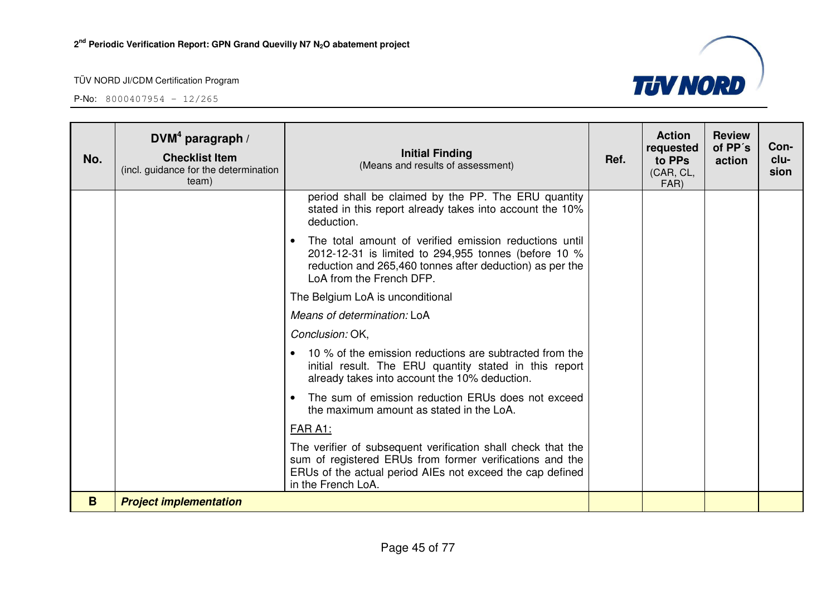

| No. | DVM <sup>4</sup> paragraph /<br><b>Checklist Item</b><br>(incl. guidance for the determination<br>team) | <b>Initial Finding</b><br>(Means and results of assessment)                                                                                                                                                         | Ref. | <b>Action</b><br>requested<br>to PPs<br>(CAR, CL,<br>FAR) | <b>Review</b><br>of PP's<br>action | Con-<br>clu-<br>sion |
|-----|---------------------------------------------------------------------------------------------------------|---------------------------------------------------------------------------------------------------------------------------------------------------------------------------------------------------------------------|------|-----------------------------------------------------------|------------------------------------|----------------------|
|     |                                                                                                         | period shall be claimed by the PP. The ERU quantity<br>stated in this report already takes into account the 10%<br>deduction.                                                                                       |      |                                                           |                                    |                      |
|     |                                                                                                         | The total amount of verified emission reductions until<br>$\bullet$<br>2012-12-31 is limited to 294,955 tonnes (before 10 %<br>reduction and 265,460 tonnes after deduction) as per the<br>LoA from the French DFP. |      |                                                           |                                    |                      |
|     |                                                                                                         | The Belgium LoA is unconditional                                                                                                                                                                                    |      |                                                           |                                    |                      |
|     |                                                                                                         | Means of determination: LoA                                                                                                                                                                                         |      |                                                           |                                    |                      |
|     |                                                                                                         | Conclusion: OK,                                                                                                                                                                                                     |      |                                                           |                                    |                      |
|     |                                                                                                         | 10 % of the emission reductions are subtracted from the<br>initial result. The ERU quantity stated in this report<br>already takes into account the 10% deduction.                                                  |      |                                                           |                                    |                      |
|     |                                                                                                         | The sum of emission reduction ERUs does not exceed<br>the maximum amount as stated in the LoA.                                                                                                                      |      |                                                           |                                    |                      |
|     |                                                                                                         | FAR A1:                                                                                                                                                                                                             |      |                                                           |                                    |                      |
|     |                                                                                                         | The verifier of subsequent verification shall check that the<br>sum of registered ERUs from former verifications and the<br>ERUs of the actual period AIEs not exceed the cap defined<br>in the French LoA.         |      |                                                           |                                    |                      |
| B   | <b>Project implementation</b>                                                                           |                                                                                                                                                                                                                     |      |                                                           |                                    |                      |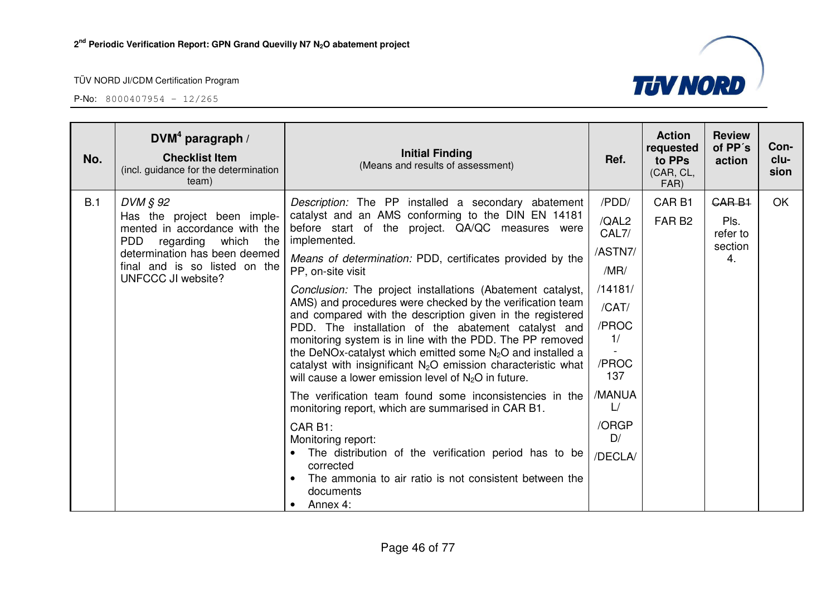

| No. | DVM <sup>4</sup> paragraph /<br><b>Checklist Item</b><br>(incl. guidance for the determination<br>team)                                                                                                      | <b>Initial Finding</b><br>(Means and results of assessment)                                                                                                                                                                                                                                                                                                                                                                                                                                                                                                                                                                                                                                                                                                                                                                                                                                                                | Ref.                                                                                                                         | <b>Action</b><br>requested<br>to PPs<br>(CAR, CL,<br>FAR) | <b>Review</b><br>of PP's<br>action                | Con-<br>clu-<br>sion |
|-----|--------------------------------------------------------------------------------------------------------------------------------------------------------------------------------------------------------------|----------------------------------------------------------------------------------------------------------------------------------------------------------------------------------------------------------------------------------------------------------------------------------------------------------------------------------------------------------------------------------------------------------------------------------------------------------------------------------------------------------------------------------------------------------------------------------------------------------------------------------------------------------------------------------------------------------------------------------------------------------------------------------------------------------------------------------------------------------------------------------------------------------------------------|------------------------------------------------------------------------------------------------------------------------------|-----------------------------------------------------------|---------------------------------------------------|----------------------|
| B.1 | DVM § 92<br>Has the project been imple-<br>mented in accordance with the<br><b>PDD</b><br>regarding which the<br>determination has been deemed<br>final and is so listed on the<br><b>UNFCCC JI website?</b> | Description: The PP installed a secondary abatement<br>catalyst and an AMS conforming to the DIN EN 14181<br>before start of the project. QA/QC measures were<br>implemented.<br>Means of determination: PDD, certificates provided by the<br>PP, on-site visit<br>Conclusion: The project installations (Abatement catalyst,<br>AMS) and procedures were checked by the verification team<br>and compared with the description given in the registered<br>PDD. The installation of the abatement catalyst and<br>monitoring system is in line with the PDD. The PP removed<br>the DeNOx-catalyst which emitted some $N_2O$ and installed a<br>catalyst with insignificant $N_2O$ emission characteristic what<br>will cause a lower emission level of $N_2O$ in future.<br>The verification team found some inconsistencies in the<br>monitoring report, which are summarised in CAR B1.<br>CAR B1:<br>Monitoring report: | /PDD/<br>/QAL2<br>CAL7/<br>/ASTN7/<br>/MR/<br>/14181/<br>/CAT/<br>/PROC<br>1/<br>/PROC<br>137<br>/MANUA<br>L/<br>/ORGP<br>D/ | CAR <sub>B1</sub><br>FAR <sub>B2</sub>                    | <b>CARB1</b><br>Pls.<br>refer to<br>section<br>4. | OK                   |
|     |                                                                                                                                                                                                              | The distribution of the verification period has to be<br>$\bullet$<br>corrected<br>The ammonia to air ratio is not consistent between the<br>$\bullet$<br>documents<br>Annex 4:<br>$\bullet$                                                                                                                                                                                                                                                                                                                                                                                                                                                                                                                                                                                                                                                                                                                               | /DECLA/                                                                                                                      |                                                           |                                                   |                      |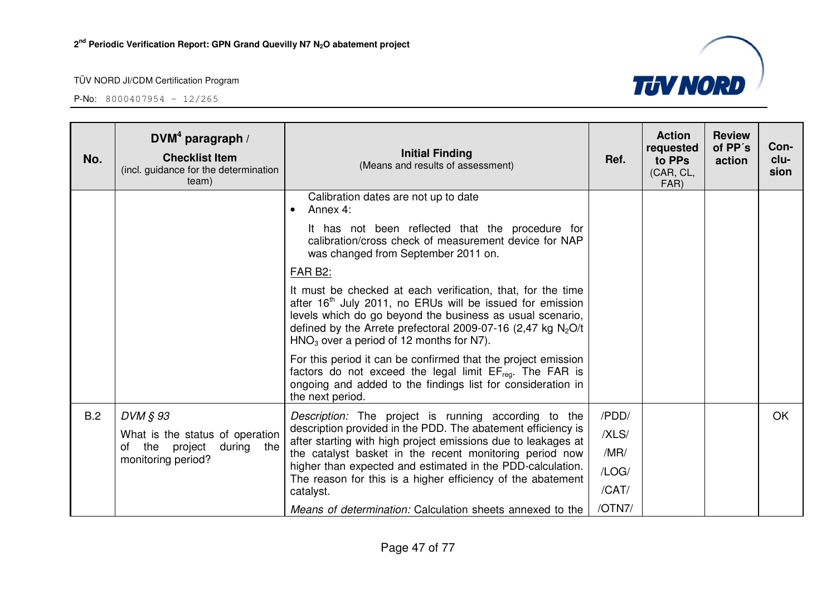P-No: 8000407954 – 12/265



| No. | DVM <sup>4</sup> paragraph /<br><b>Checklist Item</b><br>(incl. guidance for the determination<br>team) | <b>Initial Finding</b><br>(Means and results of assessment)                                                                                                                                                                                                                                                       | Ref.   | <b>Action</b><br>requested<br>to PPs<br>(CAR, CL,<br>FAR) | <b>Review</b><br>of PP's<br>action | Con-<br>clu-<br>sion |
|-----|---------------------------------------------------------------------------------------------------------|-------------------------------------------------------------------------------------------------------------------------------------------------------------------------------------------------------------------------------------------------------------------------------------------------------------------|--------|-----------------------------------------------------------|------------------------------------|----------------------|
|     |                                                                                                         | Calibration dates are not up to date<br>Annex 4:                                                                                                                                                                                                                                                                  |        |                                                           |                                    |                      |
|     |                                                                                                         | It has not been reflected that the procedure for<br>calibration/cross check of measurement device for NAP<br>was changed from September 2011 on.                                                                                                                                                                  |        |                                                           |                                    |                      |
|     |                                                                                                         | <b>FAR B2:</b>                                                                                                                                                                                                                                                                                                    |        |                                                           |                                    |                      |
|     |                                                                                                         | It must be checked at each verification, that, for the time<br>after 16 <sup>th</sup> July 2011, no ERUs will be issued for emission<br>levels which do go beyond the business as usual scenario,<br>defined by the Arrete prefectoral 2009-07-16 (2,47 kg $N_2O/t$<br>$HNO3$ over a period of 12 months for N7). |        |                                                           |                                    |                      |
|     |                                                                                                         | For this period it can be confirmed that the project emission<br>factors do not exceed the legal limit EF <sub>reg</sub> . The FAR is<br>ongoing and added to the findings list for consideration in<br>the next period.                                                                                          |        |                                                           |                                    |                      |
| B.2 | DVM § 93                                                                                                | Description: The project is running according to the                                                                                                                                                                                                                                                              | /PDD/  |                                                           |                                    | OK                   |
|     | What is the status of operation                                                                         | description provided in the PDD. The abatement efficiency is<br>after starting with high project emissions due to leakages at                                                                                                                                                                                     | /XLS/  |                                                           |                                    |                      |
|     | during the<br>of the project<br>monitoring period?                                                      | the catalyst basket in the recent monitoring period now                                                                                                                                                                                                                                                           | /MR/   |                                                           |                                    |                      |
|     |                                                                                                         | higher than expected and estimated in the PDD-calculation.<br>The reason for this is a higher efficiency of the abatement                                                                                                                                                                                         | /LOG/  |                                                           |                                    |                      |
|     |                                                                                                         | catalyst.                                                                                                                                                                                                                                                                                                         | /CAT/  |                                                           |                                    |                      |
|     |                                                                                                         | Means of determination: Calculation sheets annexed to the                                                                                                                                                                                                                                                         | /OTN7/ |                                                           |                                    |                      |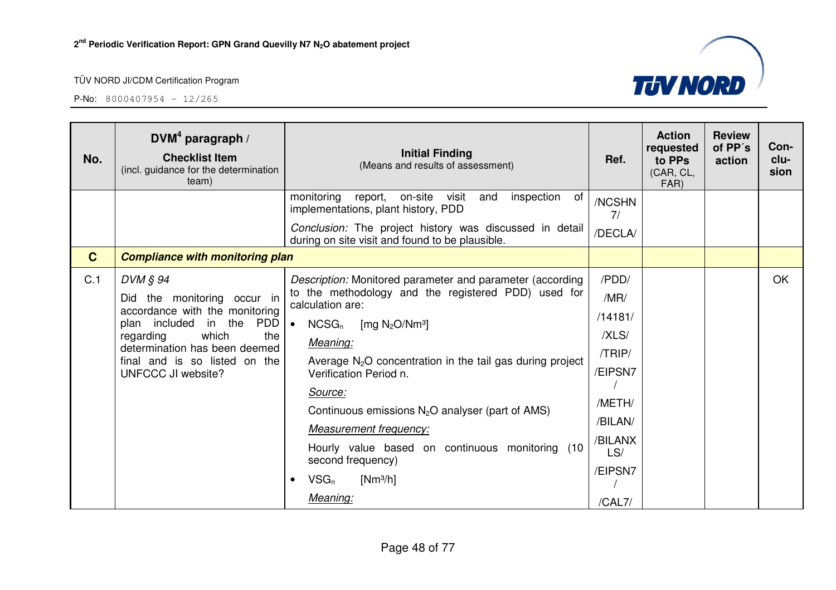

| No.          | DVM <sup>4</sup> paragraph /<br><b>Checklist Item</b><br>(incl. guidance for the determination<br>team)                                                                                                                    | <b>Initial Finding</b><br>(Means and results of assessment)                                                                                                                                                                                                                                                                                                                                                                                                                                               | Ref.                                                                                                               | <b>Action</b><br>requested<br>to PPs<br>(CAR, CL,<br>FAR) | <b>Review</b><br>of PP's<br>action | Con-<br>clu-<br>sion |
|--------------|----------------------------------------------------------------------------------------------------------------------------------------------------------------------------------------------------------------------------|-----------------------------------------------------------------------------------------------------------------------------------------------------------------------------------------------------------------------------------------------------------------------------------------------------------------------------------------------------------------------------------------------------------------------------------------------------------------------------------------------------------|--------------------------------------------------------------------------------------------------------------------|-----------------------------------------------------------|------------------------------------|----------------------|
|              |                                                                                                                                                                                                                            | monitoring<br>on-site<br>inspection<br>report,<br>visit<br>and<br>of<br>implementations, plant history, PDD<br>Conclusion: The project history was discussed in detail<br>during on site visit and found to be plausible.                                                                                                                                                                                                                                                                                 | /NCSHN<br>7/<br>/DECLA/                                                                                            |                                                           |                                    |                      |
| $\mathbf{C}$ | <b>Compliance with monitoring plan</b>                                                                                                                                                                                     |                                                                                                                                                                                                                                                                                                                                                                                                                                                                                                           |                                                                                                                    |                                                           |                                    |                      |
| C.1          | DVM § 94<br>Did the monitoring occur in<br>accordance with the monitoring<br>plan included in the PDD<br>which<br>the<br>regarding<br>determination has been deemed<br>final and is so listed on the<br>UNFCCC JI website? | Description: Monitored parameter and parameter (according<br>to the methodology and the registered PDD) used for<br>calculation are:<br>$NCSG_n$<br>[mg $N_2O/Nm^3$ ]<br>$\bullet$<br>Meaning:<br>Average $N_2O$ concentration in the tail gas during project<br>Verification Period n.<br>Source:<br>Continuous emissions $N_2O$ analyser (part of AMS)<br><b>Measurement frequency:</b><br>Hourly value based on continuous monitoring<br>(10<br>second frequency)<br>$VSG_n$<br>$[Nm^3/h]$<br>Meaning: | /PDD/<br>/MR/<br>/14181/<br>/XLS/<br>/TRIP/<br>/EIPSN7<br>/METH/<br>/BILAN/<br>/BILANX<br>LS/<br>/EIPSN7<br>/CAL7/ |                                                           |                                    | OK                   |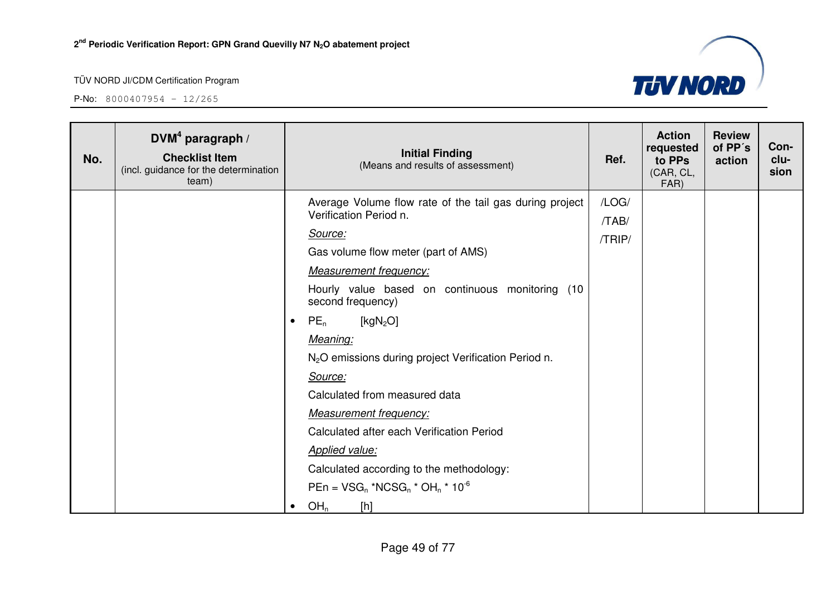

| No. | $DVM4$ paragraph /<br><b>Checklist Item</b><br>(incl. guidance for the determination<br>team) | <b>Initial Finding</b><br>(Means and results of assessment)          | Ref.   | <b>Action</b><br>requested<br>to PPs<br>(CAR, CL,<br>FAR) | <b>Review</b><br>of PP's<br>action | Con-<br>clu-<br>sion |
|-----|-----------------------------------------------------------------------------------------------|----------------------------------------------------------------------|--------|-----------------------------------------------------------|------------------------------------|----------------------|
|     |                                                                                               | Average Volume flow rate of the tail gas during project              | /LOG/  |                                                           |                                    |                      |
|     |                                                                                               | Verification Period n.                                               | /TAB/  |                                                           |                                    |                      |
|     |                                                                                               | Source:                                                              | /TRIP/ |                                                           |                                    |                      |
|     |                                                                                               | Gas volume flow meter (part of AMS)                                  |        |                                                           |                                    |                      |
|     |                                                                                               | <b>Measurement frequency:</b>                                        |        |                                                           |                                    |                      |
|     |                                                                                               | Hourly value based on continuous monitoring (10<br>second frequency) |        |                                                           |                                    |                      |
|     |                                                                                               | $PE_n$<br>[ $kgN2O$ ]<br>$\bullet$                                   |        |                                                           |                                    |                      |
|     |                                                                                               | Meaning:                                                             |        |                                                           |                                    |                      |
|     |                                                                                               | N <sub>2</sub> O emissions during project Verification Period n.     |        |                                                           |                                    |                      |
|     |                                                                                               | Source:                                                              |        |                                                           |                                    |                      |
|     |                                                                                               | Calculated from measured data                                        |        |                                                           |                                    |                      |
|     |                                                                                               | <b>Measurement frequency:</b>                                        |        |                                                           |                                    |                      |
|     |                                                                                               | Calculated after each Verification Period                            |        |                                                           |                                    |                      |
|     |                                                                                               | <b>Applied value:</b>                                                |        |                                                           |                                    |                      |
|     |                                                                                               | Calculated according to the methodology:                             |        |                                                           |                                    |                      |
|     |                                                                                               | $PEn = VSG_n * NCSG_n * OH_n * 10^{-6}$                              |        |                                                           |                                    |                      |
|     |                                                                                               | OH <sub>n</sub><br>[h]                                               |        |                                                           |                                    |                      |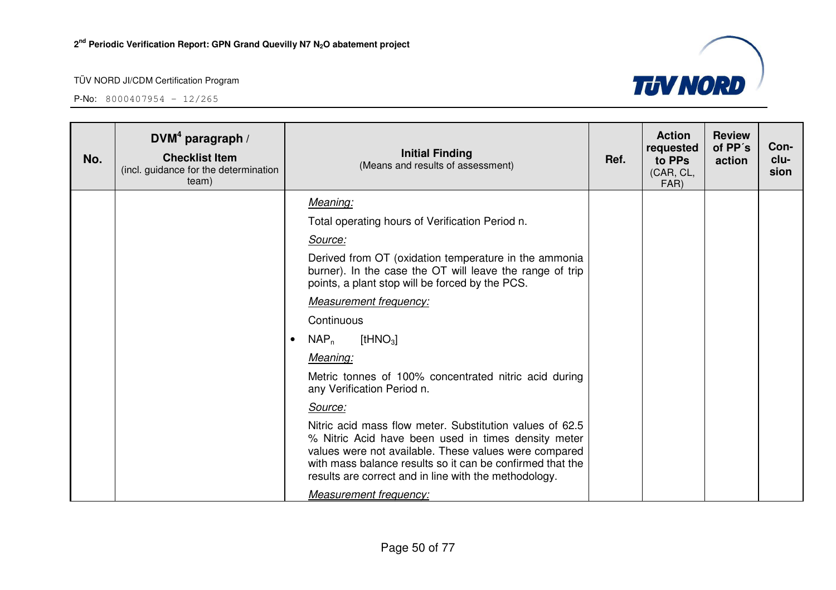

| No. | DVM <sup>4</sup> paragraph /<br><b>Checklist Item</b><br>(incl. guidance for the determination<br>team) |           | <b>Initial Finding</b><br>(Means and results of assessment)                                                                                                                                                                                                                                    | Ref. | <b>Action</b><br>requested<br>to PPs<br>(CAR, CL,<br>FAR) | <b>Review</b><br>of PP's<br>action | Con-<br>clu-<br>sion |
|-----|---------------------------------------------------------------------------------------------------------|-----------|------------------------------------------------------------------------------------------------------------------------------------------------------------------------------------------------------------------------------------------------------------------------------------------------|------|-----------------------------------------------------------|------------------------------------|----------------------|
|     |                                                                                                         |           | Meaning:                                                                                                                                                                                                                                                                                       |      |                                                           |                                    |                      |
|     |                                                                                                         |           | Total operating hours of Verification Period n.                                                                                                                                                                                                                                                |      |                                                           |                                    |                      |
|     |                                                                                                         |           | Source:                                                                                                                                                                                                                                                                                        |      |                                                           |                                    |                      |
|     |                                                                                                         |           | Derived from OT (oxidation temperature in the ammonia<br>burner). In the case the OT will leave the range of trip<br>points, a plant stop will be forced by the PCS.                                                                                                                           |      |                                                           |                                    |                      |
|     |                                                                                                         |           | <b>Measurement frequency:</b>                                                                                                                                                                                                                                                                  |      |                                                           |                                    |                      |
|     |                                                                                                         |           | Continuous                                                                                                                                                                                                                                                                                     |      |                                                           |                                    |                      |
|     |                                                                                                         | $\bullet$ | [t $HNO3$ ]<br>$NAP_n$                                                                                                                                                                                                                                                                         |      |                                                           |                                    |                      |
|     |                                                                                                         |           | Meaning:                                                                                                                                                                                                                                                                                       |      |                                                           |                                    |                      |
|     |                                                                                                         |           | Metric tonnes of 100% concentrated nitric acid during<br>any Verification Period n.                                                                                                                                                                                                            |      |                                                           |                                    |                      |
|     |                                                                                                         |           | Source:                                                                                                                                                                                                                                                                                        |      |                                                           |                                    |                      |
|     |                                                                                                         |           | Nitric acid mass flow meter. Substitution values of 62.5<br>% Nitric Acid have been used in times density meter<br>values were not available. These values were compared<br>with mass balance results so it can be confirmed that the<br>results are correct and in line with the methodology. |      |                                                           |                                    |                      |
|     |                                                                                                         |           | Measurement frequency:                                                                                                                                                                                                                                                                         |      |                                                           |                                    |                      |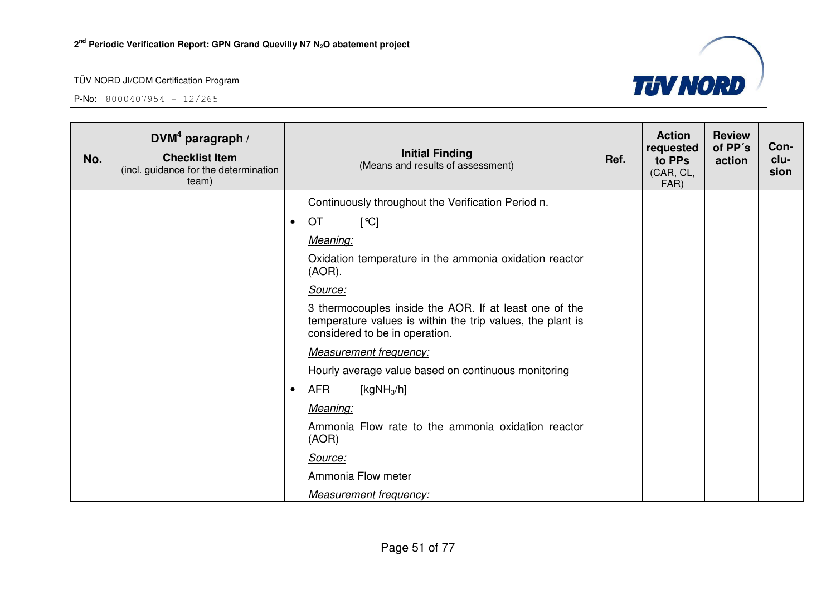

| No. | DVM <sup>4</sup> paragraph /<br><b>Checklist Item</b><br>(incl. guidance for the determination<br>team) | <b>Initial Finding</b><br>(Means and results of assessment)                                                                                            | Ref. | <b>Action</b><br>requested<br>to PPs<br>(CAR, CL,<br>FAR) | <b>Review</b><br>of PP's<br>action | Con-<br>clu-<br>sion |
|-----|---------------------------------------------------------------------------------------------------------|--------------------------------------------------------------------------------------------------------------------------------------------------------|------|-----------------------------------------------------------|------------------------------------|----------------------|
|     |                                                                                                         | Continuously throughout the Verification Period n.                                                                                                     |      |                                                           |                                    |                      |
|     |                                                                                                         | OT<br>[°C]<br>$\bullet$                                                                                                                                |      |                                                           |                                    |                      |
|     |                                                                                                         | Meaning:                                                                                                                                               |      |                                                           |                                    |                      |
|     |                                                                                                         | Oxidation temperature in the ammonia oxidation reactor<br>$(AOR)$ .                                                                                    |      |                                                           |                                    |                      |
|     |                                                                                                         | Source:                                                                                                                                                |      |                                                           |                                    |                      |
|     |                                                                                                         | 3 thermocouples inside the AOR. If at least one of the<br>temperature values is within the trip values, the plant is<br>considered to be in operation. |      |                                                           |                                    |                      |
|     |                                                                                                         | <b>Measurement frequency:</b>                                                                                                                          |      |                                                           |                                    |                      |
|     |                                                                                                         | Hourly average value based on continuous monitoring                                                                                                    |      |                                                           |                                    |                      |
|     |                                                                                                         | <b>AFR</b><br>[kg $NH3/h$ ]<br>$\bullet$                                                                                                               |      |                                                           |                                    |                      |
|     |                                                                                                         | Meaning:                                                                                                                                               |      |                                                           |                                    |                      |
|     |                                                                                                         | Ammonia Flow rate to the ammonia oxidation reactor<br>(AOR)                                                                                            |      |                                                           |                                    |                      |
|     |                                                                                                         | Source:                                                                                                                                                |      |                                                           |                                    |                      |
|     |                                                                                                         | Ammonia Flow meter                                                                                                                                     |      |                                                           |                                    |                      |
|     |                                                                                                         | Measurement frequency:                                                                                                                                 |      |                                                           |                                    |                      |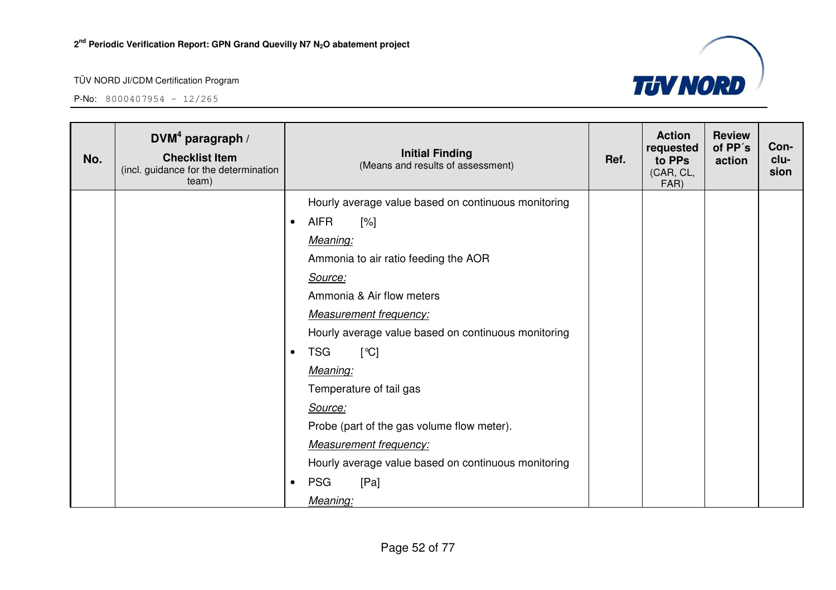

| No. | $DVM4$ paragraph /<br><b>Checklist Item</b><br>(incl. guidance for the determination<br>team) |           | <b>Initial Finding</b><br>(Means and results of assessment) | Ref. | <b>Action</b><br>requested<br>to PPs<br>(CAR, CL,<br>FAR) | <b>Review</b><br>of PP's<br>action | Con-<br>clu-<br>sion |
|-----|-----------------------------------------------------------------------------------------------|-----------|-------------------------------------------------------------|------|-----------------------------------------------------------|------------------------------------|----------------------|
|     |                                                                                               |           | Hourly average value based on continuous monitoring         |      |                                                           |                                    |                      |
|     |                                                                                               | $\bullet$ | <b>AIFR</b><br>$[\%]$                                       |      |                                                           |                                    |                      |
|     |                                                                                               |           | Meaning:                                                    |      |                                                           |                                    |                      |
|     |                                                                                               |           | Ammonia to air ratio feeding the AOR                        |      |                                                           |                                    |                      |
|     |                                                                                               |           | Source:                                                     |      |                                                           |                                    |                      |
|     |                                                                                               |           | Ammonia & Air flow meters                                   |      |                                                           |                                    |                      |
|     |                                                                                               |           | <b>Measurement frequency:</b>                               |      |                                                           |                                    |                      |
|     |                                                                                               |           | Hourly average value based on continuous monitoring         |      |                                                           |                                    |                      |
|     |                                                                                               | $\bullet$ | <b>TSG</b><br>[°C]                                          |      |                                                           |                                    |                      |
|     |                                                                                               |           | Meaning:                                                    |      |                                                           |                                    |                      |
|     |                                                                                               |           | Temperature of tail gas                                     |      |                                                           |                                    |                      |
|     |                                                                                               |           | Source:                                                     |      |                                                           |                                    |                      |
|     |                                                                                               |           | Probe (part of the gas volume flow meter).                  |      |                                                           |                                    |                      |
|     |                                                                                               |           | <b>Measurement frequency:</b>                               |      |                                                           |                                    |                      |
|     |                                                                                               |           | Hourly average value based on continuous monitoring         |      |                                                           |                                    |                      |
|     |                                                                                               | $\bullet$ | <b>PSG</b><br>[Pa]                                          |      |                                                           |                                    |                      |
|     |                                                                                               |           | Meaning:                                                    |      |                                                           |                                    |                      |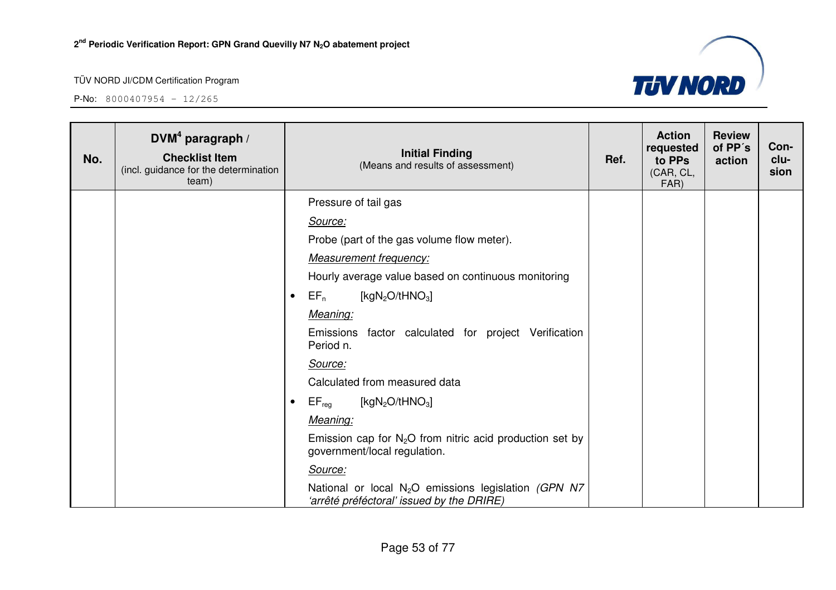

| No. | DVM <sup>4</sup> paragraph /<br><b>Checklist Item</b><br>(incl. guidance for the determination<br>team) | <b>Initial Finding</b><br>(Means and results of assessment)                                                   | Ref. | <b>Action</b><br>requested<br>to PPs<br>(CAR, CL,<br>FAR) | <b>Review</b><br>of PP's<br>action | Con-<br>clu-<br>sion |
|-----|---------------------------------------------------------------------------------------------------------|---------------------------------------------------------------------------------------------------------------|------|-----------------------------------------------------------|------------------------------------|----------------------|
|     |                                                                                                         | Pressure of tail gas                                                                                          |      |                                                           |                                    |                      |
|     |                                                                                                         | Source:                                                                                                       |      |                                                           |                                    |                      |
|     |                                                                                                         | Probe (part of the gas volume flow meter).                                                                    |      |                                                           |                                    |                      |
|     |                                                                                                         | <b>Measurement frequency:</b>                                                                                 |      |                                                           |                                    |                      |
|     |                                                                                                         | Hourly average value based on continuous monitoring                                                           |      |                                                           |                                    |                      |
|     |                                                                                                         | $EF_n$<br>[kg $N_2O/tHNO_3$ ]<br>$\bullet$                                                                    |      |                                                           |                                    |                      |
|     |                                                                                                         | Meaning:                                                                                                      |      |                                                           |                                    |                      |
|     |                                                                                                         | Emissions factor calculated for project Verification<br>Period n.                                             |      |                                                           |                                    |                      |
|     |                                                                                                         | Source:                                                                                                       |      |                                                           |                                    |                      |
|     |                                                                                                         | Calculated from measured data                                                                                 |      |                                                           |                                    |                      |
|     |                                                                                                         | $EF_{reg}$<br>[kg $N_2O/tHNO_3$ ]<br>$\bullet$                                                                |      |                                                           |                                    |                      |
|     |                                                                                                         | Meaning:                                                                                                      |      |                                                           |                                    |                      |
|     |                                                                                                         | Emission cap for $N_2O$ from nitric acid production set by<br>government/local regulation.                    |      |                                                           |                                    |                      |
|     |                                                                                                         | Source:                                                                                                       |      |                                                           |                                    |                      |
|     |                                                                                                         | National or local N <sub>2</sub> O emissions legislation (GPN N7<br>'arrêté préféctoral' issued by the DRIRE) |      |                                                           |                                    |                      |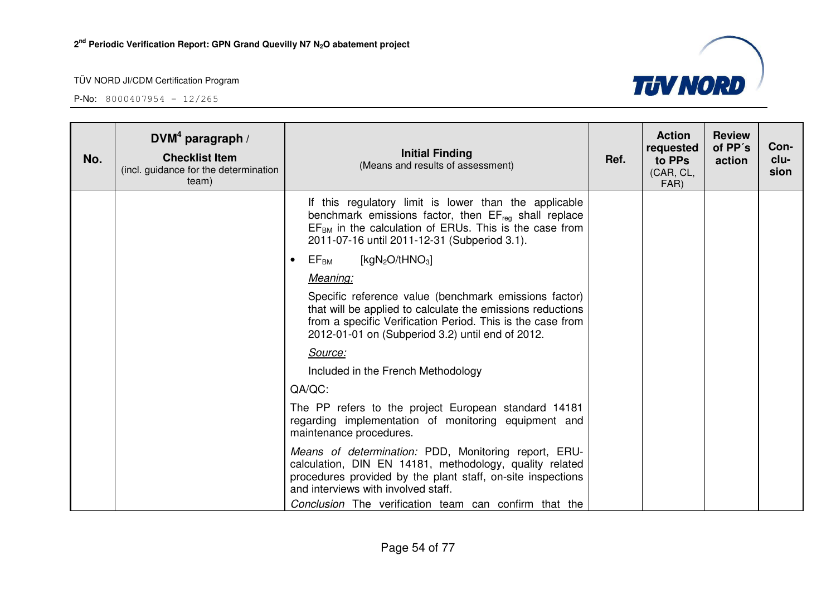

| No. | DVM <sup>4</sup> paragraph /<br><b>Checklist Item</b><br>(incl. guidance for the determination<br>team) | <b>Initial Finding</b><br>(Means and results of assessment)                                                                                                                                                                           | Ref. | <b>Action</b><br>requested<br>to PPs<br>(CAR, CL,<br>FAR) | <b>Review</b><br>of PP's<br>action | Con-<br>clu-<br>sion |
|-----|---------------------------------------------------------------------------------------------------------|---------------------------------------------------------------------------------------------------------------------------------------------------------------------------------------------------------------------------------------|------|-----------------------------------------------------------|------------------------------------|----------------------|
|     |                                                                                                         | If this regulatory limit is lower than the applicable<br>benchmark emissions factor, then $EF_{reg}$ shall replace<br>$EFBM$ in the calculation of ERUs. This is the case from<br>2011-07-16 until 2011-12-31 (Subperiod 3.1).        |      |                                                           |                                    |                      |
|     |                                                                                                         | [ $kgN_2O/tHNO_3$ ]<br>$\mathsf{EF}_\mathsf{BM}$<br>$\bullet$                                                                                                                                                                         |      |                                                           |                                    |                      |
|     |                                                                                                         | Meaning:                                                                                                                                                                                                                              |      |                                                           |                                    |                      |
|     |                                                                                                         | Specific reference value (benchmark emissions factor)<br>that will be applied to calculate the emissions reductions<br>from a specific Verification Period. This is the case from<br>2012-01-01 on (Subperiod 3.2) until end of 2012. |      |                                                           |                                    |                      |
|     |                                                                                                         | Source:                                                                                                                                                                                                                               |      |                                                           |                                    |                      |
|     |                                                                                                         | Included in the French Methodology                                                                                                                                                                                                    |      |                                                           |                                    |                      |
|     |                                                                                                         | QA/QC:                                                                                                                                                                                                                                |      |                                                           |                                    |                      |
|     |                                                                                                         | The PP refers to the project European standard 14181<br>regarding implementation of monitoring equipment and<br>maintenance procedures.                                                                                               |      |                                                           |                                    |                      |
|     |                                                                                                         | Means of determination: PDD, Monitoring report, ERU-<br>calculation, DIN EN 14181, methodology, quality related<br>procedures provided by the plant staff, on-site inspections<br>and interviews with involved staff.                 |      |                                                           |                                    |                      |
|     |                                                                                                         | Conclusion The verification team can confirm that the                                                                                                                                                                                 |      |                                                           |                                    |                      |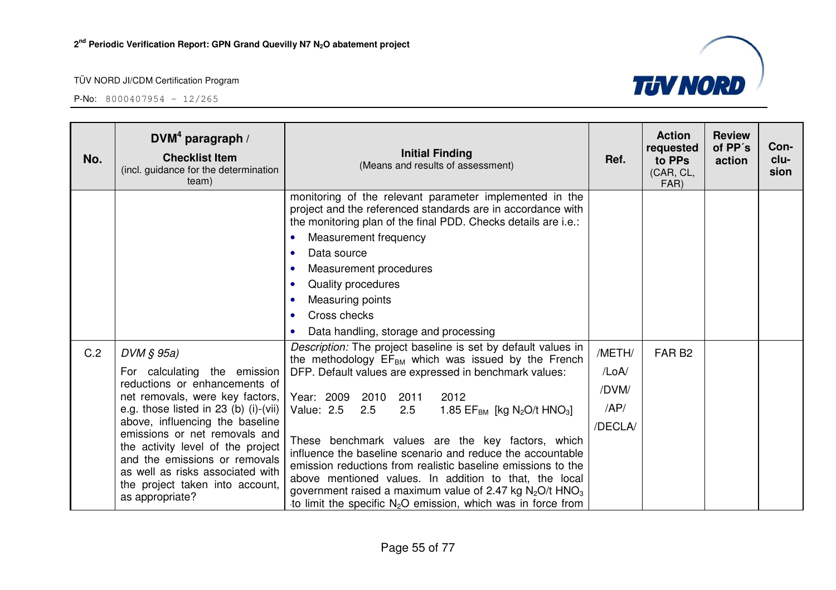

| No. | $DVM4$ paragraph /<br><b>Checklist Item</b><br>(incl. guidance for the determination<br>team)                                                                                                                                                                                                                                                                                                 | <b>Initial Finding</b><br>(Means and results of assessment)                                                                                                                                                                                                                                                                                                                                                                                                                                                                                                                                                                                                                                             | Ref.                                       | <b>Action</b><br>requested<br>to PPs<br>(CAR, CL,<br>FAR) | <b>Review</b><br>of PP's<br>action | Con-<br>clu-<br>sion |
|-----|-----------------------------------------------------------------------------------------------------------------------------------------------------------------------------------------------------------------------------------------------------------------------------------------------------------------------------------------------------------------------------------------------|---------------------------------------------------------------------------------------------------------------------------------------------------------------------------------------------------------------------------------------------------------------------------------------------------------------------------------------------------------------------------------------------------------------------------------------------------------------------------------------------------------------------------------------------------------------------------------------------------------------------------------------------------------------------------------------------------------|--------------------------------------------|-----------------------------------------------------------|------------------------------------|----------------------|
|     |                                                                                                                                                                                                                                                                                                                                                                                               | monitoring of the relevant parameter implemented in the<br>project and the referenced standards are in accordance with<br>the monitoring plan of the final PDD. Checks details are i.e.:<br>Measurement frequency<br>$\bullet$                                                                                                                                                                                                                                                                                                                                                                                                                                                                          |                                            |                                                           |                                    |                      |
|     |                                                                                                                                                                                                                                                                                                                                                                                               | Data source<br>$\bullet$<br>Measurement procedures<br>$\bullet$<br>Quality procedures<br>$\bullet$<br>Measuring points<br>$\bullet$<br>Cross checks<br>$\bullet$<br>Data handling, storage and processing<br>$\bullet$                                                                                                                                                                                                                                                                                                                                                                                                                                                                                  |                                            |                                                           |                                    |                      |
| C.2 | $DVM \S 95a$<br>For calculating the emission<br>reductions or enhancements of<br>net removals, were key factors,<br>e.g. those listed in 23 (b) (i)-(vii)<br>above, influencing the baseline<br>emissions or net removals and<br>the activity level of the project<br>and the emissions or removals<br>as well as risks associated with<br>the project taken into account,<br>as appropriate? | Description: The project baseline is set by default values in<br>the methodology $EF_{BM}$ which was issued by the French<br>DFP. Default values are expressed in benchmark values:<br>Year: 2009 2010<br>2011<br>2012<br>2.5<br>Value: 2.5<br>2.5<br>1.85 $EF_{BM}$ [kg N <sub>2</sub> O/t HNO <sub>3</sub> ]<br>These benchmark values are the key factors, which<br>influence the baseline scenario and reduce the accountable<br>emission reductions from realistic baseline emissions to the<br>above mentioned values. In addition to that, the local<br>government raised a maximum value of 2.47 kg $N_2O/t$ HNO <sub>3</sub><br>to limit the specific $N_2O$ emission, which was in force from | /METH/<br>/LoA/<br>/DVM/<br>AP/<br>/DECLA/ | FAR <sub>B2</sub>                                         |                                    |                      |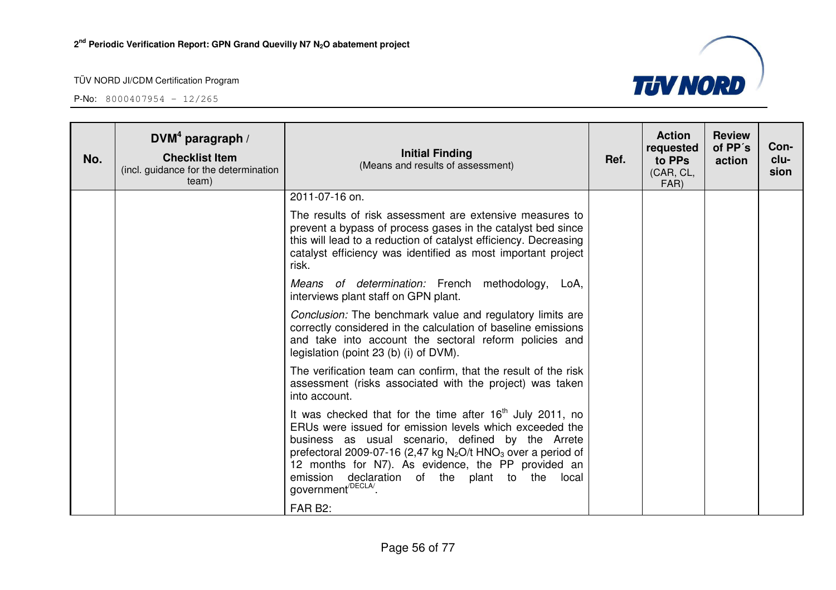

| No. | DVM <sup>4</sup> paragraph /<br><b>Checklist Item</b><br>(incl. guidance for the determination<br>team) | <b>Initial Finding</b><br>(Means and results of assessment)                                                                                                                                                                                                                                                                                                                                          | Ref. | <b>Action</b><br>requested<br>to PPs<br>(CAR, CL,<br>FAR) | <b>Review</b><br>of PP's<br>action | Con-<br>clu-<br>sion |
|-----|---------------------------------------------------------------------------------------------------------|------------------------------------------------------------------------------------------------------------------------------------------------------------------------------------------------------------------------------------------------------------------------------------------------------------------------------------------------------------------------------------------------------|------|-----------------------------------------------------------|------------------------------------|----------------------|
|     |                                                                                                         | 2011-07-16 on.                                                                                                                                                                                                                                                                                                                                                                                       |      |                                                           |                                    |                      |
|     |                                                                                                         | The results of risk assessment are extensive measures to<br>prevent a bypass of process gases in the catalyst bed since<br>this will lead to a reduction of catalyst efficiency. Decreasing<br>catalyst efficiency was identified as most important project<br>risk.                                                                                                                                 |      |                                                           |                                    |                      |
|     |                                                                                                         | Means of determination: French methodology,<br>LoA.<br>interviews plant staff on GPN plant.                                                                                                                                                                                                                                                                                                          |      |                                                           |                                    |                      |
|     |                                                                                                         | Conclusion: The benchmark value and regulatory limits are<br>correctly considered in the calculation of baseline emissions<br>and take into account the sectoral reform policies and<br>legislation (point 23 (b) (i) of DVM).                                                                                                                                                                       |      |                                                           |                                    |                      |
|     |                                                                                                         | The verification team can confirm, that the result of the risk<br>assessment (risks associated with the project) was taken<br>into account.                                                                                                                                                                                                                                                          |      |                                                           |                                    |                      |
|     |                                                                                                         | It was checked that for the time after $16th$ July 2011, no<br>ERUs were issued for emission levels which exceeded the<br>business as usual scenario, defined by the Arrete<br>prefectoral 2009-07-16 (2,47 kg $N_2O/t$ HNO <sub>3</sub> over a period of<br>12 months for N7). As evidence, the PP provided an<br>emission declaration of the plant to the local<br>government <sup>/DECLA/</sup> . |      |                                                           |                                    |                      |
|     |                                                                                                         | FAR B2:                                                                                                                                                                                                                                                                                                                                                                                              |      |                                                           |                                    |                      |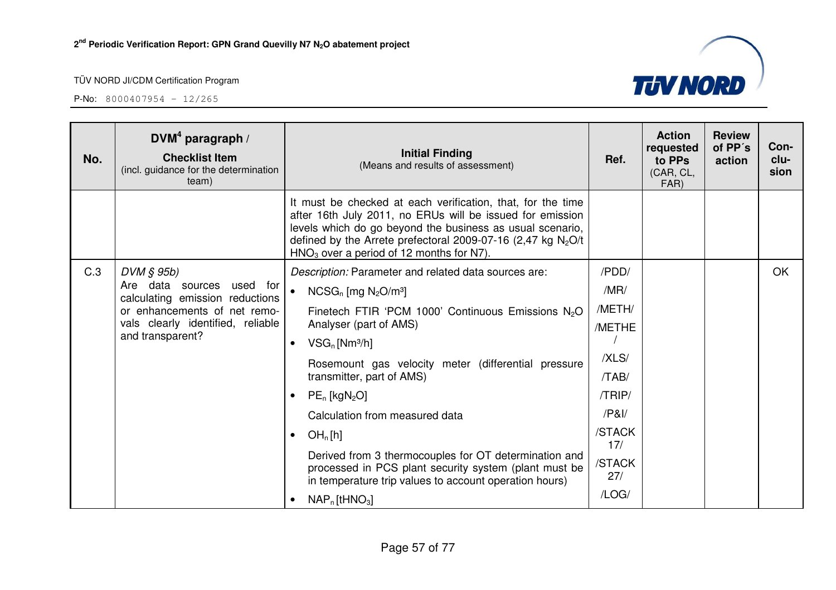

| No. | DVM <sup>4</sup> paragraph /<br><b>Checklist Item</b><br>(incl. guidance for the determination<br>team)                                                  | <b>Initial Finding</b><br>(Means and results of assessment)                                                                                                                                                                                                                                           | Ref.          | <b>Action</b><br>requested<br>to PPs<br>(CAR, CL,<br>FAR) | <b>Review</b><br>of PP's<br>action | Con-<br>clu-<br>sion |
|-----|----------------------------------------------------------------------------------------------------------------------------------------------------------|-------------------------------------------------------------------------------------------------------------------------------------------------------------------------------------------------------------------------------------------------------------------------------------------------------|---------------|-----------------------------------------------------------|------------------------------------|----------------------|
|     |                                                                                                                                                          | It must be checked at each verification, that, for the time<br>after 16th July 2011, no ERUs will be issued for emission<br>levels which do go beyond the business as usual scenario,<br>defined by the Arrete prefectoral 2009-07-16 (2,47 kg $N_2O/t$<br>$HNO3$ over a period of 12 months for N7). |               |                                                           |                                    |                      |
| C.3 | $DVM \S 95b$                                                                                                                                             | Description: Parameter and related data sources are:                                                                                                                                                                                                                                                  | /PDD/         |                                                           |                                    | OK                   |
|     | Are data sources<br>used for<br>calculating emission reductions<br>or enhancements of net remo-<br>vals clearly identified, reliable<br>and transparent? | $\bullet$<br>$NCSG_n$ [mg $N_2O/m^3$ ]                                                                                                                                                                                                                                                                | /MR/          |                                                           |                                    |                      |
|     |                                                                                                                                                          | Finetech FTIR 'PCM 1000' Continuous Emissions N <sub>2</sub> O                                                                                                                                                                                                                                        | /METH/        |                                                           |                                    |                      |
|     |                                                                                                                                                          | Analyser (part of AMS)                                                                                                                                                                                                                                                                                | /METHE        |                                                           |                                    |                      |
|     |                                                                                                                                                          | $VSG_n$ [Nm <sup>3</sup> /h]<br>$\bullet$                                                                                                                                                                                                                                                             | /XLS/         |                                                           |                                    |                      |
|     |                                                                                                                                                          | Rosemount gas velocity meter (differential pressure<br>transmitter, part of AMS)                                                                                                                                                                                                                      | /TAB/         |                                                           |                                    |                      |
|     |                                                                                                                                                          | $PE_n$ [kgN <sub>2</sub> O]                                                                                                                                                                                                                                                                           | /TRIP/        |                                                           |                                    |                      |
|     |                                                                                                                                                          | Calculation from measured data                                                                                                                                                                                                                                                                        | /PA           |                                                           |                                    |                      |
|     |                                                                                                                                                          | OH <sub>n</sub> [h]<br>$\bullet$                                                                                                                                                                                                                                                                      | /STACK<br>17/ |                                                           |                                    |                      |
|     |                                                                                                                                                          | Derived from 3 thermocouples for OT determination and<br>processed in PCS plant security system (plant must be<br>in temperature trip values to account operation hours)                                                                                                                              | /STACK<br>27/ |                                                           |                                    |                      |
|     |                                                                                                                                                          | $NAP_n$ [tHNO <sub>3</sub> ]<br>$\bullet$                                                                                                                                                                                                                                                             | /LOG/         |                                                           |                                    |                      |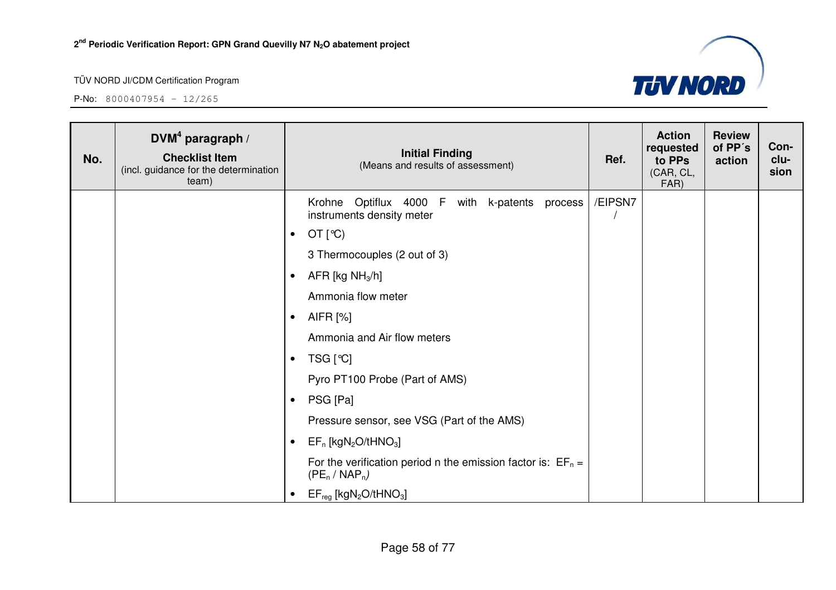

| No. | DVM <sup>4</sup> paragraph /<br><b>Checklist Item</b><br>(incl. guidance for the determination<br>team) | <b>Initial Finding</b><br>(Means and results of assessment)                        | Ref.    | <b>Action</b><br>requested<br>to PPs<br>(CAR, CL,<br>FAR) | <b>Review</b><br>of PP's<br>action | Con-<br>clu-<br>sion |
|-----|---------------------------------------------------------------------------------------------------------|------------------------------------------------------------------------------------|---------|-----------------------------------------------------------|------------------------------------|----------------------|
|     |                                                                                                         | Optiflux 4000 F with k-patents process<br>Krohne<br>instruments density meter      | /EIPSN7 |                                                           |                                    |                      |
|     |                                                                                                         | OT $[°C)$<br>$\bullet$                                                             |         |                                                           |                                    |                      |
|     |                                                                                                         | 3 Thermocouples (2 out of 3)                                                       |         |                                                           |                                    |                      |
|     |                                                                                                         | AFR [kg $NH3/h$ ]<br>$\bullet$                                                     |         |                                                           |                                    |                      |
|     |                                                                                                         | Ammonia flow meter                                                                 |         |                                                           |                                    |                      |
|     |                                                                                                         | AIFR [%]<br>$\bullet$                                                              |         |                                                           |                                    |                      |
|     |                                                                                                         | Ammonia and Air flow meters                                                        |         |                                                           |                                    |                      |
|     |                                                                                                         | TSG [℃]<br>$\bullet$                                                               |         |                                                           |                                    |                      |
|     |                                                                                                         | Pyro PT100 Probe (Part of AMS)                                                     |         |                                                           |                                    |                      |
|     |                                                                                                         | PSG [Pa]<br>$\bullet$                                                              |         |                                                           |                                    |                      |
|     |                                                                                                         | Pressure sensor, see VSG (Part of the AMS)                                         |         |                                                           |                                    |                      |
|     |                                                                                                         | $EF_n$ [kgN <sub>2</sub> O/tHNO <sub>3</sub> ]<br>$\bullet$                        |         |                                                           |                                    |                      |
|     |                                                                                                         | For the verification period n the emission factor is: $EF_n =$<br>$(PE_n / NAP_n)$ |         |                                                           |                                    |                      |
|     |                                                                                                         | $EF_{reg}$ [kgN <sub>2</sub> O/tHNO <sub>3</sub> ]<br>$\bullet$                    |         |                                                           |                                    |                      |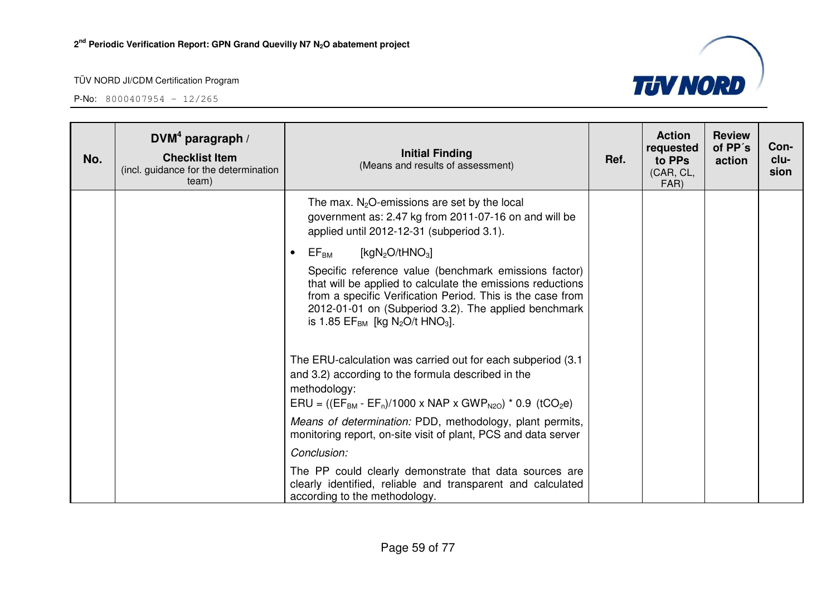

| No. | DVM <sup>4</sup> paragraph /<br><b>Checklist Item</b><br>(incl. guidance for the determination<br>team) | <b>Initial Finding</b><br>(Means and results of assessment)                                                                                                                                                                                                                                                      | Ref. | <b>Action</b><br>requested<br>to PPs<br>(CAR, CL,<br>FAR) | <b>Review</b><br>of PP's<br>action | Con-<br>clu-<br>sion |
|-----|---------------------------------------------------------------------------------------------------------|------------------------------------------------------------------------------------------------------------------------------------------------------------------------------------------------------------------------------------------------------------------------------------------------------------------|------|-----------------------------------------------------------|------------------------------------|----------------------|
|     |                                                                                                         | The max. $N_2O$ -emissions are set by the local<br>government as: 2.47 kg from 2011-07-16 on and will be<br>applied until 2012-12-31 (subperiod 3.1).                                                                                                                                                            |      |                                                           |                                    |                      |
|     |                                                                                                         | $\mathsf{EF}_\mathsf{BM}$<br>[kg $N_2O/tHNO_3$ ]<br>$\bullet$                                                                                                                                                                                                                                                    |      |                                                           |                                    |                      |
|     |                                                                                                         | Specific reference value (benchmark emissions factor)<br>that will be applied to calculate the emissions reductions<br>from a specific Verification Period. This is the case from<br>2012-01-01 on (Subperiod 3.2). The applied benchmark<br>is 1.85 EF <sub>BM</sub> [kg N <sub>2</sub> O/t HNO <sub>3</sub> ]. |      |                                                           |                                    |                      |
|     |                                                                                                         | The ERU-calculation was carried out for each subperiod (3.1)<br>and 3.2) according to the formula described in the<br>methodology:<br>$ERU = ((EF_{BM} - EF_n)/1000 \times NAP \times GWP_{N20}) * 0.9$ (tCO <sub>2</sub> e)                                                                                     |      |                                                           |                                    |                      |
|     |                                                                                                         | Means of determination: PDD, methodology, plant permits,<br>monitoring report, on-site visit of plant, PCS and data server                                                                                                                                                                                       |      |                                                           |                                    |                      |
|     |                                                                                                         | Conclusion:                                                                                                                                                                                                                                                                                                      |      |                                                           |                                    |                      |
|     |                                                                                                         | The PP could clearly demonstrate that data sources are<br>clearly identified, reliable and transparent and calculated<br>according to the methodology.                                                                                                                                                           |      |                                                           |                                    |                      |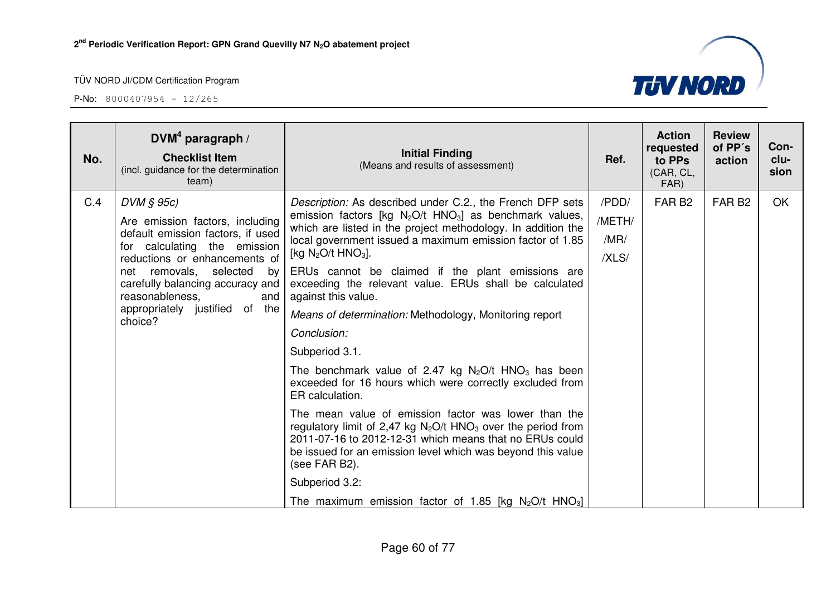

| No. | DVM <sup>4</sup> paragraph /<br><b>Checklist Item</b><br>(incl. guidance for the determination<br>team)                                                                                                                                                                                       | <b>Initial Finding</b><br>(Means and results of assessment)                                                                                                                                                                                                                                                                                                                                                                                                                                                                                                                                                                                                                                                                                                                                                                                                                                                                                                                                                                                                        | Ref.                             | <b>Action</b><br>requested<br>to PPs<br>(CAR, CL,<br>FAR) | <b>Review</b><br>of PP's<br>action | Con-<br>clu-<br>sion |
|-----|-----------------------------------------------------------------------------------------------------------------------------------------------------------------------------------------------------------------------------------------------------------------------------------------------|--------------------------------------------------------------------------------------------------------------------------------------------------------------------------------------------------------------------------------------------------------------------------------------------------------------------------------------------------------------------------------------------------------------------------------------------------------------------------------------------------------------------------------------------------------------------------------------------------------------------------------------------------------------------------------------------------------------------------------------------------------------------------------------------------------------------------------------------------------------------------------------------------------------------------------------------------------------------------------------------------------------------------------------------------------------------|----------------------------------|-----------------------------------------------------------|------------------------------------|----------------------|
| C.4 | $DVM \S 95c$<br>Are emission factors, including<br>default emission factors, if used<br>for calculating the emission<br>reductions or enhancements of<br>net removals, selected by<br>carefully balancing accuracy and<br>reasonableness.<br>and<br>appropriately justified of the<br>choice? | Description: As described under C.2., the French DFP sets<br>emission factors [kg $N_2O/t$ HNO <sub>3</sub> ] as benchmark values,<br>which are listed in the project methodology. In addition the<br>local government issued a maximum emission factor of 1.85<br>[kg $N_2O/t$ HNO <sub>3</sub> ].<br>ERUs cannot be claimed if the plant emissions are<br>exceeding the relevant value. ERUs shall be calculated<br>against this value.<br>Means of determination: Methodology, Monitoring report<br>Conclusion:<br>Subperiod 3.1.<br>The benchmark value of 2.47 kg $N_2O/t$ HNO <sub>3</sub> has been<br>exceeded for 16 hours which were correctly excluded from<br>ER calculation.<br>The mean value of emission factor was lower than the<br>regulatory limit of 2,47 kg $N_2O/t$ HNO <sub>3</sub> over the period from<br>2011-07-16 to 2012-12-31 which means that no ERUs could<br>be issued for an emission level which was beyond this value<br>(see FAR B2).<br>Subperiod 3.2:<br>The maximum emission factor of 1.85 [kg $N_2O/t$ HNO <sub>3</sub> ] | /PDD/<br>/METH/<br>/MR/<br>/XLS/ | FAR <sub>B2</sub>                                         | FAR <sub>B2</sub>                  | <b>OK</b>            |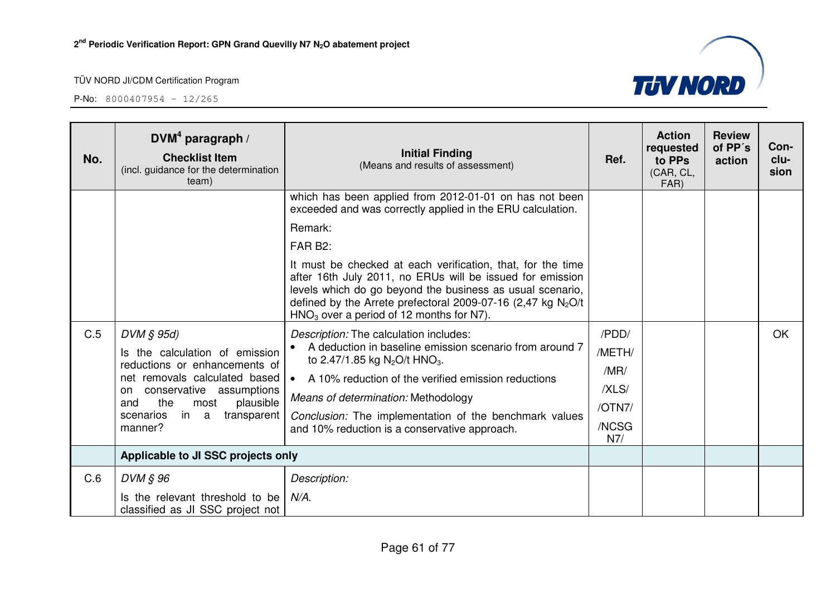

| No. | DVM <sup>4</sup> paragraph /<br><b>Checklist Item</b><br>(incl. guidance for the determination<br>team)                                                                                                                             | <b>Initial Finding</b><br>(Means and results of assessment)                                                                                                                                                                                                                                                                                                                                                                    | Ref.                                                       | <b>Action</b><br>requested<br>to PPs<br>(CAR, CL,<br>FAR) | <b>Review</b><br>of PP's<br>action | Con-<br>clu-<br>sion |
|-----|-------------------------------------------------------------------------------------------------------------------------------------------------------------------------------------------------------------------------------------|--------------------------------------------------------------------------------------------------------------------------------------------------------------------------------------------------------------------------------------------------------------------------------------------------------------------------------------------------------------------------------------------------------------------------------|------------------------------------------------------------|-----------------------------------------------------------|------------------------------------|----------------------|
|     |                                                                                                                                                                                                                                     | which has been applied from 2012-01-01 on has not been<br>exceeded and was correctly applied in the ERU calculation.<br>Remark:<br>FAR B <sub>2</sub> :<br>It must be checked at each verification, that, for the time<br>after 16th July 2011, no ERUs will be issued for emission<br>levels which do go beyond the business as usual scenario,<br>defined by the Arrete prefectoral 2009-07-16 (2,47 kg $N_2O/t$             |                                                            |                                                           |                                    |                      |
| C.5 | DVM § 95d)<br>Is the calculation of emission<br>reductions or enhancements of<br>net removals calculated based<br>conservative assumptions<br>on.<br>the<br>plausible<br>and<br>most<br>in a<br>scenarios<br>transparent<br>manner? | $HNO3$ over a period of 12 months for N7).<br>Description: The calculation includes:<br>A deduction in baseline emission scenario from around 7<br>to 2.47/1.85 kg N <sub>2</sub> O/t HNO <sub>3</sub> .<br>A 10% reduction of the verified emission reductions<br>$\bullet$<br>Means of determination: Methodology<br>Conclusion: The implementation of the benchmark values<br>and 10% reduction is a conservative approach. | /PDD/<br>/METH/<br>/MR/<br>/XLS/<br>/OTN7/<br>/NCSG<br>N7/ |                                                           |                                    | <b>OK</b>            |
|     | Applicable to JI SSC projects only                                                                                                                                                                                                  |                                                                                                                                                                                                                                                                                                                                                                                                                                |                                                            |                                                           |                                    |                      |
| C.6 | DVM § 96<br>Is the relevant threshold to be<br>classified as JI SSC project not                                                                                                                                                     | Description:<br>$N/A$ .                                                                                                                                                                                                                                                                                                                                                                                                        |                                                            |                                                           |                                    |                      |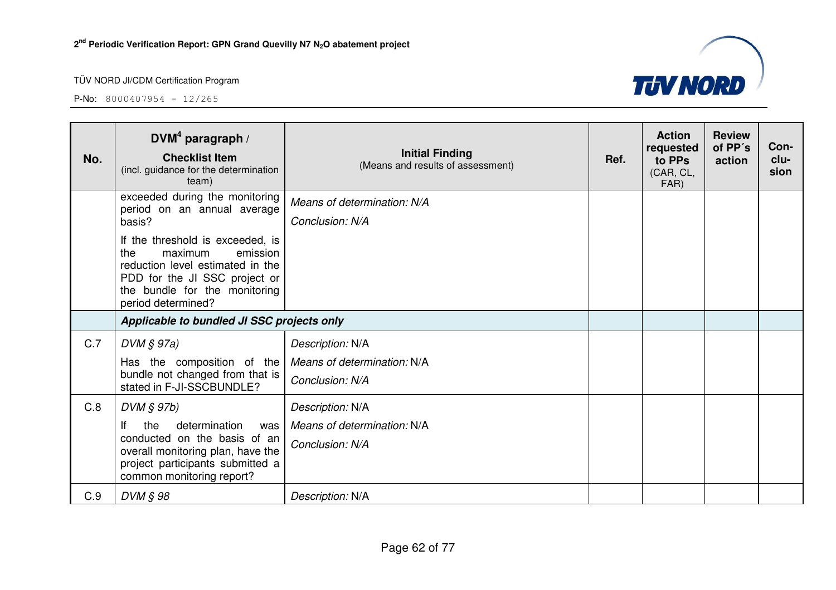

| No. | DVM <sup>4</sup> paragraph /<br><b>Checklist Item</b><br>(incl. guidance for the determination<br>team)                                                                                    | <b>Initial Finding</b><br>(Means and results of assessment) | Ref. | <b>Action</b><br>requested<br>to PPs<br>(CAR, CL,<br>FAR) | <b>Review</b><br>of PP's<br>action | Con-<br>clu-<br>sion |
|-----|--------------------------------------------------------------------------------------------------------------------------------------------------------------------------------------------|-------------------------------------------------------------|------|-----------------------------------------------------------|------------------------------------|----------------------|
|     | exceeded during the monitoring<br>period on an annual average<br>basis?                                                                                                                    | Means of determination: N/A<br>Conclusion: N/A              |      |                                                           |                                    |                      |
|     | If the threshold is exceeded, is<br>the<br>maximum<br>emission<br>reduction level estimated in the<br>PDD for the JI SSC project or<br>the bundle for the monitoring<br>period determined? |                                                             |      |                                                           |                                    |                      |
|     | Applicable to bundled JI SSC projects only                                                                                                                                                 |                                                             |      |                                                           |                                    |                      |
| C.7 | DVM § 97a)                                                                                                                                                                                 | Description: N/A                                            |      |                                                           |                                    |                      |
|     | Has the composition of the                                                                                                                                                                 | Means of determination: N/A                                 |      |                                                           |                                    |                      |
|     | bundle not changed from that is<br>stated in F-JI-SSCBUNDLE?                                                                                                                               | Conclusion: N/A                                             |      |                                                           |                                    |                      |
| C.8 | $DVM$ $S$ 97b)                                                                                                                                                                             | Description: N/A                                            |      |                                                           |                                    |                      |
|     | lf<br>the<br>determination<br>was                                                                                                                                                          | Means of determination: N/A                                 |      |                                                           |                                    |                      |
|     | conducted on the basis of an<br>overall monitoring plan, have the                                                                                                                          | Conclusion: N/A                                             |      |                                                           |                                    |                      |
|     | project participants submitted a<br>common monitoring report?                                                                                                                              |                                                             |      |                                                           |                                    |                      |
| C.9 | DVM § 98                                                                                                                                                                                   | Description: N/A                                            |      |                                                           |                                    |                      |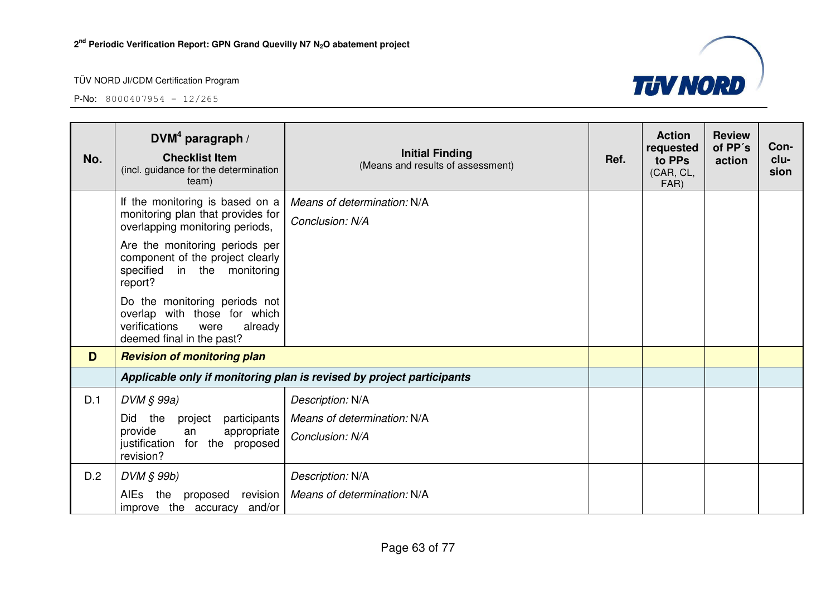

| No. | DVM <sup>4</sup> paragraph /<br><b>Checklist Item</b><br>(incl. guidance for the determination<br>team)                        | <b>Initial Finding</b><br>(Means and results of assessment)           | Ref. | <b>Action</b><br>requested<br>to PPs<br>(CAR, CL,<br>FAR) | <b>Review</b><br>of PP's<br>action | Con-<br>clu-<br>sion |
|-----|--------------------------------------------------------------------------------------------------------------------------------|-----------------------------------------------------------------------|------|-----------------------------------------------------------|------------------------------------|----------------------|
|     | If the monitoring is based on a<br>monitoring plan that provides for<br>overlapping monitoring periods,                        | Means of determination: N/A<br>Conclusion: N/A                        |      |                                                           |                                    |                      |
|     | Are the monitoring periods per<br>component of the project clearly<br>specified in the monitoring<br>report?                   |                                                                       |      |                                                           |                                    |                      |
|     | Do the monitoring periods not<br>overlap with those for which<br>verifications<br>were<br>already<br>deemed final in the past? |                                                                       |      |                                                           |                                    |                      |
| D   | <b>Revision of monitoring plan</b>                                                                                             |                                                                       |      |                                                           |                                    |                      |
|     |                                                                                                                                | Applicable only if monitoring plan is revised by project participants |      |                                                           |                                    |                      |
| D.1 | $DVM \S 99a)$                                                                                                                  | Description: N/A                                                      |      |                                                           |                                    |                      |
|     | Did<br>the<br>project<br>participants                                                                                          | Means of determination: N/A                                           |      |                                                           |                                    |                      |
|     | provide<br>appropriate<br>an<br>for the proposed<br>justification<br>revision?                                                 | Conclusion: N/A                                                       |      |                                                           |                                    |                      |
| D.2 | DVM § 99b)                                                                                                                     | Description: N/A                                                      |      |                                                           |                                    |                      |
|     | revision<br>AIEs<br>the proposed<br>improve the accuracy<br>and/or                                                             | Means of determination: N/A                                           |      |                                                           |                                    |                      |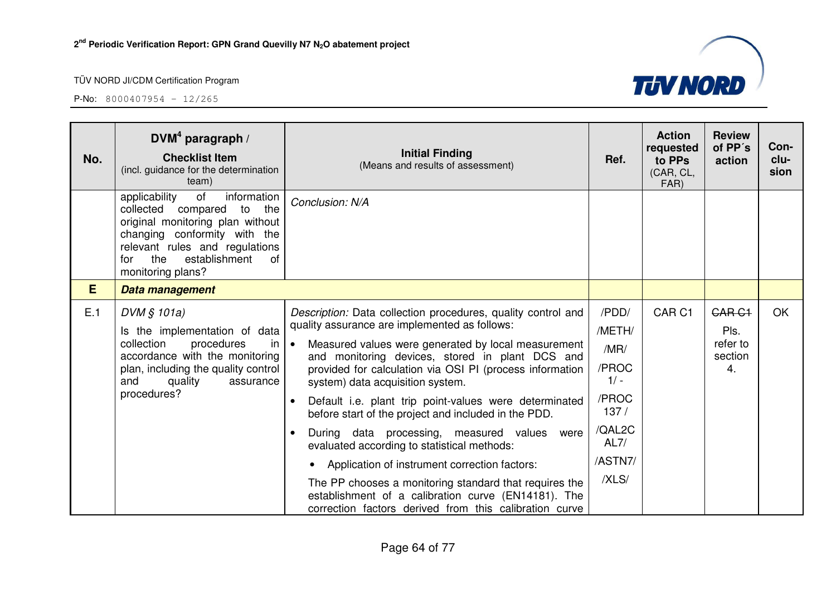

| No. | DVM <sup>4</sup> paragraph /<br><b>Checklist Item</b><br>(incl. guidance for the determination<br>team)                                                                                                                                  | <b>Initial Finding</b><br>(Means and results of assessment)                                                                                                                                                                                                                                                                                                                                                                                                                                                                                                                                                                                                                                                                                                                                                    | Ref.                                                                                              | <b>Action</b><br>requested<br>to PPs<br>(CAR, CL,<br>FAR) | <b>Review</b><br>of PP's<br>action                 | Con-<br>clu-<br>sion |
|-----|------------------------------------------------------------------------------------------------------------------------------------------------------------------------------------------------------------------------------------------|----------------------------------------------------------------------------------------------------------------------------------------------------------------------------------------------------------------------------------------------------------------------------------------------------------------------------------------------------------------------------------------------------------------------------------------------------------------------------------------------------------------------------------------------------------------------------------------------------------------------------------------------------------------------------------------------------------------------------------------------------------------------------------------------------------------|---------------------------------------------------------------------------------------------------|-----------------------------------------------------------|----------------------------------------------------|----------------------|
|     | of<br>information<br>applicability<br>the<br>collected<br>compared<br>to<br>original monitoring plan without<br>changing conformity with the<br>relevant rules and regulations<br>establishment<br>the<br>of<br>for<br>monitoring plans? | Conclusion: N/A                                                                                                                                                                                                                                                                                                                                                                                                                                                                                                                                                                                                                                                                                                                                                                                                |                                                                                                   |                                                           |                                                    |                      |
| E   | Data management                                                                                                                                                                                                                          |                                                                                                                                                                                                                                                                                                                                                                                                                                                                                                                                                                                                                                                                                                                                                                                                                |                                                                                                   |                                                           |                                                    |                      |
| E.1 | DVM § 101a)<br>Is the implementation of data<br>collection<br>procedures<br>in<br>accordance with the monitoring<br>plan, including the quality control<br>and<br>quality<br>assurance<br>procedures?                                    | Description: Data collection procedures, quality control and<br>quality assurance are implemented as follows:<br>Measured values were generated by local measurement<br>$\bullet$<br>and monitoring devices, stored in plant DCS and<br>provided for calculation via OSI PI (process information<br>system) data acquisition system.<br>Default i.e. plant trip point-values were determinated<br>$\bullet$<br>before start of the project and included in the PDD.<br>During data processing, measured values<br>were<br>$\bullet$<br>evaluated according to statistical methods:<br>Application of instrument correction factors:<br>The PP chooses a monitoring standard that requires the<br>establishment of a calibration curve (EN14181). The<br>correction factors derived from this calibration curve | /PDD/<br>/METH/<br>/MR/<br>/PROC<br>$1/ -$<br>/PROC<br>137/<br>/QAL2C<br>AL7/<br>/ASTN7/<br>/XLS/ | CAR <sub>C1</sub>                                         | <b>GAR C1</b><br>Pls.<br>refer to<br>section<br>4. | <b>OK</b>            |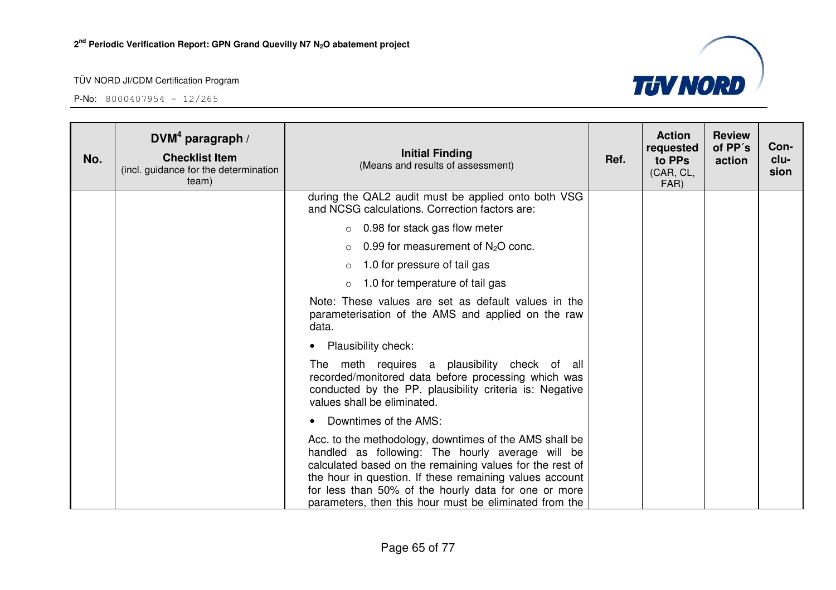

| No. | $DVM4$ paragraph /<br><b>Checklist Item</b><br>(incl. guidance for the determination<br>team) | <b>Initial Finding</b><br>(Means and results of assessment)                                                                                                                                                                                                                                                                                         | Ref. | <b>Action</b><br>requested<br>to PPs<br>(CAR, CL,<br>FAR) | <b>Review</b><br>of PP's<br>action | Con-<br>clu-<br>sion |
|-----|-----------------------------------------------------------------------------------------------|-----------------------------------------------------------------------------------------------------------------------------------------------------------------------------------------------------------------------------------------------------------------------------------------------------------------------------------------------------|------|-----------------------------------------------------------|------------------------------------|----------------------|
|     |                                                                                               | during the QAL2 audit must be applied onto both VSG<br>and NCSG calculations. Correction factors are:                                                                                                                                                                                                                                               |      |                                                           |                                    |                      |
|     |                                                                                               | $\circ$ 0.98 for stack gas flow meter                                                                                                                                                                                                                                                                                                               |      |                                                           |                                    |                      |
|     |                                                                                               | 0.99 for measurement of $N2O$ conc.<br>$\circ$                                                                                                                                                                                                                                                                                                      |      |                                                           |                                    |                      |
|     |                                                                                               | 1.0 for pressure of tail gas<br>$\circ$                                                                                                                                                                                                                                                                                                             |      |                                                           |                                    |                      |
|     |                                                                                               | 1.0 for temperature of tail gas                                                                                                                                                                                                                                                                                                                     |      |                                                           |                                    |                      |
|     |                                                                                               | Note: These values are set as default values in the<br>parameterisation of the AMS and applied on the raw<br>data.                                                                                                                                                                                                                                  |      |                                                           |                                    |                      |
|     |                                                                                               | <b>Plausibility check:</b>                                                                                                                                                                                                                                                                                                                          |      |                                                           |                                    |                      |
|     |                                                                                               | The meth requires a plausibility check of all<br>recorded/monitored data before processing which was<br>conducted by the PP. plausibility criteria is: Negative<br>values shall be eliminated.                                                                                                                                                      |      |                                                           |                                    |                      |
|     |                                                                                               | Downtimes of the AMS:                                                                                                                                                                                                                                                                                                                               |      |                                                           |                                    |                      |
|     |                                                                                               | Acc. to the methodology, downtimes of the AMS shall be<br>handled as following: The hourly average will be<br>calculated based on the remaining values for the rest of<br>the hour in question. If these remaining values account<br>for less than 50% of the hourly data for one or more<br>parameters, then this hour must be eliminated from the |      |                                                           |                                    |                      |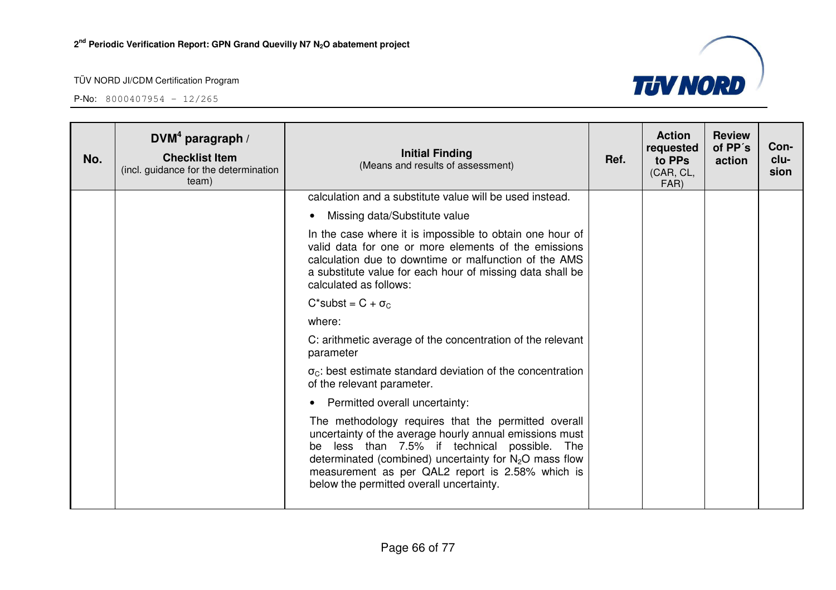

| No. | DVM <sup>4</sup> paragraph /<br><b>Checklist Item</b><br>(incl. guidance for the determination<br>team) | <b>Initial Finding</b><br>(Means and results of assessment)                                                                                                                                                                                                                                                                | Ref. | <b>Action</b><br>requested<br>to PPs<br>(CAR, CL,<br>FAR) | <b>Review</b><br>of PP's<br>action | Con-<br>clu-<br>sion |
|-----|---------------------------------------------------------------------------------------------------------|----------------------------------------------------------------------------------------------------------------------------------------------------------------------------------------------------------------------------------------------------------------------------------------------------------------------------|------|-----------------------------------------------------------|------------------------------------|----------------------|
|     |                                                                                                         | calculation and a substitute value will be used instead.                                                                                                                                                                                                                                                                   |      |                                                           |                                    |                      |
|     |                                                                                                         | Missing data/Substitute value<br>$\bullet$                                                                                                                                                                                                                                                                                 |      |                                                           |                                    |                      |
|     |                                                                                                         | In the case where it is impossible to obtain one hour of<br>valid data for one or more elements of the emissions<br>calculation due to downtime or malfunction of the AMS<br>a substitute value for each hour of missing data shall be<br>calculated as follows:                                                           |      |                                                           |                                    |                      |
|     |                                                                                                         | $C^*$ subst = $C + \sigma_C$                                                                                                                                                                                                                                                                                               |      |                                                           |                                    |                      |
|     |                                                                                                         | where:                                                                                                                                                                                                                                                                                                                     |      |                                                           |                                    |                      |
|     |                                                                                                         | C: arithmetic average of the concentration of the relevant<br>parameter                                                                                                                                                                                                                                                    |      |                                                           |                                    |                      |
|     |                                                                                                         | $\sigma_{\rm C}$ : best estimate standard deviation of the concentration<br>of the relevant parameter.                                                                                                                                                                                                                     |      |                                                           |                                    |                      |
|     |                                                                                                         | Permitted overall uncertainty:                                                                                                                                                                                                                                                                                             |      |                                                           |                                    |                      |
|     |                                                                                                         | The methodology requires that the permitted overall<br>uncertainty of the average hourly annual emissions must<br>be less than 7.5% if technical possible. The<br>determinated (combined) uncertainty for $N_2O$ mass flow<br>measurement as per QAL2 report is 2.58% which is<br>below the permitted overall uncertainty. |      |                                                           |                                    |                      |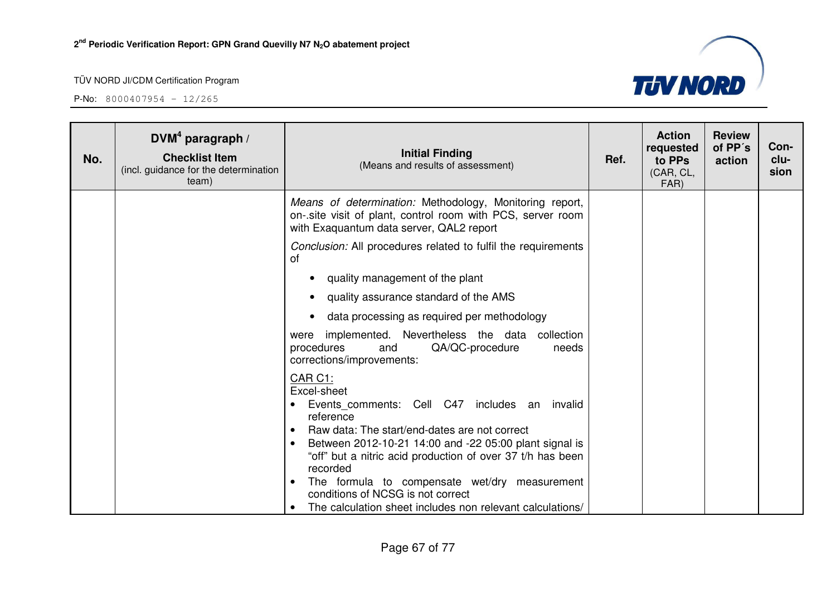

| No. | DVM <sup>4</sup> paragraph /<br><b>Checklist Item</b><br>(incl. guidance for the determination<br>team) | <b>Initial Finding</b><br>(Means and results of assessment)                                                                                                                                                                                                                                                                                                                                                                                                            | Ref. | <b>Action</b><br>requested<br>to PPs<br>(CAR, CL,<br>FAR) | <b>Review</b><br>of PP's<br>action | Con-<br>clu-<br>sion |
|-----|---------------------------------------------------------------------------------------------------------|------------------------------------------------------------------------------------------------------------------------------------------------------------------------------------------------------------------------------------------------------------------------------------------------------------------------------------------------------------------------------------------------------------------------------------------------------------------------|------|-----------------------------------------------------------|------------------------------------|----------------------|
|     |                                                                                                         | Means of determination: Methodology, Monitoring report,<br>on-site visit of plant, control room with PCS, server room<br>with Exaguantum data server, QAL2 report                                                                                                                                                                                                                                                                                                      |      |                                                           |                                    |                      |
|     |                                                                                                         | Conclusion: All procedures related to fulfil the requirements<br>оf                                                                                                                                                                                                                                                                                                                                                                                                    |      |                                                           |                                    |                      |
|     |                                                                                                         | quality management of the plant                                                                                                                                                                                                                                                                                                                                                                                                                                        |      |                                                           |                                    |                      |
|     |                                                                                                         | quality assurance standard of the AMS                                                                                                                                                                                                                                                                                                                                                                                                                                  |      |                                                           |                                    |                      |
|     |                                                                                                         | data processing as required per methodology                                                                                                                                                                                                                                                                                                                                                                                                                            |      |                                                           |                                    |                      |
|     |                                                                                                         | implemented. Nevertheless the data collection<br>were<br>procedures<br>QA/QC-procedure<br>and<br>needs<br>corrections/improvements:                                                                                                                                                                                                                                                                                                                                    |      |                                                           |                                    |                      |
|     |                                                                                                         | CAR C1:<br>Excel-sheet<br>Events comments: Cell C47 includes an<br>invalid<br>reference<br>Raw data: The start/end-dates are not correct<br>Between 2012-10-21 14:00 and -22 05:00 plant signal is<br>$\bullet$<br>"off" but a nitric acid production of over 37 t/h has been<br>recorded<br>The formula to compensate wet/dry measurement<br>$\bullet$<br>conditions of NCSG is not correct<br>The calculation sheet includes non relevant calculations/<br>$\bullet$ |      |                                                           |                                    |                      |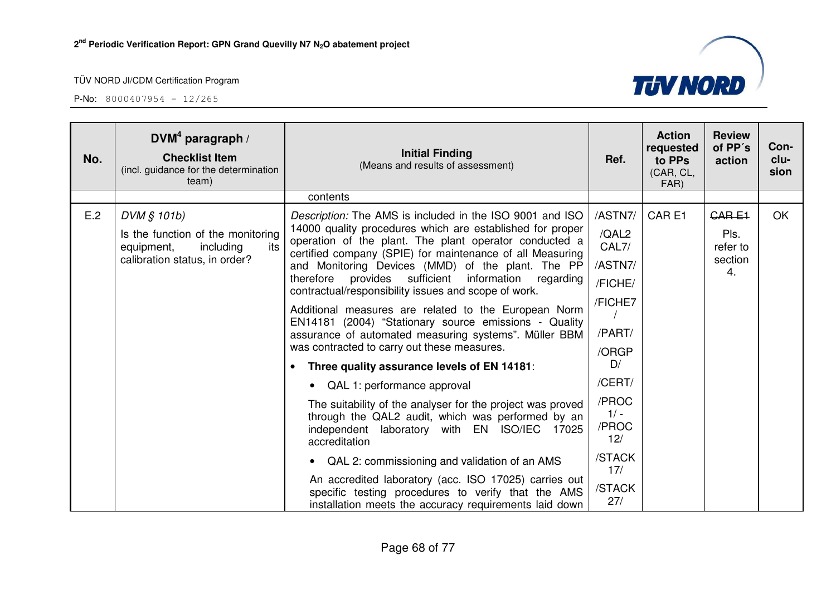

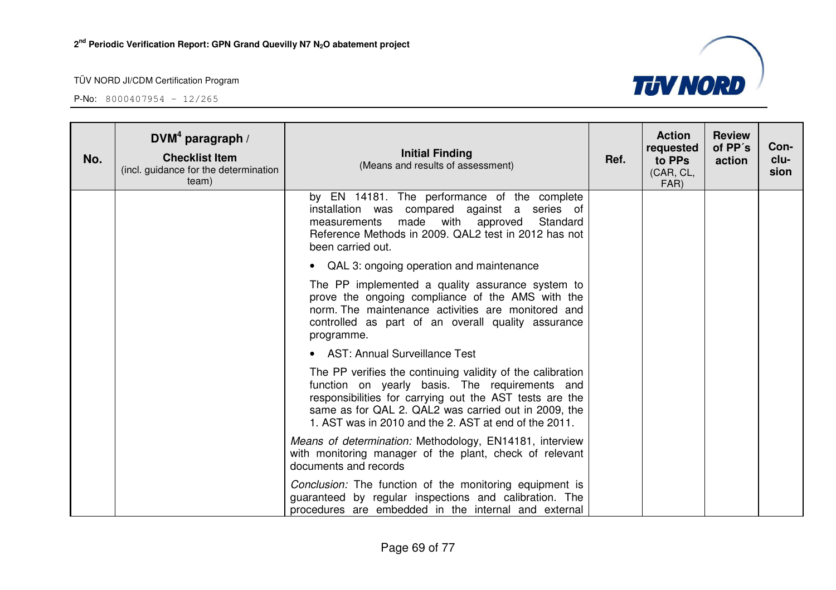

| No. | DVM <sup>4</sup> paragraph /<br><b>Checklist Item</b><br>(incl. guidance for the determination<br>team) | <b>Initial Finding</b><br>(Means and results of assessment)                                                                                                                                                                                                                              | Ref. | <b>Action</b><br>requested<br>to PPs<br>(CAR, CL,<br>FAR) | <b>Review</b><br>of PP's<br>action | Con-<br>clu-<br>sion |
|-----|---------------------------------------------------------------------------------------------------------|------------------------------------------------------------------------------------------------------------------------------------------------------------------------------------------------------------------------------------------------------------------------------------------|------|-----------------------------------------------------------|------------------------------------|----------------------|
|     |                                                                                                         | by EN 14181. The performance of the complete<br>installation was compared against a series of<br>measurements made with approved<br>Standard<br>Reference Methods in 2009. QAL2 test in 2012 has not<br>been carried out.                                                                |      |                                                           |                                    |                      |
|     |                                                                                                         | • QAL 3: ongoing operation and maintenance                                                                                                                                                                                                                                               |      |                                                           |                                    |                      |
|     |                                                                                                         | The PP implemented a quality assurance system to<br>prove the ongoing compliance of the AMS with the<br>norm. The maintenance activities are monitored and<br>controlled as part of an overall quality assurance<br>programme.                                                           |      |                                                           |                                    |                      |
|     |                                                                                                         | • AST: Annual Surveillance Test                                                                                                                                                                                                                                                          |      |                                                           |                                    |                      |
|     |                                                                                                         | The PP verifies the continuing validity of the calibration<br>function on yearly basis. The requirements and<br>responsibilities for carrying out the AST tests are the<br>same as for QAL 2. QAL2 was carried out in 2009, the<br>1. AST was in 2010 and the 2. AST at end of the 2011. |      |                                                           |                                    |                      |
|     |                                                                                                         | Means of determination: Methodology, EN14181, interview<br>with monitoring manager of the plant, check of relevant<br>documents and records                                                                                                                                              |      |                                                           |                                    |                      |
|     |                                                                                                         | Conclusion: The function of the monitoring equipment is<br>guaranteed by regular inspections and calibration. The<br>procedures are embedded in the internal and external                                                                                                                |      |                                                           |                                    |                      |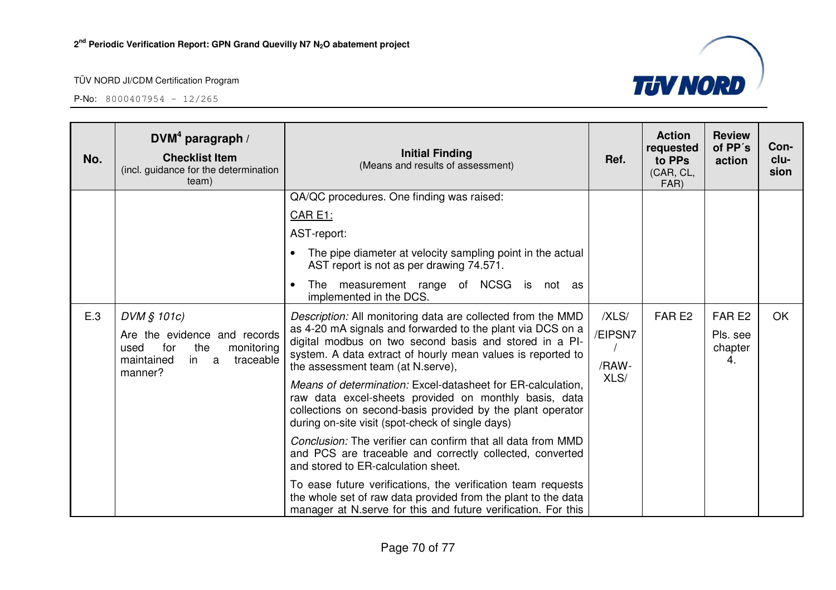

| No. | DVM <sup>4</sup> paragraph /<br><b>Checklist Item</b><br>(incl. guidance for the determination<br>team)                       | <b>Initial Finding</b><br>(Means and results of assessment)                                                                                                                                                                                                                                                                                                                                                                                                                                                                                                                                                                                                  | Ref.                              | <b>Action</b><br>requested<br>to PPs<br>(CAR, CL,<br>FAR) | <b>Review</b><br>of PP's<br>action             | Con-<br>clu-<br>sion |
|-----|-------------------------------------------------------------------------------------------------------------------------------|--------------------------------------------------------------------------------------------------------------------------------------------------------------------------------------------------------------------------------------------------------------------------------------------------------------------------------------------------------------------------------------------------------------------------------------------------------------------------------------------------------------------------------------------------------------------------------------------------------------------------------------------------------------|-----------------------------------|-----------------------------------------------------------|------------------------------------------------|----------------------|
|     |                                                                                                                               | QA/QC procedures. One finding was raised:                                                                                                                                                                                                                                                                                                                                                                                                                                                                                                                                                                                                                    |                                   |                                                           |                                                |                      |
|     |                                                                                                                               | <b>CAR E1:</b>                                                                                                                                                                                                                                                                                                                                                                                                                                                                                                                                                                                                                                               |                                   |                                                           |                                                |                      |
|     |                                                                                                                               | AST-report:                                                                                                                                                                                                                                                                                                                                                                                                                                                                                                                                                                                                                                                  |                                   |                                                           |                                                |                      |
|     |                                                                                                                               | The pipe diameter at velocity sampling point in the actual<br>AST report is not as per drawing 74.571.                                                                                                                                                                                                                                                                                                                                                                                                                                                                                                                                                       |                                   |                                                           |                                                |                      |
|     |                                                                                                                               | measurement range<br>of NCSG is not as<br>The<br>implemented in the DCS.                                                                                                                                                                                                                                                                                                                                                                                                                                                                                                                                                                                     |                                   |                                                           |                                                |                      |
| E.3 | DVM § 101c)<br>Are the evidence and records<br>the<br>for<br>monitoring<br>used<br>traceable<br>maintained<br>in a<br>manner? | Description: All monitoring data are collected from the MMD<br>as 4-20 mA signals and forwarded to the plant via DCS on a<br>digital modbus on two second basis and stored in a PI-<br>system. A data extract of hourly mean values is reported to<br>the assessment team (at N.serve),<br>Means of determination: Excel-datasheet for ER-calculation,<br>raw data excel-sheets provided on monthly basis, data<br>collections on second-basis provided by the plant operator<br>during on-site visit (spot-check of single days)<br>Conclusion: The verifier can confirm that all data from MMD<br>and PCS are traceable and correctly collected, converted | /XLS/<br>/EIPSN7<br>/RAW-<br>XLS/ | FAR <sub>E2</sub>                                         | FAR <sub>E2</sub><br>Pls. see<br>chapter<br>4. | <b>OK</b>            |
|     |                                                                                                                               | and stored to ER-calculation sheet.<br>To ease future verifications, the verification team requests<br>the whole set of raw data provided from the plant to the data<br>manager at N serve for this and future verification. For this                                                                                                                                                                                                                                                                                                                                                                                                                        |                                   |                                                           |                                                |                      |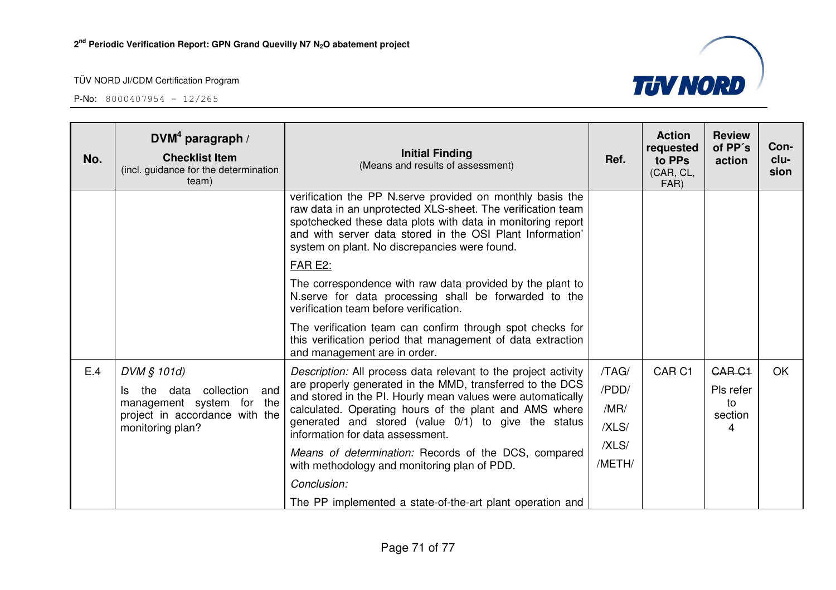**P-No:** 8000407954 - 12/265





**clu-**

OK

The PP implemented a state-of-the-art plant operation and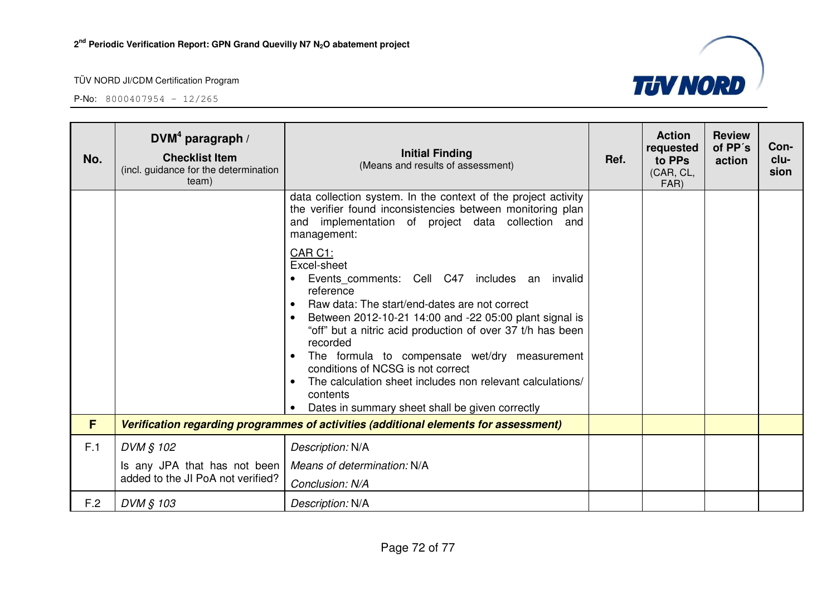

| No. | $DWM4$ paragraph /<br><b>Checklist Item</b><br>(incl. guidance for the determination<br>team) | <b>Initial Finding</b><br>(Means and results of assessment)                                                                                                                                                                                                                                                                                                                                                                                                                                                                               | Ref. | <b>Action</b><br>requested<br>to PPs<br>(CAR, CL,<br>FAR) | <b>Review</b><br>of PP's<br>action | Con-<br>clu-<br>sion |
|-----|-----------------------------------------------------------------------------------------------|-------------------------------------------------------------------------------------------------------------------------------------------------------------------------------------------------------------------------------------------------------------------------------------------------------------------------------------------------------------------------------------------------------------------------------------------------------------------------------------------------------------------------------------------|------|-----------------------------------------------------------|------------------------------------|----------------------|
|     |                                                                                               | data collection system. In the context of the project activity<br>the verifier found inconsistencies between monitoring plan<br>and implementation of project data collection and<br>management:                                                                                                                                                                                                                                                                                                                                          |      |                                                           |                                    |                      |
|     |                                                                                               | <b>CAR C1:</b><br>Excel-sheet<br>Events comments: Cell C47 includes an invalid<br>reference<br>Raw data: The start/end-dates are not correct<br>$\bullet$<br>Between 2012-10-21 14:00 and -22 05:00 plant signal is<br>$\bullet$<br>"off" but a nitric acid production of over 37 t/h has been<br>recorded<br>The formula to compensate wet/dry measurement<br>$\bullet$<br>conditions of NCSG is not correct<br>The calculation sheet includes non relevant calculations/<br>contents<br>Dates in summary sheet shall be given correctly |      |                                                           |                                    |                      |
| F   |                                                                                               | Verification regarding programmes of activities (additional elements for assessment)                                                                                                                                                                                                                                                                                                                                                                                                                                                      |      |                                                           |                                    |                      |
| F.1 | DVM § 102                                                                                     | Description: N/A                                                                                                                                                                                                                                                                                                                                                                                                                                                                                                                          |      |                                                           |                                    |                      |
|     | Is any JPA that has not been<br>added to the JI PoA not verified?                             | Means of determination: N/A<br>Conclusion: N/A                                                                                                                                                                                                                                                                                                                                                                                                                                                                                            |      |                                                           |                                    |                      |
| F.2 | DVM § 103                                                                                     | Description: N/A                                                                                                                                                                                                                                                                                                                                                                                                                                                                                                                          |      |                                                           |                                    |                      |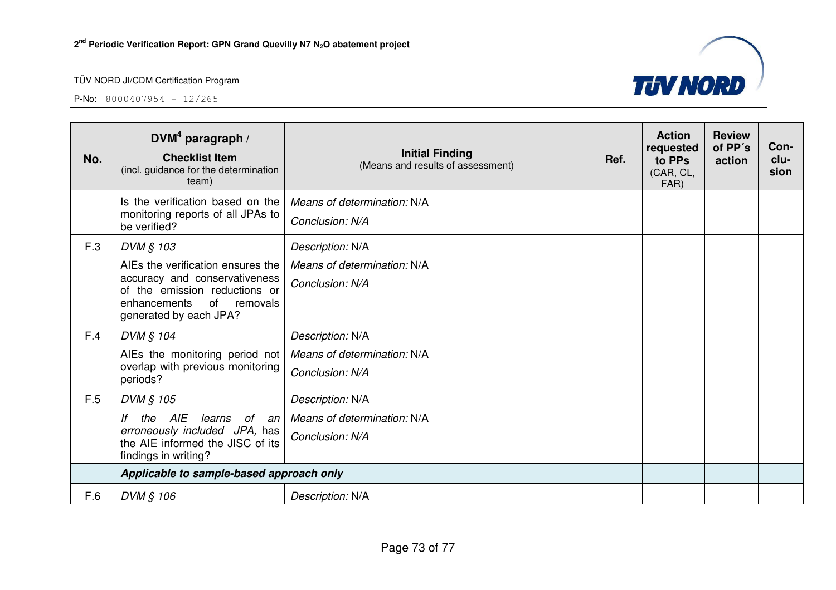

| No. | DVM <sup>4</sup> paragraph /<br><b>Checklist Item</b><br>(incl. guidance for the determination<br>team)                 | <b>Initial Finding</b><br>(Means and results of assessment) | Ref. | <b>Action</b><br>requested<br>to PPs<br>(CAR, CL,<br>FAR) | <b>Review</b><br>of PP's<br>action | Con-<br>clu-<br>sion |
|-----|-------------------------------------------------------------------------------------------------------------------------|-------------------------------------------------------------|------|-----------------------------------------------------------|------------------------------------|----------------------|
|     | Is the verification based on the                                                                                        | Means of determination: N/A                                 |      |                                                           |                                    |                      |
|     | monitoring reports of all JPAs to<br>be verified?                                                                       | Conclusion: N/A                                             |      |                                                           |                                    |                      |
| F.3 | DVM § 103                                                                                                               | Description: N/A                                            |      |                                                           |                                    |                      |
|     | AIEs the verification ensures the                                                                                       | Means of determination: N/A                                 |      |                                                           |                                    |                      |
|     | accuracy and conservativeness<br>of the emission reductions or<br>of removals<br>enhancements<br>generated by each JPA? | Conclusion: N/A                                             |      |                                                           |                                    |                      |
| F.4 | DVM § 104                                                                                                               | Description: N/A                                            |      |                                                           |                                    |                      |
|     | AIEs the monitoring period not<br>overlap with previous monitoring<br>periods?                                          | Means of determination: N/A                                 |      |                                                           |                                    |                      |
|     |                                                                                                                         | Conclusion: N/A                                             |      |                                                           |                                    |                      |
| F.5 | DVM § 105                                                                                                               | Description: N/A                                            |      |                                                           |                                    |                      |
|     | the AIE<br>learns<br>lf<br>of an                                                                                        | Means of determination: N/A                                 |      |                                                           |                                    |                      |
|     | erroneously included JPA, has<br>the AIE informed the JISC of its<br>findings in writing?                               | Conclusion: N/A                                             |      |                                                           |                                    |                      |
|     | Applicable to sample-based approach only                                                                                |                                                             |      |                                                           |                                    |                      |
| F.6 | DVM § 106                                                                                                               | Description: N/A                                            |      |                                                           |                                    |                      |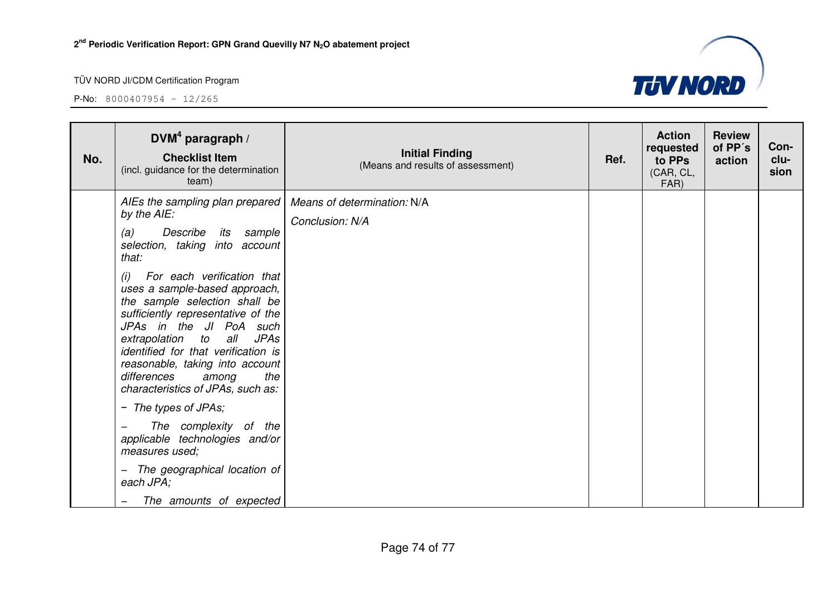

| No. | $DVM4$ paragraph /<br><b>Checklist Item</b><br>(incl. guidance for the determination<br>team)                                                                                                                                                                                                                                                                                                                                                                                                                                                                                                                                                                              | <b>Initial Finding</b><br>(Means and results of assessment) | Ref. | <b>Action</b><br>requested<br>to PPs<br>(CAR, CL,<br>FAR) | <b>Review</b><br>of PP's<br>action | Con-<br>clu-<br>sion |
|-----|----------------------------------------------------------------------------------------------------------------------------------------------------------------------------------------------------------------------------------------------------------------------------------------------------------------------------------------------------------------------------------------------------------------------------------------------------------------------------------------------------------------------------------------------------------------------------------------------------------------------------------------------------------------------------|-------------------------------------------------------------|------|-----------------------------------------------------------|------------------------------------|----------------------|
|     | AIEs the sampling plan prepared<br>by the AIE:<br>(a)<br>Describe<br>its sample<br>selection, taking into account<br>that:<br>For each verification that<br>(i)<br>uses a sample-based approach,<br>the sample selection shall be<br>sufficiently representative of the<br>JPAs in the JI PoA such<br>extrapolation<br>to<br>all<br><b>JPAs</b><br>identified for that verification is<br>reasonable, taking into account<br>differences<br>the<br>among<br>characteristics of JPAs, such as:<br>- The types of JPAs;<br>The complexity of the<br>applicable technologies and/or<br>measures used;<br>The geographical location of<br>each JPA;<br>The amounts of expected | Means of determination: N/A<br>Conclusion: N/A              |      |                                                           |                                    |                      |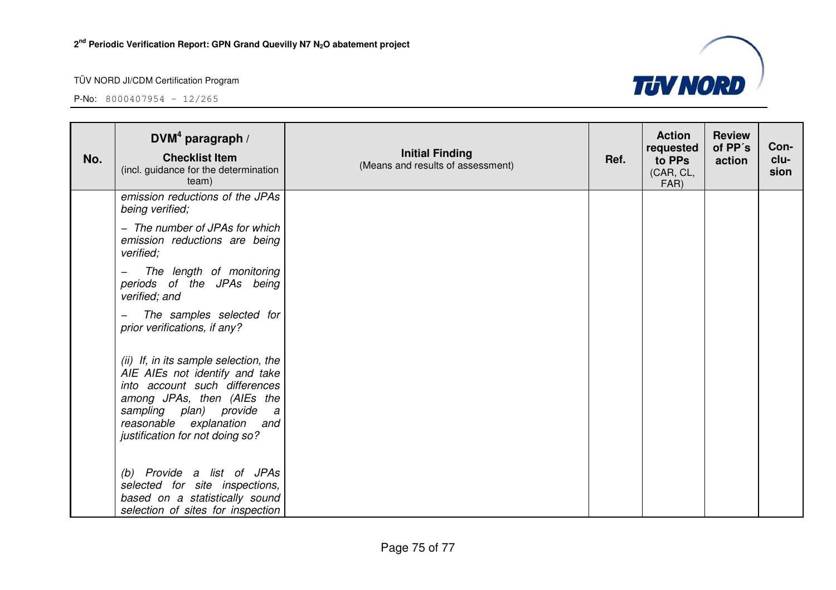

| No. | $DVM4$ paragraph /<br><b>Checklist Item</b><br>(incl. guidance for the determination<br>team)                                                                                                                                                       | <b>Initial Finding</b><br>(Means and results of assessment) | Ref. | <b>Action</b><br>requested<br>to PPs<br>(CAR, CL,<br>FAR) | <b>Review</b><br>of PP's<br>action | Con-<br>clu-<br>sion |
|-----|-----------------------------------------------------------------------------------------------------------------------------------------------------------------------------------------------------------------------------------------------------|-------------------------------------------------------------|------|-----------------------------------------------------------|------------------------------------|----------------------|
|     | emission reductions of the JPAs<br>being verified;                                                                                                                                                                                                  |                                                             |      |                                                           |                                    |                      |
|     | - The number of JPAs for which<br>emission reductions are being<br>verified;                                                                                                                                                                        |                                                             |      |                                                           |                                    |                      |
|     | The length of monitoring<br>periods of the JPAs being<br>verified; and                                                                                                                                                                              |                                                             |      |                                                           |                                    |                      |
|     | The samples selected for<br>prior verifications, if any?                                                                                                                                                                                            |                                                             |      |                                                           |                                    |                      |
|     | (ii) If, in its sample selection, the<br>AIE AIEs not identify and take<br>into account such differences<br>among JPAs, then (AIEs the<br>sampling plan) provide<br>$\overline{a}$<br>reasonable explanation and<br>justification for not doing so? |                                                             |      |                                                           |                                    |                      |
|     | (b) Provide a list of JPAs<br>selected for site inspections,<br>based on a statistically sound<br>selection of sites for inspection                                                                                                                 |                                                             |      |                                                           |                                    |                      |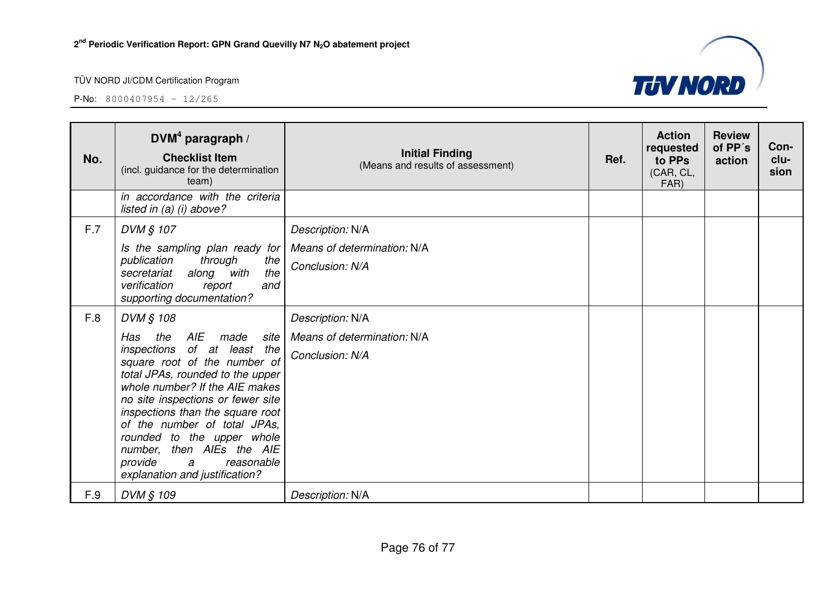

| No. | DVM <sup>4</sup> paragraph /<br><b>Checklist Item</b><br>(incl. guidance for the determination<br>team)                                                                                                                                                                                                                                                                                                              | <b>Initial Finding</b><br>(Means and results of assessment)        | Ref. | <b>Action</b><br>requested<br>to PPs<br>(CAR, CL,<br>FAR) | <b>Review</b><br>of PP's<br>action | Con-<br>clu-<br>sion |
|-----|----------------------------------------------------------------------------------------------------------------------------------------------------------------------------------------------------------------------------------------------------------------------------------------------------------------------------------------------------------------------------------------------------------------------|--------------------------------------------------------------------|------|-----------------------------------------------------------|------------------------------------|----------------------|
|     | in accordance with the criteria<br>listed in $(a)$ (i) above?                                                                                                                                                                                                                                                                                                                                                        |                                                                    |      |                                                           |                                    |                      |
| F.7 | DVM § 107<br>Is the sampling plan ready for<br>publication<br>through<br>the<br>along with<br>the<br>secretariat<br>verification<br>and<br>report<br>supporting documentation?                                                                                                                                                                                                                                       | Description: N/A<br>Means of determination: N/A<br>Conclusion: N/A |      |                                                           |                                    |                      |
| F.8 | DVM § 108<br>AIE<br>Has<br>the<br>made site<br>inspections of at least the<br>square root of the number of<br>total JPAs, rounded to the upper<br>whole number? If the AIE makes<br>no site inspections or fewer site<br>inspections than the square root<br>of the number of total JPAs,<br>rounded to the upper whole<br>number, then AIEs the AIE<br>provide<br>reasonable<br>a<br>explanation and justification? | Description: N/A<br>Means of determination: N/A<br>Conclusion: N/A |      |                                                           |                                    |                      |
| F.9 | DVM § 109                                                                                                                                                                                                                                                                                                                                                                                                            | Description: N/A                                                   |      |                                                           |                                    |                      |